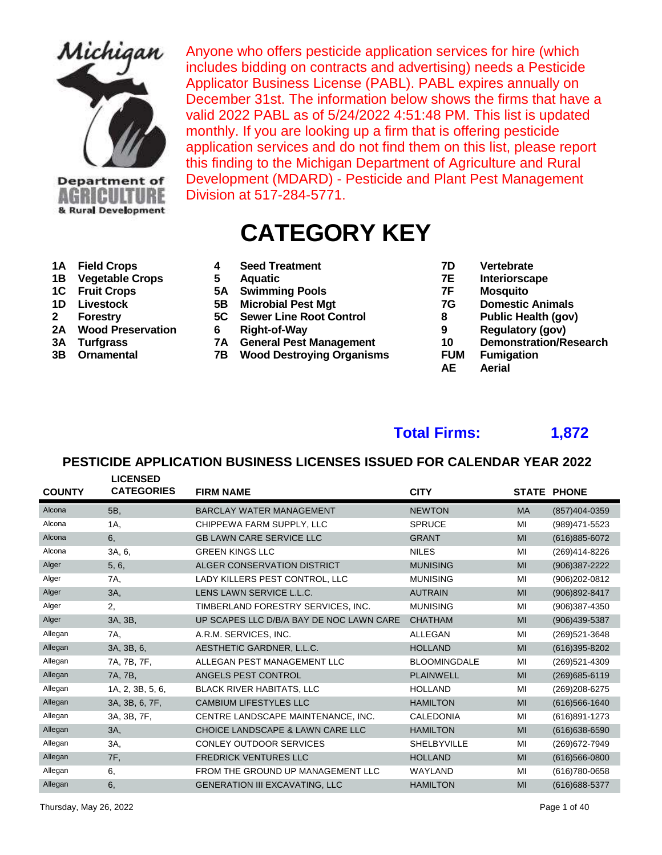

Anyone who offers pesticide application services for hire (which includes bidding on contracts and advertising) needs a Pesticide Applicator Business License (PABL). PABL expires annually on December 31st. The information below shows the firms that have a valid 2022 PABL as of 5/24/2022 4:51:48 PM. This list is updated monthly. If you are looking up a firm that is offering pesticide application services and do not find them on this list, please report this finding to the Michigan Department of Agriculture and Rural Development (MDARD) - Pesticide and Plant Pest Management Division at 517-284-5771.

# **CATEGORY KEY**

- 
- 
- 
- 
- 
- 
- 
- 

| 1A Field Crops     | <b>Seed Treatment</b> | Vertebrate    |
|--------------------|-----------------------|---------------|
| 1B Vegetable Crops | <b>Aguatic</b>        | Interiorscape |

- 
- **1C Fruit Crops 5A Swimming Pools 7F Mosquito**
- **2 Forestry** 5C Sewer Line Root Control **8**<br> **2A Wood Preservation** 6 Right-of-Way 9
	-
- **2A Wood Preservation 6 Right-of-Way 9 Regulatory (gov)**
	- **3B Ornamental 7B Wood Destroying Organisms FUM Fumigation**
- 
- 
- 
- **1D** Livestock 5B Microbial Pest Mgt 7G Domestic Animals<br>
Forestry 5C Sewer Line Root Control 8 Public Health (gov)
	-
	-
- **3A Turfgrass 7A General Pest Management 10 Demonstration/Research**
	-
	- **AE Aerial**

# **Total Firms: 1,872**

| <b>COUNTY</b> | <b>LICENSED</b><br><b>CATEGORIES</b> | <b>FIRM NAME</b>                         | <b>CITY</b>         |           | <b>STATE PHONE</b> |
|---------------|--------------------------------------|------------------------------------------|---------------------|-----------|--------------------|
| Alcona        | 5B,                                  | <b>BARCLAY WATER MANAGEMENT</b>          | <b>NEWTON</b>       | <b>MA</b> | (857)404-0359      |
| Alcona        | 1A,                                  | CHIPPEWA FARM SUPPLY, LLC                | <b>SPRUCE</b>       | MI        | (989)471-5523      |
| Alcona        | 6,                                   | <b>GB LAWN CARE SERVICE LLC</b>          | <b>GRANT</b>        | MI        | (616) 885-6072     |
| Alcona        | 3A, 6,                               | <b>GREEN KINGS LLC</b>                   | <b>NILES</b>        | MI        | (269)414-8226      |
| Alger         | 5, 6,                                | ALGER CONSERVATION DISTRICT              | <b>MUNISING</b>     | MI        | (906)387-2222      |
| Alger         | 7A,                                  | LADY KILLERS PEST CONTROL. LLC           | <b>MUNISING</b>     | MI        | (906)202-0812      |
| Alger         | 3A,                                  | LENS LAWN SERVICE L.L.C.                 | <b>AUTRAIN</b>      | MI        | (906)892-8417      |
| Alger         | 2.                                   | TIMBERLAND FORESTRY SERVICES, INC.       | <b>MUNISING</b>     | MI        | (906)387-4350      |
| Alger         | 3A, 3B,                              | UP SCAPES LLC D/B/A BAY DE NOC LAWN CARE | <b>CHATHAM</b>      | MI        | (906)439-5387      |
| Allegan       | 7A,                                  | A.R.M. SERVICES, INC.                    | <b>ALLEGAN</b>      | MI        | (269)521-3648      |
| Allegan       | 3A, 3B, 6,                           | AESTHETIC GARDNER, L.L.C.                | <b>HOLLAND</b>      | MI        | (616)395-8202      |
| Allegan       | 7A, 7B, 7F,                          | ALLEGAN PEST MANAGEMENT LLC              | <b>BLOOMINGDALE</b> | MI        | (269)521-4309      |
| Allegan       | 7A, 7B,                              | ANGELS PEST CONTROL                      | <b>PLAINWELL</b>    | MI        | $(269)685 - 6119$  |
| Allegan       | 1A, 2, 3B, 5, 6,                     | <b>BLACK RIVER HABITATS, LLC</b>         | <b>HOLLAND</b>      | MI        | (269) 208-6275     |
| Allegan       | 3A, 3B, 6, 7F,                       | <b>CAMBIUM LIFESTYLES LLC</b>            | <b>HAMILTON</b>     | MI        | $(616)566 - 1640$  |
| Allegan       | 3A, 3B, 7F,                          | CENTRE LANDSCAPE MAINTENANCE, INC.       | <b>CALEDONIA</b>    | MI        | (616)891-1273      |
| Allegan       | 3A,                                  | CHOICE LANDSCAPE & LAWN CARE LLC         | <b>HAMILTON</b>     | MI        | $(616)638 - 6590$  |
| Allegan       | 3A,                                  | <b>CONLEY OUTDOOR SERVICES</b>           | <b>SHELBYVILLE</b>  | MI        | (269) 672-7949     |
| Allegan       | 7F,                                  | <b>FREDRICK VENTURES LLC</b>             | <b>HOLLAND</b>      | MI        | $(616)566 - 0800$  |
| Allegan       | 6,                                   | FROM THE GROUND UP MANAGEMENT LLC        | WAYLAND             | MI        | (616) 780-0658     |
| Allegan       | 6,                                   | <b>GENERATION III EXCAVATING, LLC</b>    | <b>HAMILTON</b>     | MI        | (616) 688-5377     |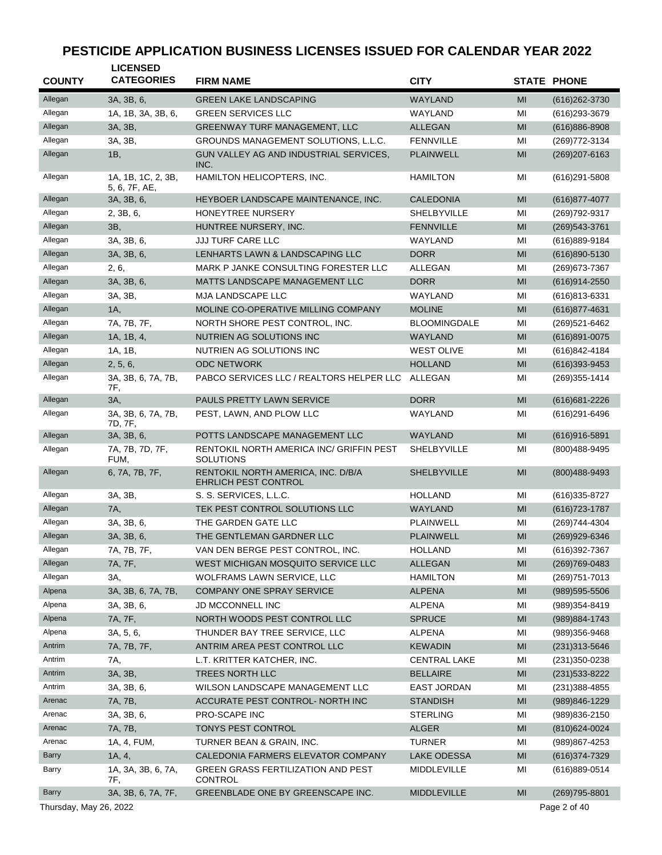| <b>COUNTY</b>          | <b>LICENSED</b><br><b>CATEGORIES</b> | <b>FIRM NAME</b>                                             | <b>CITY</b>                      |                | <b>STATE PHONE</b> |
|------------------------|--------------------------------------|--------------------------------------------------------------|----------------------------------|----------------|--------------------|
|                        |                                      |                                                              |                                  |                |                    |
| Allegan                | 3A, 3B, 6,                           | <b>GREEN LAKE LANDSCAPING</b>                                | <b>WAYLAND</b>                   | MI             | (616) 262-3730     |
| Allegan                | 1A, 1B, 3A, 3B, 6,                   | <b>GREEN SERVICES LLC</b>                                    | WAYLAND                          | MI             | (616) 293-3679     |
| Allegan                | 3A, 3B,                              | <b>GREENWAY TURF MANAGEMENT, LLC</b>                         | <b>ALLEGAN</b>                   | MI             | $(616)886 - 8908$  |
| Allegan                | 3A, 3B,                              | GROUNDS MANAGEMENT SOLUTIONS, L.L.C.                         | <b>FENNVILLE</b>                 | MI             | (269) 772-3134     |
| Allegan                | 1B,                                  | GUN VALLEY AG AND INDUSTRIAL SERVICES.<br>INC.               | <b>PLAINWELL</b>                 | MI             | (269) 207-6163     |
| Allegan                | 1A, 1B, 1C, 2, 3B,<br>5, 6, 7F, AE,  | HAMILTON HELICOPTERS, INC.                                   | <b>HAMILTON</b>                  | ΜI             | $(616)291 - 5808$  |
| Allegan                | 3A, 3B, 6,                           | HEYBOER LANDSCAPE MAINTENANCE, INC.                          | <b>CALEDONIA</b>                 | MI             | (616) 877-4077     |
| Allegan                | 2, 3B, 6,                            | <b>HONEYTREE NURSERY</b>                                     | <b>SHELBYVILLE</b>               | MI             | (269) 792-9317     |
| Allegan                | 3B,                                  | HUNTREE NURSERY, INC.                                        | <b>FENNVILLE</b>                 | MI             | (269) 543-3761     |
| Allegan                | 3A, 3B, 6,                           | JJJ TURF CARE LLC                                            | WAYLAND                          | MI             | (616)889-9184      |
| Allegan                | 3A, 3B, 6,                           | LENHARTS LAWN & LANDSCAPING LLC                              | <b>DORR</b>                      | MI             | (616)890-5130      |
| Allegan                | 2, 6,                                | MARK P JANKE CONSULTING FORESTER LLC                         | ALLEGAN                          | MI             | (269) 673-7367     |
| Allegan                | 3A, 3B, 6,                           | MATTS LANDSCAPE MANAGEMENT LLC                               | <b>DORR</b>                      | MI             | (616)914-2550      |
| Allegan                | 3A, 3B,                              | MJA LANDSCAPE LLC                                            | WAYLAND                          | MI             | (616)813-6331      |
| Allegan                | 1A,                                  | MOLINE CO-OPERATIVE MILLING COMPANY                          | <b>MOLINE</b>                    | MI             | (616) 877-4631     |
| Allegan                | 7A, 7B, 7F,                          | NORTH SHORE PEST CONTROL, INC.                               | <b>BLOOMINGDALE</b>              | MI             | (269) 521-6462     |
| Allegan                | 1A, 1B, 4,                           | NUTRIEN AG SOLUTIONS INC                                     | WAYLAND                          | MI             | $(616)891 - 0075$  |
| Allegan                | 1A, 1B,                              | NUTRIEN AG SOLUTIONS INC                                     | <b>WEST OLIVE</b>                | MI             | (616) 842-4184     |
| Allegan                | 2, 5, 6,                             | <b>ODC NETWORK</b>                                           | <b>HOLLAND</b>                   | MI             | (616)393-9453      |
| Allegan                | 3A, 3B, 6, 7A, 7B,<br>7F,            | PABCO SERVICES LLC / REALTORS HELPER LLC                     | ALLEGAN                          | MI             | (269) 355-1414     |
| Allegan                | 3A,                                  | PAULS PRETTY LAWN SERVICE                                    | <b>DORR</b>                      | MI             | (616) 681-2226     |
| Allegan                | 3A, 3B, 6, 7A, 7B,<br>7D, 7F,        | PEST, LAWN, AND PLOW LLC                                     | WAYLAND                          | ΜI             | (616) 291-6496     |
| Allegan                | 3A, 3B, 6,                           | POTTS LANDSCAPE MANAGEMENT LLC                               | WAYLAND                          | MI             | (616)916-5891      |
| Allegan                | 7A, 7B, 7D, 7F,<br>FUM,              | RENTOKIL NORTH AMERICA INC/ GRIFFIN PEST<br><b>SOLUTIONS</b> | <b>SHELBYVILLE</b>               | MI             | (800) 488-9495     |
| Allegan                | 6, 7A, 7B, 7F,                       | RENTOKIL NORTH AMERICA, INC. D/B/A<br>EHRLICH PEST CONTROL   | <b>SHELBYVILLE</b>               | MI             | (800) 488-9493     |
| Allegan                | 3A, 3B,                              | S. S. SERVICES, L.L.C.                                       | <b>HOLLAND</b>                   | ΜI             | (616) 335-8727     |
| Allegan                | 7A,                                  | TEK PEST CONTROL SOLUTIONS LLC                               | WAYLAND                          | MI             | (616) 723-1787     |
| Allegan                | 3A, 3B, 6,                           | THE GARDEN GATE LLC                                          | PLAINWELL                        | MI             | (269) 744-4304     |
| Allegan                | 3A, 3B, 6,                           | THE GENTLEMAN GARDNER LLC                                    | <b>PLAINWELL</b>                 | MI             | (269)929-6346      |
|                        |                                      |                                                              |                                  |                |                    |
| Allegan                | 7A, 7B, 7F,                          | VAN DEN BERGE PEST CONTROL, INC.                             | <b>HOLLAND</b><br><b>ALLEGAN</b> | MI             | (616)392-7367      |
| Allegan                | 7A, 7F,                              | WEST MICHIGAN MOSQUITO SERVICE LLC                           |                                  | MI             | $(269)769-0483$    |
| Allegan                | 3A,                                  | WOLFRAMS LAWN SERVICE, LLC                                   | <b>HAMILTON</b>                  | MI             | (269) 751-7013     |
| Alpena                 | 3A, 3B, 6, 7A, 7B,                   | COMPANY ONE SPRAY SERVICE                                    | <b>ALPENA</b>                    | MI             | $(989)595 - 5506$  |
| Alpena                 | 3A, 3B, 6,                           | JD MCCONNELL INC                                             | <b>ALPENA</b>                    | ΜI             | (989)354-8419      |
| Alpena                 | 7A, 7F,                              | NORTH WOODS PEST CONTROL LLC                                 | <b>SPRUCE</b>                    | MI             | (989) 884-1743     |
| Alpena                 | 3A, 5, 6,                            | THUNDER BAY TREE SERVICE, LLC                                | <b>ALPENA</b>                    | ΜI             | (989)356-9468      |
| Antrim                 | 7A, 7B, 7F,                          | ANTRIM AREA PEST CONTROL LLC                                 | <b>KEWADIN</b>                   | MI             | (231) 313-5646     |
| Antrim                 | 7A,                                  | L.T. KRITTER KATCHER, INC.                                   | <b>CENTRAL LAKE</b>              | MI             | (231) 350-0238     |
| Antrim                 | 3A, 3B,                              | TREES NORTH LLC                                              | <b>BELLAIRE</b>                  | MI             | (231) 533-8222     |
| Antrim                 | 3A, 3B, 6,                           | WILSON LANDSCAPE MANAGEMENT LLC                              | <b>EAST JORDAN</b>               | MI             | $(231)388 - 4855$  |
| Arenac                 | 7A, 7B,                              | ACCURATE PEST CONTROL- NORTH INC                             | <b>STANDISH</b>                  | MI             | (989)846-1229      |
| Arenac                 | 3A, 3B, 6,                           | PRO-SCAPE INC                                                | <b>STERLING</b>                  | ΜI             | (989) 836-2150     |
| Arenac                 | 7A, 7B,                              | TONYS PEST CONTROL                                           | <b>ALGER</b>                     | MI             | $(810)624 - 0024$  |
| Arenac                 | 1A, 4, FUM,                          | TURNER BEAN & GRAIN, INC.                                    | <b>TURNER</b>                    | ΜI             | (989)867-4253      |
| Barry                  | 1A, 4,                               | CALEDONIA FARMERS ELEVATOR COMPANY                           | <b>LAKE ODESSA</b>               | M <sub>l</sub> | (616) 374-7329     |
| Barry                  | 1A, 3A, 3B, 6, 7A,<br>7F,            | <b>GREEN GRASS FERTILIZATION AND PEST</b><br><b>CONTROL</b>  | MIDDLEVILLE                      | ΜI             | (616)889-0514      |
| <b>Barry</b>           | 3A, 3B, 6, 7A, 7F,                   | GREENBLADE ONE BY GREENSCAPE INC.                            | MIDDLEVILLE                      | MI             | $(269)795 - 8801$  |
| Thursday, May 26, 2022 |                                      |                                                              |                                  |                | Page 2 of 40       |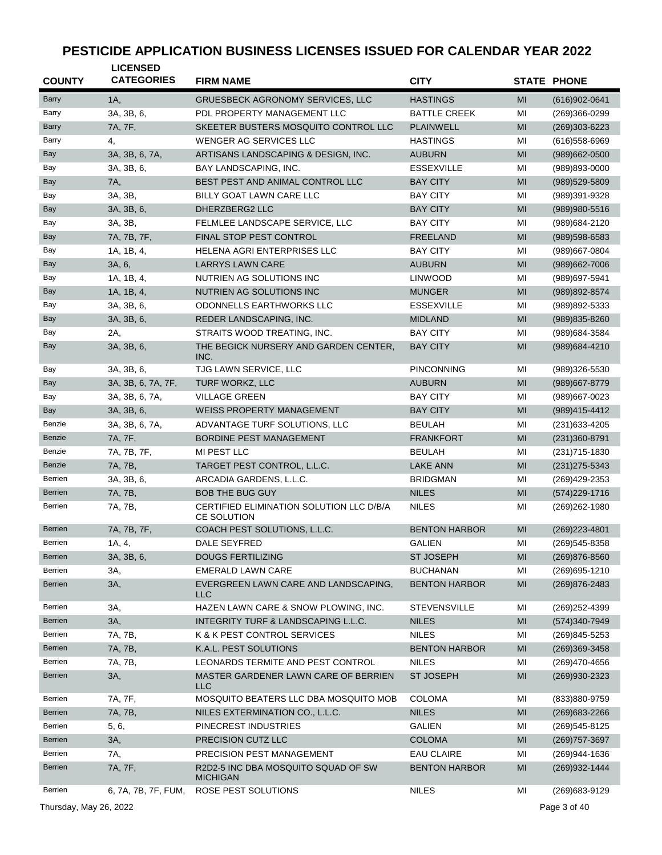| <b>COUNTY</b>  | <b>LICENSED</b><br><b>CATEGORIES</b> | <b>FIRM NAME</b>                                        | <b>CITY</b>          |    | <b>STATE PHONE</b> |
|----------------|--------------------------------------|---------------------------------------------------------|----------------------|----|--------------------|
| <b>Barry</b>   | 1A,                                  | <b>GRUESBECK AGRONOMY SERVICES, LLC</b>                 | <b>HASTINGS</b>      | MI | $(616)902 - 0641$  |
| Barry          | 3A, 3B, 6,                           | PDL PROPERTY MANAGEMENT LLC                             | <b>BATTLE CREEK</b>  | MI | (269)366-0299      |
| Barry          | 7A, 7F,                              | SKEETER BUSTERS MOSQUITO CONTROL LLC                    | <b>PLAINWELL</b>     | MI | $(269)303 - 6223$  |
| Barry          | 4.                                   | <b>WENGER AG SERVICES LLC</b>                           | <b>HASTINGS</b>      | MI | (616) 558-6969     |
| Bay            | 3A, 3B, 6, 7A,                       | ARTISANS LANDSCAPING & DESIGN, INC.                     | <b>AUBURN</b>        | MI | (989)662-0500      |
| Bay            | 3A, 3B, 6,                           | BAY LANDSCAPING, INC.                                   | <b>ESSEXVILLE</b>    | MI | (989)893-0000      |
| Bay            | 7A,                                  | BEST PEST AND ANIMAL CONTROL LLC                        | <b>BAY CITY</b>      | MI | (989) 529-5809     |
| Bay            | 3A, 3B,                              | BILLY GOAT LAWN CARE LLC                                | <b>BAY CITY</b>      | MI | (989)391-9328      |
| Bay            | 3A, 3B, 6,                           | DHERZBERG2 LLC                                          | <b>BAY CITY</b>      | MI | (989) 980-5516     |
| Bay            | 3A, 3B,                              | FELMLEE LANDSCAPE SERVICE, LLC                          | <b>BAY CITY</b>      | MI | (989) 684-2120     |
| Bay            | 7A, 7B, 7F,                          | FINAL STOP PEST CONTROL                                 | <b>FREELAND</b>      | MI | (989) 598-6583     |
| Bay            | 1A, 1B, 4,                           | HELENA AGRI ENTERPRISES LLC                             | <b>BAY CITY</b>      | MI | (989)667-0804      |
| Bay            | 3A, 6,                               | <b>LARRYS LAWN CARE</b>                                 | <b>AUBURN</b>        | MI | (989) 662-7006     |
| Bay            | 1A, 1B, 4,                           | NUTRIEN AG SOLUTIONS INC                                | <b>LINWOOD</b>       | MI | (989) 697-5941     |
| Bay            | 1A, 1B, 4,                           | NUTRIEN AG SOLUTIONS INC                                | <b>MUNGER</b>        | MI | (989) 892-8574     |
| Bay            | 3A, 3B, 6,                           | <b>ODONNELLS EARTHWORKS LLC</b>                         | <b>ESSEXVILLE</b>    | MI | (989)892-5333      |
| Bay            | 3A, 3B, 6,                           | REDER LANDSCAPING, INC.                                 | <b>MIDLAND</b>       | MI | (989) 835-8260     |
| Bay            | 2A,                                  | STRAITS WOOD TREATING, INC.                             | <b>BAY CITY</b>      | MI | (989) 684-3584     |
| <b>Bay</b>     | 3A, 3B, 6,                           | THE BEGICK NURSERY AND GARDEN CENTER,<br>INC.           | <b>BAY CITY</b>      | MI | (989) 684-4210     |
| Bay            | 3A, 3B, 6,                           | TJG LAWN SERVICE, LLC                                   | <b>PINCONNING</b>    | MI | (989)326-5530      |
| <b>Bay</b>     | 3A, 3B, 6, 7A, 7F,                   | TURF WORKZ, LLC                                         | <b>AUBURN</b>        | MI | (989) 667-8779     |
| Bay            | 3A, 3B, 6, 7A,                       | <b>VILLAGE GREEN</b>                                    | <b>BAY CITY</b>      | MI | (989)667-0023      |
| <b>Bay</b>     | 3A, 3B, 6,                           | <b>WEISS PROPERTY MANAGEMENT</b>                        | <b>BAY CITY</b>      | MI | (989)415-4412      |
| Benzie         | 3A, 3B, 6, 7A,                       | ADVANTAGE TURF SOLUTIONS, LLC                           | <b>BEULAH</b>        | MI | (231) 633-4205     |
| Benzie         | 7A, 7F,                              | BORDINE PEST MANAGEMENT                                 | <b>FRANKFORT</b>     | MI | (231) 360-8791     |
| Benzie         | 7A, 7B, 7F,                          | MI PEST LLC                                             | <b>BEULAH</b>        | MI | (231) 715-1830     |
| Benzie         | 7A, 7B,                              | TARGET PEST CONTROL, L.L.C.                             | <b>LAKE ANN</b>      | MI | $(231)275 - 5343$  |
| Berrien        | 3A, 3B, 6,                           | ARCADIA GARDENS, L.L.C.                                 | <b>BRIDGMAN</b>      | MI | (269) 429-2353     |
| <b>Berrien</b> | 7A, 7B,                              | <b>BOB THE BUG GUY</b>                                  | <b>NILES</b>         | MI | (574) 229-1716     |
| Berrien        | 7A, 7B,                              | CERTIFIED ELIMINATION SOLUTION LLC D/B/A<br>CE SOLUTION | <b>NILES</b>         | MI | (269) 262-1980     |
| <b>Berrien</b> | 7A, 7B, 7F,                          | COACH PEST SOLUTIONS, L.L.C.                            | <b>BENTON HARBOR</b> | MI | $(269)223 - 4801$  |
| Berrien        | 1A, 4,                               | DALE SEYFRED                                            | <b>GALIEN</b>        | MI | (269) 545-8358     |
| <b>Berrien</b> | 3A, 3B, 6,                           | <b>DOUGS FERTILIZING</b>                                | ST JOSEPH            | MI | (269) 876-8560     |
| Berrien        | 3A,                                  | <b>EMERALD LAWN CARE</b>                                | <b>BUCHANAN</b>      | MI | (269) 695-1210     |
| Berrien        | 3A,                                  | EVERGREEN LAWN CARE AND LANDSCAPING,<br><b>LLC</b>      | <b>BENTON HARBOR</b> | MI | (269) 876-2483     |
| Berrien        | 3A,                                  | HAZEN LAWN CARE & SNOW PLOWING, INC.                    | <b>STEVENSVILLE</b>  | MI | (269) 252-4399     |
| Berrien        | 3A,                                  | INTEGRITY TURF & LANDSCAPING L.L.C.                     | <b>NILES</b>         | MI | (574)340-7949      |
| Berrien        | 7A, 7B,                              | K & K PEST CONTROL SERVICES                             | <b>NILES</b>         | MI | (269)845-5253      |
| <b>Berrien</b> | 7A, 7B,                              | K.A.L. PEST SOLUTIONS                                   | <b>BENTON HARBOR</b> | MI | (269)369-3458      |
| Berrien        | 7A, 7B,                              | LEONARDS TERMITE AND PEST CONTROL                       | <b>NILES</b>         | MI | (269)470-4656      |
| Berrien        | 3A,                                  | MASTER GARDENER LAWN CARE OF BERRIEN<br>LLC             | <b>ST JOSEPH</b>     | MI | (269) 930-2323     |
| Berrien        | 7A, 7F,                              | MOSQUITO BEATERS LLC DBA MOSQUITO MOB                   | <b>COLOMA</b>        | MI | (833)880-9759      |
| Berrien        | 7A, 7B,                              | NILES EXTERMINATION CO., L.L.C.                         | <b>NILES</b>         | MI | $(269)683 - 2266$  |
| Berrien        | 5, 6,                                | PINECREST INDUSTRIES                                    | <b>GALIEN</b>        | MI | (269) 545-8125     |
| Berrien        | 3A,                                  | PRECISION CUTZ LLC                                      | <b>COLOMA</b>        | MI | (269) 757-3697     |
| Berrien        | 7A,                                  | PRECISION PEST MANAGEMENT                               | <b>EAU CLAIRE</b>    | MI | (269)944-1636      |
| Berrien        | 7A, 7F,                              | R2D2-5 INC DBA MOSQUITO SQUAD OF SW<br><b>MICHIGAN</b>  | <b>BENTON HARBOR</b> | MI | (269) 932-1444     |
| Berrien        | 6, 7A, 7B, 7F, FUM,                  | ROSE PEST SOLUTIONS                                     | <b>NILES</b>         | MI | (269) 683-9129     |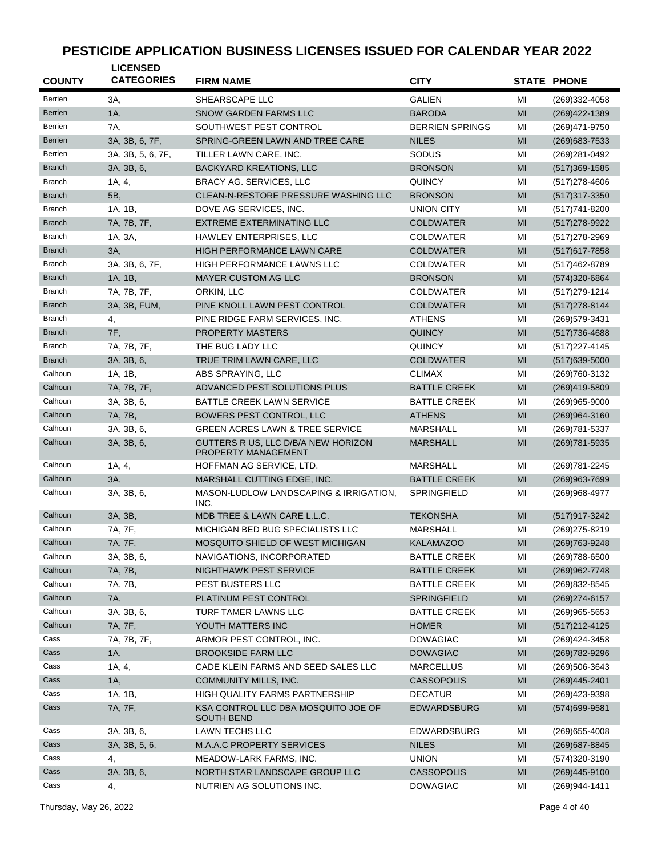| <b>COUNTY</b>  | <b>LICENSED</b><br><b>CATEGORIES</b> | <b>FIRM NAME</b>                                                  | <b>CITY</b>            |    | <b>STATE PHONE</b> |
|----------------|--------------------------------------|-------------------------------------------------------------------|------------------------|----|--------------------|
| Berrien        | 3A.                                  | SHEARSCAPE LLC                                                    | <b>GALIEN</b>          | МI | (269)332-4058      |
| <b>Berrien</b> | 1A,                                  | <b>SNOW GARDEN FARMS LLC</b>                                      | <b>BARODA</b>          | MI | (269) 422-1389     |
| Berrien        | 7A.                                  | SOUTHWEST PEST CONTROL                                            | <b>BERRIEN SPRINGS</b> | MI | (269) 471-9750     |
| <b>Berrien</b> | 3A, 3B, 6, 7F,                       | SPRING-GREEN LAWN AND TREE CARE                                   | <b>NILES</b>           | MI | $(269)683 - 7533$  |
| Berrien        | 3A, 3B, 5, 6, 7F,                    | TILLER LAWN CARE, INC.                                            | SODUS                  | MI | (269) 281-0492     |
| <b>Branch</b>  | 3A, 3B, 6,                           | <b>BACKYARD KREATIONS, LLC</b>                                    | <b>BRONSON</b>         | МI | $(517)369-1585$    |
| <b>Branch</b>  | 1A, 4,                               | BRACY AG. SERVICES, LLC                                           | <b>QUINCY</b>          | MI | $(517)278 - 4606$  |
| <b>Branch</b>  | 5B,                                  | CLEAN-N-RESTORE PRESSURE WASHING LLC                              | <b>BRONSON</b>         | MI | (517) 317-3350     |
| Branch         | 1A, 1B,                              | DOVE AG SERVICES, INC.                                            | UNION CITY             | MI | (517) 741-8200     |
| <b>Branch</b>  | 7A, 7B, 7F,                          | <b>EXTREME EXTERMINATING LLC</b>                                  | <b>COLDWATER</b>       | MI | (517) 278-9922     |
| <b>Branch</b>  | 1A, 3A,                              | HAWLEY ENTERPRISES, LLC                                           | <b>COLDWATER</b>       | MI | (517) 278-2969     |
| <b>Branch</b>  | 3A,                                  | <b>HIGH PERFORMANCE LAWN CARE</b>                                 | <b>COLDWATER</b>       | MI | $(517)617 - 7858$  |
| <b>Branch</b>  | 3A, 3B, 6, 7F,                       | <b>HIGH PERFORMANCE LAWNS LLC</b>                                 | <b>COLDWATER</b>       | MI | (517) 462-8789     |
| <b>Branch</b>  | 1A, 1B,                              | <b>MAYER CUSTOM AG LLC</b>                                        | <b>BRONSON</b>         | МI | (574) 320-6864     |
| <b>Branch</b>  | 7A, 7B, 7F,                          | ORKIN, LLC                                                        | <b>COLDWATER</b>       | MI | (517) 279-1214     |
| <b>Branch</b>  | 3A, 3B, FUM,                         | PINE KNOLL LAWN PEST CONTROL                                      | <b>COLDWATER</b>       | MI | (517) 278-8144     |
| <b>Branch</b>  | 4,                                   | PINE RIDGE FARM SERVICES, INC.                                    | <b>ATHENS</b>          | MI | (269) 579-3431     |
| <b>Branch</b>  | 7F,                                  | <b>PROPERTY MASTERS</b>                                           | <b>QUINCY</b>          | МI | (517) 736-4688     |
| <b>Branch</b>  | 7A, 7B, 7F,                          | THE BUG LADY LLC                                                  | <b>QUINCY</b>          | MI | (517) 227-4145     |
| <b>Branch</b>  | 3A, 3B, 6,                           | TRUE TRIM LAWN CARE, LLC                                          | <b>COLDWATER</b>       | MI | (517) 639-5000     |
| Calhoun        | 1A, 1B,                              | ABS SPRAYING, LLC                                                 | <b>CLIMAX</b>          | MI | (269) 760 - 3132   |
| Calhoun        | 7A, 7B, 7F,                          | ADVANCED PEST SOLUTIONS PLUS                                      | <b>BATTLE CREEK</b>    | MI | (269)419-5809      |
| Calhoun        | 3A, 3B, 6,                           | BATTLE CREEK LAWN SERVICE                                         | <b>BATTLE CREEK</b>    | MI | $(269)965 - 9000$  |
| Calhoun        | 7A, 7B,                              | BOWERS PEST CONTROL, LLC                                          | <b>ATHENS</b>          | MI | $(269)964 - 3160$  |
| Calhoun        | 3A, 3B, 6,                           | <b>GREEN ACRES LAWN &amp; TREE SERVICE</b>                        | <b>MARSHALL</b>        | MI | (269) 781-5337     |
| Calhoun        | 3A, 3B, 6,                           | GUTTERS R US, LLC D/B/A NEW HORIZON<br><b>PROPERTY MANAGEMENT</b> | <b>MARSHALL</b>        | MI | (269) 781-5935     |
| Calhoun        | 1A, 4,                               | HOFFMAN AG SERVICE, LTD.                                          | <b>MARSHALL</b>        | MI | (269) 781-2245     |
| Calhoun        | 3A,                                  | MARSHALL CUTTING EDGE, INC.                                       | <b>BATTLE CREEK</b>    | MI | $(269)963 - 7699$  |
| Calhoun        | 3A, 3B, 6,                           | MASON-LUDLOW LANDSCAPING & IRRIGATION,<br>INC.                    | <b>SPRINGFIELD</b>     | MI | (269)968-4977      |
| Calhoun        | 3A, 3B,                              | MDB TREE & LAWN CARE L.L.C.                                       | <b>TEKONSHA</b>        | MI | (517) 917-3242     |
| Calhoun        | 7A, 7F,                              | MICHIGAN BED BUG SPECIALISTS LLC                                  | <b>MARSHALL</b>        | MI | (269) 275-8219     |
| Calhoun        | 7A, 7F,                              | MOSQUITO SHIELD OF WEST MICHIGAN                                  | <b>KALAMAZOO</b>       | МI | (269) 763-9248     |
| Calhoun        | 3A, 3B, 6,                           | NAVIGATIONS, INCORPORATED                                         | <b>BATTLE CREEK</b>    | МI | (269) 788-6500     |
| Calhoun        | 7A, 7B,                              | <b>NIGHTHAWK PEST SERVICE</b>                                     | <b>BATTLE CREEK</b>    | MI | (269) 962-7748     |
| Calhoun        | 7A, 7B,                              | PEST BUSTERS LLC                                                  | <b>BATTLE CREEK</b>    | MI | (269) 832-8545     |
| Calhoun        | 7A,                                  | PLATINUM PEST CONTROL                                             | SPRINGFIELD            | MI | (269) 274-6157     |
| Calhoun        | 3A, 3B, 6,                           | TURF TAMER LAWNS LLC                                              | <b>BATTLE CREEK</b>    | MI | $(269)965 - 5653$  |
| Calhoun        | 7A, 7F,                              | YOUTH MATTERS INC                                                 | <b>HOMER</b>           | MI | $(517)212 - 4125$  |
| Cass           | 7A, 7B, 7F,                          | ARMOR PEST CONTROL, INC.                                          | <b>DOWAGIAC</b>        | MI | (269)424-3458      |
| Cass           | 1A,                                  | <b>BROOKSIDE FARM LLC</b>                                         | <b>DOWAGIAC</b>        | MI | (269) 782-9296     |
| Cass           | 1A, 4,                               | CADE KLEIN FARMS AND SEED SALES LLC                               | MARCELLUS              | MI | (269) 506-3643     |
| Cass           | 1A,                                  | COMMUNITY MILLS, INC.                                             | <b>CASSOPOLIS</b>      | MI | (269) 445-2401     |
| Cass           | 1A, 1B,                              | HIGH QUALITY FARMS PARTNERSHIP                                    | <b>DECATUR</b>         | MI | (269) 423-9398     |
| Cass           | 7A, 7F,                              | KSA CONTROL LLC DBA MOSQUITO JOE OF<br><b>SOUTH BEND</b>          | EDWARDSBURG            | МI | (574)699-9581      |
| Cass           | 3A, 3B, 6,                           | LAWN TECHS LLC                                                    | EDWARDSBURG            | MI | (269) 655-4008     |
| Cass           | 3A, 3B, 5, 6,                        | M.A.A.C PROPERTY SERVICES                                         | <b>NILES</b>           | MI | (269) 687-8845     |
| Cass           | 4,                                   | MEADOW-LARK FARMS, INC.                                           | <b>UNION</b>           | MI | (574) 320-3190     |
| Cass           | 3A, 3B, 6,                           | NORTH STAR LANDSCAPE GROUP LLC                                    | <b>CASSOPOLIS</b>      | MI | (269)445-9100      |
| Cass           | 4,                                   | NUTRIEN AG SOLUTIONS INC.                                         | <b>DOWAGIAC</b>        | МI | (269) 944-1411     |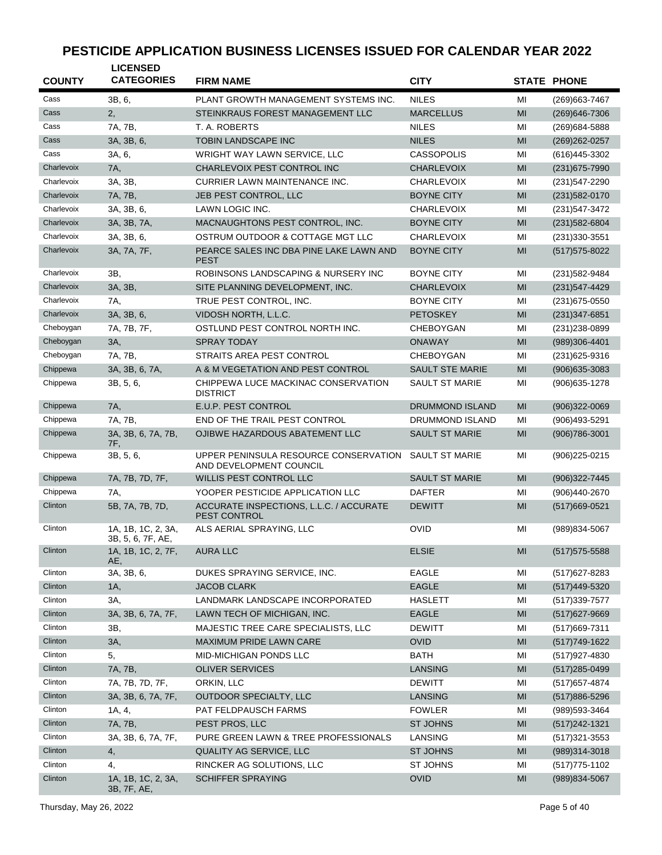| <b>COUNTY</b> | <b>LICENSED</b><br><b>CATEGORIES</b>    | <b>FIRM NAME</b>                                                 | <b>CITY</b>            |    | <b>STATE PHONE</b> |
|---------------|-----------------------------------------|------------------------------------------------------------------|------------------------|----|--------------------|
| Cass          | 3B, 6,                                  | PLANT GROWTH MANAGEMENT SYSTEMS INC.                             | <b>NILES</b>           | MI | (269) 663-7467     |
| Cass          | 2,                                      | STEINKRAUS FOREST MANAGEMENT LLC                                 | <b>MARCELLUS</b>       | MI | (269) 646-7306     |
| Cass          | 7A, 7B,                                 | T. A. ROBERTS                                                    | <b>NILES</b>           | MI | (269) 684-5888     |
| Cass          | 3A, 3B, 6,                              | <b>TOBIN LANDSCAPE INC</b>                                       | <b>NILES</b>           | MI | (269) 262-0257     |
| Cass          | 3A, 6,                                  | WRIGHT WAY LAWN SERVICE, LLC                                     | <b>CASSOPOLIS</b>      | MI | (616) 445-3302     |
| Charlevoix    | 7A,                                     | CHARLEVOIX PEST CONTROL INC                                      | <b>CHARLEVOIX</b>      | MI | $(231)675 - 7990$  |
| Charlevoix    | 3A, 3B,                                 | CURRIER LAWN MAINTENANCE INC.                                    | <b>CHARLEVOIX</b>      | MI | (231) 547-2290     |
| Charlevoix    | 7A, 7B,                                 | JEB PEST CONTROL, LLC                                            | <b>BOYNE CITY</b>      | MI | $(231)582 - 0170$  |
| Charlevoix    | 3A, 3B, 6,                              | LAWN LOGIC INC.                                                  | <b>CHARLEVOIX</b>      | MI | (231) 547-3472     |
| Charlevoix    | 3A, 3B, 7A,                             | MACNAUGHTONS PEST CONTROL, INC.                                  | <b>BOYNE CITY</b>      | MI | $(231)582 - 6804$  |
| Charlevoix    | 3A, 3B, 6,                              | OSTRUM OUTDOOR & COTTAGE MGT LLC                                 | <b>CHARLEVOIX</b>      | MI | (231) 330-3551     |
| Charlevoix    | 3A, 7A, 7F,                             | PEARCE SALES INC DBA PINE LAKE LAWN AND                          | <b>BOYNE CITY</b>      | MI | $(517)575-8022$    |
|               |                                         | <b>PEST</b>                                                      |                        |    |                    |
| Charlevoix    | 3B,                                     | ROBINSONS LANDSCAPING & NURSERY INC                              | <b>BOYNE CITY</b>      | MI | (231) 582-9484     |
| Charlevoix    | 3A, 3B,                                 | SITE PLANNING DEVELOPMENT, INC.                                  | <b>CHARLEVOIX</b>      | MI | $(231)547 - 4429$  |
| Charlevoix    | 7A.                                     | TRUE PEST CONTROL, INC.                                          | <b>BOYNE CITY</b>      | MI | (231) 675-0550     |
| Charlevoix    | 3A, 3B, 6,                              | VIDOSH NORTH, L.L.C.                                             | <b>PETOSKEY</b>        | MI | $(231)347 - 6851$  |
| Cheboygan     | 7A, 7B, 7F,                             | OSTLUND PEST CONTROL NORTH INC.                                  | <b>CHEBOYGAN</b>       | MI | (231) 238-0899     |
| Cheboygan     | 3A,                                     | <b>SPRAY TODAY</b>                                               | <b>ONAWAY</b>          | MI | (989)306-4401      |
| Cheboygan     | 7A, 7B,                                 | STRAITS AREA PEST CONTROL                                        | <b>CHEBOYGAN</b>       | MI | (231) 625-9316     |
| Chippewa      | 3A, 3B, 6, 7A,                          | A & M VEGETATION AND PEST CONTROL                                | <b>SAULT STE MARIE</b> | MI | $(906)635 - 3083$  |
| Chippewa      | 3B, 5, 6,                               | CHIPPEWA LUCE MACKINAC CONSERVATION<br><b>DISTRICT</b>           | <b>SAULT ST MARIE</b>  | MI | (906) 635-1278     |
| Chippewa      | 7A,                                     | <b>E.U.P. PEST CONTROL</b>                                       | <b>DRUMMOND ISLAND</b> | MI | $(906)322 - 0069$  |
| Chippewa      | 7A, 7B,                                 | END OF THE TRAIL PEST CONTROL                                    | DRUMMOND ISLAND        | MI | (906)493-5291      |
| Chippewa      | 3A, 3B, 6, 7A, 7B,<br>7F.               | OJIBWE HAZARDOUS ABATEMENT LLC                                   | <b>SAULT ST MARIE</b>  | MI | (906) 786-3001     |
| Chippewa      | 3B, 5, 6,                               | UPPER PENINSULA RESOURCE CONSERVATION<br>AND DEVELOPMENT COUNCIL | <b>SAULT ST MARIE</b>  | MI | $(906)225 - 0215$  |
| Chippewa      | 7A, 7B, 7D, 7F,                         | WILLIS PEST CONTROL LLC                                          | <b>SAULT ST MARIE</b>  | MI | (906) 322-7445     |
| Chippewa      | 7A.                                     | YOOPER PESTICIDE APPLICATION LLC                                 | <b>DAFTER</b>          | MI | (906)440-2670      |
| Clinton       | 5B, 7A, 7B, 7D,                         | ACCURATE INSPECTIONS, L.L.C. / ACCURATE<br>PEST CONTROL          | <b>DEWITT</b>          | MI | (517) 669-0521     |
| Clinton       | 1A, 1B, 1C, 2, 3A,<br>3B, 5, 6, 7F, AE, | ALS AERIAL SPRAYING, LLC                                         | <b>OVID</b>            | MI | (989)834-5067      |
| Clinton       | 1A, 1B, 1C, 2, 7F,<br>AE,               | <b>AURA LLC</b>                                                  | <b>ELSIE</b>           | MI | (517) 575-5588     |
| Clinton       | 3A, 3B, 6,                              | DUKES SPRAYING SERVICE, INC.                                     | <b>EAGLE</b>           | MI | (517) 627-8283     |
| Clinton       | 1A,                                     | <b>JACOB CLARK</b>                                               | <b>EAGLE</b>           | MI | (517)449-5320      |
| Clinton       | 3A,                                     | LANDMARK LANDSCAPE INCORPORATED                                  | <b>HASLETT</b>         | MI | (517) 339-7577     |
| Clinton       | 3A, 3B, 6, 7A, 7F,                      | LAWN TECH OF MICHIGAN, INC.                                      | EAGLE                  | MI | (517) 627-9669     |
| Clinton       | 3B,                                     | MAJESTIC TREE CARE SPECIALISTS, LLC                              | <b>DEWITT</b>          | MI | (517) 669-7311     |
| Clinton       | 3A,                                     | MAXIMUM PRIDE LAWN CARE                                          | <b>OVID</b>            | MI | $(517)749-1622$    |
| Clinton       | 5,                                      | MID-MICHIGAN PONDS LLC                                           | <b>BATH</b>            | MI | (517)927-4830      |
| Clinton       | 7A, 7B,                                 | <b>OLIVER SERVICES</b>                                           | LANSING                | MI | (517) 285-0499     |
| Clinton       | 7A, 7B, 7D, 7F,                         | ORKIN, LLC                                                       | <b>DEWITT</b>          | MI | (517) 657-4874     |
| Clinton       | 3A, 3B, 6, 7A, 7F,                      | OUTDOOR SPECIALTY, LLC                                           | <b>LANSING</b>         | MI | $(517)886 - 5296$  |
| Clinton       | 1A, 4,                                  | PAT FELDPAUSCH FARMS                                             | <b>FOWLER</b>          | MI | (989) 593-3464     |
| Clinton       | 7A, 7B,                                 | PEST PROS, LLC                                                   | <b>ST JOHNS</b>        | MI | $(517)242 - 1321$  |
| Clinton       | 3A, 3B, 6, 7A, 7F,                      | PURE GREEN LAWN & TREE PROFESSIONALS                             | LANSING                | MI | $(517)321 - 3553$  |
| Clinton       | 4,                                      | <b>QUALITY AG SERVICE, LLC</b>                                   | <b>ST JOHNS</b>        | MI | (989)314-3018      |
| Clinton       | 4,                                      | RINCKER AG SOLUTIONS, LLC                                        | <b>ST JOHNS</b>        | MI | (517) 775-1102     |
| Clinton       | 1A, 1B, 1C, 2, 3A,<br>3B, 7F, AE,       | <b>SCHIFFER SPRAYING</b>                                         | OVID                   | MI | (989) 834-5067     |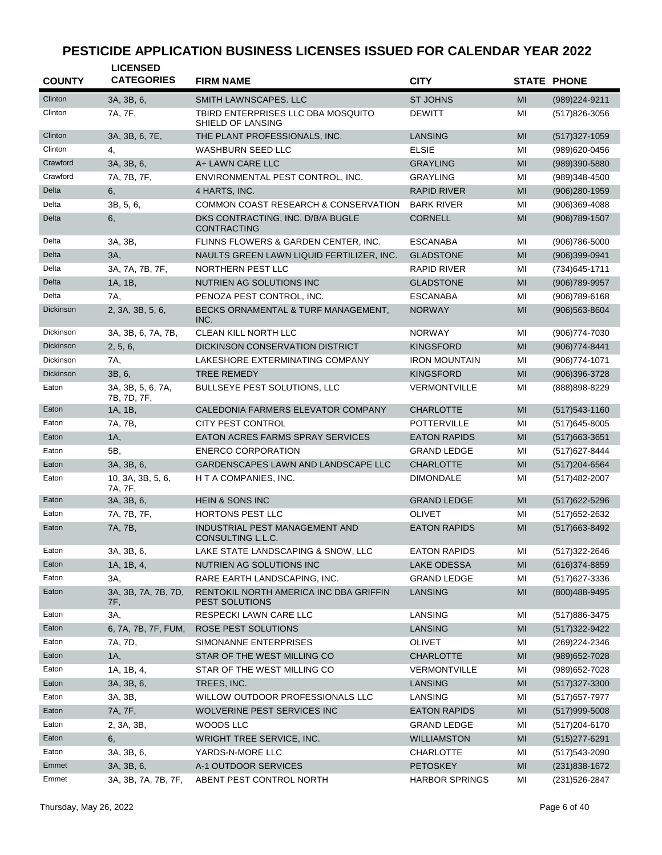| <b>COUNTY</b> | <b>LICENSED</b><br><b>CATEGORIES</b> |                                                          | <b>CITY</b>           |                                                                                                                                                                 |                    |
|---------------|--------------------------------------|----------------------------------------------------------|-----------------------|-----------------------------------------------------------------------------------------------------------------------------------------------------------------|--------------------|
|               |                                      | <b>FIRM NAME</b>                                         |                       |                                                                                                                                                                 | <b>STATE PHONE</b> |
| Clinton       | 3A, 3B, 6,                           | SMITH LAWNSCAPES, LLC                                    | <b>ST JOHNS</b>       | MI                                                                                                                                                              | (989) 224-9211     |
| Clinton       | 7A, 7F,                              | TBIRD ENTERPRISES LLC DBA MOSQUITO<br>SHIELD OF LANSING  | <b>DEWITT</b>         | MI                                                                                                                                                              | $(517)826 - 3056$  |
| Clinton       | 3A, 3B, 6, 7E,                       | THE PLANT PROFESSIONALS, INC.                            | <b>LANSING</b>        | MI                                                                                                                                                              | $(517)327 - 1059$  |
| Clinton       | 4,                                   | <b>WASHBURN SEED LLC</b>                                 | <b>ELSIE</b>          | MI                                                                                                                                                              | (989)620-0456      |
| Crawford      | 3A, 3B, 6,                           | A+ LAWN CARE LLC                                         | <b>GRAYLING</b>       | MI                                                                                                                                                              | (989)390-5880      |
| Crawford      | 7A, 7B, 7F,                          | ENVIRONMENTAL PEST CONTROL, INC.                         | <b>GRAYLING</b>       | MI                                                                                                                                                              | (989)348-4500      |
| Delta         | 6,                                   | 4 HARTS, INC.                                            | <b>RAPID RIVER</b>    | MI                                                                                                                                                              | $(906)280-1959$    |
| Delta         | 3B, 5, 6,                            | COMMON COAST RESEARCH & CONSERVATION                     | <b>BARK RIVER</b>     | MI                                                                                                                                                              | (906)369-4088      |
| Delta         | 6,                                   | DKS CONTRACTING, INC. D/B/A BUGLE<br><b>CONTRACTING</b>  | <b>CORNELL</b>        | MI                                                                                                                                                              | (906) 789-1507     |
| Delta         | 3A, 3B,                              | FLINNS FLOWERS & GARDEN CENTER, INC.                     | <b>ESCANABA</b>       | MI                                                                                                                                                              | $(906)786 - 5000$  |
| Delta         | 3A,                                  | NAULTS GREEN LAWN LIQUID FERTILIZER, INC.                | <b>GLADSTONE</b>      | MI                                                                                                                                                              | (906)399-0941      |
| Delta         | 3A, 7A, 7B, 7F,                      | NORTHERN PEST LLC                                        | <b>RAPID RIVER</b>    | MI                                                                                                                                                              | (734) 645-1711     |
| Delta         | 1A, 1B,                              | NUTRIEN AG SOLUTIONS INC                                 | <b>GLADSTONE</b>      | MI                                                                                                                                                              | (906) 789-9957     |
| Delta         | 7A,                                  | PENOZA PEST CONTROL, INC.                                | <b>ESCANABA</b>       | MI                                                                                                                                                              | (906) 789-6168     |
| Dickinson     | 2, 3A, 3B, 5, 6,                     | BECKS ORNAMENTAL & TURF MANAGEMENT,<br>INC.              | <b>NORWAY</b>         | MI                                                                                                                                                              | (906) 563-8604     |
| Dickinson     | 3A, 3B, 6, 7A, 7B,                   | <b>CLEAN KILL NORTH LLC</b>                              | <b>NORWAY</b>         | MI                                                                                                                                                              | $(906)774 - 7030$  |
| Dickinson     | 2, 5, 6,                             | DICKINSON CONSERVATION DISTRICT                          | <b>KINGSFORD</b>      | MI                                                                                                                                                              | $(906)774 - 8441$  |
| Dickinson     | 7A,                                  | LAKESHORE EXTERMINATING COMPANY                          | <b>IRON MOUNTAIN</b>  | MI                                                                                                                                                              | (906) 774-1071     |
| Dickinson     | 3B, 6,                               | <b>TREE REMEDY</b>                                       | <b>KINGSFORD</b>      | MI                                                                                                                                                              | (906)396-3728      |
| Eaton         | 3A, 3B, 5, 6, 7A,<br>7B, 7D, 7F,     | <b>BULLSEYE PEST SOLUTIONS, LLC</b>                      | <b>VERMONTVILLE</b>   | MI                                                                                                                                                              | (888) 898-8229     |
| Eaton         | 1A, 1B,                              | CALEDONIA FARMERS ELEVATOR COMPANY                       | <b>CHARLOTTE</b>      | MI                                                                                                                                                              | $(517)$ 543-1160   |
| Eaton         | 7A, 7B,                              | <b>CITY PEST CONTROL</b>                                 | <b>POTTERVILLE</b>    | MI                                                                                                                                                              | $(517)645 - 8005$  |
| Eaton         | 1A,                                  | <b>EATON ACRES FARMS SPRAY SERVICES</b>                  | <b>EATON RAPIDS</b>   | MI                                                                                                                                                              | $(517)663 - 3651$  |
| Eaton         | 5B,                                  | <b>ENERCO CORPORATION</b>                                | <b>GRAND LEDGE</b>    | MI                                                                                                                                                              | (517) 627-8444     |
| Eaton         | 3A, 3B, 6,                           | GARDENSCAPES LAWN AND LANDSCAPE LLC                      | <b>CHARLOTTE</b>      | MI                                                                                                                                                              | $(517)204 - 6564$  |
| Eaton         | 10, 3A, 3B, 5, 6,<br>7A, 7F,         | H T A COMPANIES, INC.                                    | <b>DIMONDALE</b>      | MI                                                                                                                                                              | (517) 482-2007     |
| Eaton         | 3A, 3B, 6,                           | <b>HEIN &amp; SONS INC</b>                               | <b>GRAND LEDGE</b>    | MI                                                                                                                                                              | (517) 622-5296     |
| Eaton         | 7A, 7B, 7F,                          | HORTONS PEST LLC                                         | <b>OLIVET</b>         | MI                                                                                                                                                              | (517) 652-2632     |
| Eaton         | 7A, 7B,                              | INDUSTRIAL PEST MANAGEMENT AND<br>CONSULTING L.L.C.      | <b>EATON RAPIDS</b>   | MI                                                                                                                                                              | (517) 663-8492     |
| Eaton         | 3A, 3B, 6,                           | LAKE STATE LANDSCAPING & SNOW, LLC                       | <b>EATON RAPIDS</b>   | $\mathsf{MI}% _{T}=\mathsf{M}_{T}\!\left( a,b\right) ,\ \mathsf{M}_{T}=\mathsf{M}_{T}\!\left( a,b\right) ,\ \mathsf{M}_{T}=\mathsf{M}_{T}\!\left( a,b\right) ,$ | (517) 322-2646     |
| Eaton         | 1A, 1B, 4,                           | NUTRIEN AG SOLUTIONS INC                                 | LAKE ODESSA           | MI                                                                                                                                                              | $(616)374 - 8859$  |
| Eaton         | 3A,                                  | RARE EARTH LANDSCAPING, INC.                             | <b>GRAND LEDGE</b>    | MI                                                                                                                                                              | (517) 627-3336     |
| Eaton         | 3A, 3B, 7A, 7B, 7D,<br>7F,           | RENTOKIL NORTH AMERICA INC DBA GRIFFIN<br>PEST SOLUTIONS | <b>LANSING</b>        | MI                                                                                                                                                              | (800)488-9495      |
| Eaton         | 3A,                                  | RESPECKI LAWN CARE LLC                                   | <b>LANSING</b>        | MI                                                                                                                                                              | (517) 886-3475     |
| Eaton         | 6, 7A, 7B, 7F, FUM,                  | ROSE PEST SOLUTIONS                                      | <b>LANSING</b>        | MI                                                                                                                                                              | (517) 322-9422     |
| Eaton         | 7A, 7D,                              | SIMONANNE ENTERPRISES                                    | <b>OLIVET</b>         | MI                                                                                                                                                              | (269) 224-2346     |
| Eaton         | 1A,                                  | STAR OF THE WEST MILLING CO                              | <b>CHARLOTTE</b>      | MI                                                                                                                                                              | (989) 652-7028     |
| Eaton         | 1A, 1B, 4,                           | STAR OF THE WEST MILLING CO                              | VERMONTVILLE          | MI                                                                                                                                                              | (989) 652-7028     |
| Eaton         | 3A, 3B, 6,                           | TREES, INC.                                              | LANSING               | MI                                                                                                                                                              | $(517)327 - 3300$  |
| Eaton         | 3A, 3B,                              | WILLOW OUTDOOR PROFESSIONALS LLC                         | LANSING               | MI                                                                                                                                                              | (517) 657-7977     |
| Eaton         | 7A, 7F,                              | WOLVERINE PEST SERVICES INC                              | <b>EATON RAPIDS</b>   | MI                                                                                                                                                              | $(517)999 - 5008$  |
| Eaton         | 2, 3A, 3B,                           | WOODS LLC                                                | <b>GRAND LEDGE</b>    | MI                                                                                                                                                              | (517) 204-6170     |
| Eaton         | 6,                                   | WRIGHT TREE SERVICE, INC.                                | <b>WILLIAMSTON</b>    | MI                                                                                                                                                              | (515) 277-6291     |
| Eaton         | 3A, 3B, 6,                           | YARDS-N-MORE LLC                                         | <b>CHARLOTTE</b>      | MI                                                                                                                                                              | (517) 543-2090     |
| Emmet         | 3A, 3B, 6,                           | A-1 OUTDOOR SERVICES                                     | <b>PETOSKEY</b>       | MI                                                                                                                                                              | $(231)838 - 1672$  |
| Emmet         | 3A, 3B, 7A, 7B, 7F,                  | ABENT PEST CONTROL NORTH                                 | <b>HARBOR SPRINGS</b> | MI                                                                                                                                                              | (231) 526-2847     |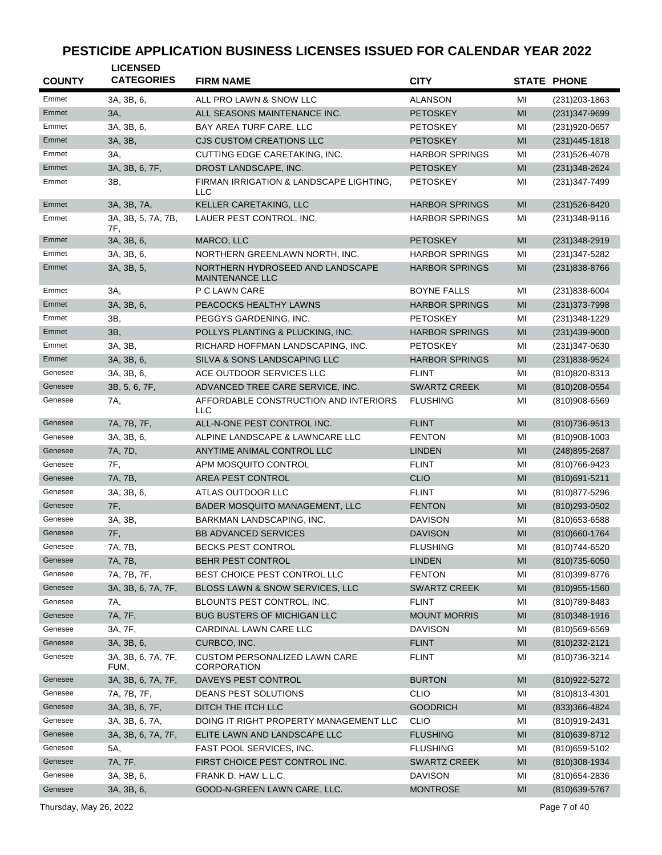| <b>COUNTY</b>  | <b>LICENSED</b><br><b>CATEGORIES</b> | <b>FIRM NAME</b>                                           | <b>CITY</b>           |    | <b>STATE PHONE</b> |
|----------------|--------------------------------------|------------------------------------------------------------|-----------------------|----|--------------------|
|                |                                      |                                                            |                       |    |                    |
| Emmet          | 3A, 3B, 6,                           | ALL PRO LAWN & SNOW LLC                                    | <b>ALANSON</b>        | MI | (231) 203-1863     |
| Emmet<br>Emmet | 3A,                                  | ALL SEASONS MAINTENANCE INC.                               | <b>PETOSKEY</b>       | MI | $(231)347 - 9699$  |
| Emmet          | 3A, 3B, 6,                           | BAY AREA TURF CARE, LLC                                    | <b>PETOSKEY</b>       | MI | (231)920-0657      |
| Emmet          | 3A, 3B,                              | <b>CJS CUSTOM CREATIONS LLC</b>                            | <b>PETOSKEY</b>       | MI | $(231)445 - 1818$  |
| Emmet          | 3A.                                  | CUTTING EDGE CARETAKING, INC.                              | <b>HARBOR SPRINGS</b> | MI | (231) 526-4078     |
| Emmet          | 3A, 3B, 6, 7F,                       | DROST LANDSCAPE, INC.                                      | <b>PETOSKEY</b>       | MI | $(231)348 - 2624$  |
|                | 3B,                                  | FIRMAN IRRIGATION & LANDSCAPE LIGHTING.<br><b>LLC</b>      | <b>PETOSKEY</b>       | MI | (231) 347-7499     |
| Emmet          | 3A, 3B, 7A,                          | KELLER CARETAKING, LLC                                     | <b>HARBOR SPRINGS</b> | MI | (231) 526-8420     |
| Emmet          | 3A, 3B, 5, 7A, 7B,<br>7F,            | LAUER PEST CONTROL, INC.                                   | <b>HARBOR SPRINGS</b> | MI | (231)348-9116      |
| Emmet          | 3A, 3B, 6,                           | MARCO, LLC                                                 | <b>PETOSKEY</b>       | MI | $(231)348-2919$    |
| Emmet          | 3A, 3B, 6,                           | NORTHERN GREENLAWN NORTH, INC.                             | <b>HARBOR SPRINGS</b> | MI | (231) 347-5282     |
| Emmet          | 3A, 3B, 5,                           | NORTHERN HYDROSEED AND LANDSCAPE<br><b>MAINTENANCE LLC</b> | <b>HARBOR SPRINGS</b> | MI | $(231)838 - 8766$  |
| Emmet          | 3A,                                  | P C LAWN CARE                                              | <b>BOYNE FALLS</b>    | MI | (231)838-6004      |
| Emmet          | 3A, 3B, 6,                           | PEACOCKS HEALTHY LAWNS                                     | <b>HARBOR SPRINGS</b> | MI | $(231)373 - 7998$  |
| Emmet          | 3B,                                  | PEGGYS GARDENING. INC.                                     | <b>PETOSKEY</b>       | MI | (231) 348-1229     |
| Emmet          | 3B,                                  | POLLYS PLANTING & PLUCKING, INC.                           | <b>HARBOR SPRINGS</b> | MI | (231)439-9000      |
| Emmet          | 3A, 3B,                              | RICHARD HOFFMAN LANDSCAPING, INC.                          | <b>PETOSKEY</b>       | MI | (231) 347-0630     |
| Emmet          | 3A, 3B, 6,                           | SILVA & SONS LANDSCAPING LLC                               | <b>HARBOR SPRINGS</b> | MI | (231) 838-9524     |
| Genesee        | 3A, 3B, 6,                           | ACE OUTDOOR SERVICES LLC                                   | <b>FLINT</b>          | MI | (810) 820-8313     |
| Genesee        | 3B, 5, 6, 7F,                        | ADVANCED TREE CARE SERVICE, INC.                           | <b>SWARTZ CREEK</b>   | MI | (810) 208-0554     |
| Genesee        | 7A,                                  | AFFORDABLE CONSTRUCTION AND INTERIORS<br><b>LLC</b>        | <b>FLUSHING</b>       | MI | (810)908-6569      |
| Genesee        | 7A, 7B, 7F,                          | ALL-N-ONE PEST CONTROL INC.                                | <b>FLINT</b>          | MI | (810) 736-9513     |
| Genesee        | 3A, 3B, 6,                           | ALPINE LANDSCAPE & LAWNCARE LLC                            | <b>FENTON</b>         | MI | (810)908-1003      |
| Genesee        | 7A, 7D,                              | ANYTIME ANIMAL CONTROL LLC                                 | <b>LINDEN</b>         | MI | (248) 895-2687     |
| Genesee        | 7F,                                  | APM MOSQUITO CONTROL                                       | <b>FLINT</b>          | MI | (810) 766-9423     |
| Genesee        | 7A, 7B,                              | AREA PEST CONTROL                                          | <b>CLIO</b>           | MI | (810)691-5211      |
| Genesee        | 3A, 3B, 6,                           | ATLAS OUTDOOR LLC                                          | <b>FLINT</b>          | MI | (810) 877-5296     |
| Genesee        | 7F,                                  | BADER MOSQUITO MANAGEMENT, LLC                             | <b>FENTON</b>         | MI | (810) 293-0502     |
| Genesee        | 3A, 3B,                              | BARKMAN LANDSCAPING, INC.                                  | <b>DAVISON</b>        | MI | (810) 653-6588     |
| Genesee        | 7F,                                  | <b>BB ADVANCED SERVICES</b>                                | <b>DAVISON</b>        | MI | (810)660-1764      |
| Genesee        | 7A, 7B,                              | <b>BECKS PEST CONTROL</b>                                  | <b>FLUSHING</b>       | MI | (810) 744-6520     |
| Genesee        | 7A, 7B,                              | BEHR PEST CONTROL                                          | <b>LINDEN</b>         | MI | $(810)735 - 6050$  |
| Genesee        | 7A, 7B, 7F,                          | BEST CHOICE PEST CONTROL LLC                               | <b>FENTON</b>         | MI | (810)399-8776      |
| Genesee        | 3A, 3B, 6, 7A, 7F,                   | BLOSS LAWN & SNOW SERVICES, LLC                            | <b>SWARTZ CREEK</b>   | MI | $(810)955 - 1560$  |
| Genesee        | 7A,                                  | BLOUNTS PEST CONTROL, INC.                                 | <b>FLINT</b>          | MI | (810) 789-8483     |
| Genesee        | 7A, 7F,                              | <b>BUG BUSTERS OF MICHIGAN LLC</b>                         | <b>MOUNT MORRIS</b>   | MI | (810) 348-1916     |
| Genesee        | 3A, 7F,                              | CARDINAL LAWN CARE LLC                                     | <b>DAVISON</b>        | MI | $(810)569 - 6569$  |
| Genesee        | 3A, 3B, 6,                           | CURBCO, INC.                                               | <b>FLINT</b>          | MI | (810) 232-2121     |
| Genesee        | 3A, 3B, 6, 7A, 7F,<br>FUM,           | <b>CUSTOM PERSONALIZED LAWN CARE</b><br><b>CORPORATION</b> | <b>FLINT</b>          | MI | (810) 736-3214     |
| Genesee        | 3A, 3B, 6, 7A, 7F,                   | DAVEYS PEST CONTROL                                        | <b>BURTON</b>         | MI | (810) 922-5272     |
| Genesee        | 7A, 7B, 7F,                          | DEANS PEST SOLUTIONS                                       | <b>CLIO</b>           | MI | (810) 813-4301     |
| Genesee        | 3A, 3B, 6, 7F,                       | DITCH THE ITCH LLC                                         | <b>GOODRICH</b>       | MI | (833) 366-4824     |
| Genesee        | 3A, 3B, 6, 7A,                       | DOING IT RIGHT PROPERTY MANAGEMENT LLC                     | <b>CLIO</b>           | MI | (810)919-2431      |
| Genesee        | 3A, 3B, 6, 7A, 7F,                   | ELITE LAWN AND LANDSCAPE LLC                               | <b>FLUSHING</b>       | MI | (810) 639-8712     |
| Genesee        | 5A,                                  | FAST POOL SERVICES, INC.                                   | <b>FLUSHING</b>       | MI | (810) 659-5102     |
| Genesee        | 7A, 7F,                              | FIRST CHOICE PEST CONTROL INC.                             | <b>SWARTZ CREEK</b>   | MI | (810)308-1934      |
| Genesee        | 3A, 3B, 6,                           | FRANK D. HAW L.L.C.                                        | <b>DAVISON</b>        | MI | (810) 654-2836     |
| Genesee        | 3A, 3B, 6,                           | GOOD-N-GREEN LAWN CARE, LLC.                               | <b>MONTROSE</b>       | MI | (810) 639-5767     |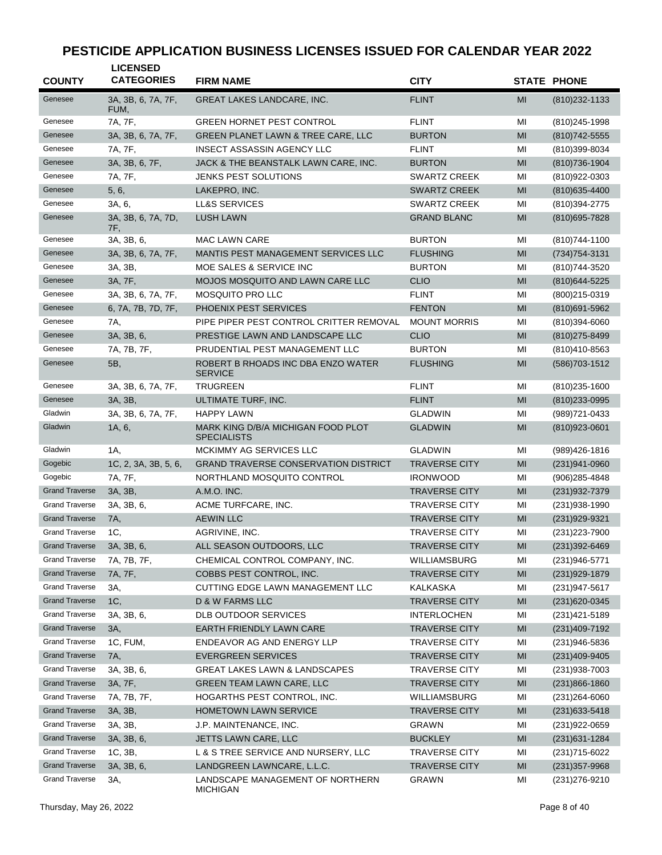| <b>COUNTY</b>         | <b>LICENSED</b><br><b>CATEGORIES</b> | <b>FIRM NAME</b>                                         | <b>CITY</b>          |    | <b>STATE PHONE</b> |
|-----------------------|--------------------------------------|----------------------------------------------------------|----------------------|----|--------------------|
| Genesee               | 3A, 3B, 6, 7A, 7F,<br>FUM,           | <b>GREAT LAKES LANDCARE, INC.</b>                        | <b>FLINT</b>         | MI | $(810)$ 232-1133   |
| Genesee               | 7A, 7F,                              | <b>GREEN HORNET PEST CONTROL</b>                         | <b>FLINT</b>         | MI | (810) 245-1998     |
| Genesee               | 3A, 3B, 6, 7A, 7F,                   | GREEN PLANET LAWN & TREE CARE, LLC                       | <b>BURTON</b>        | MI | (810) 742-5555     |
| Genesee               | 7A, 7F,                              | <b>INSECT ASSASSIN AGENCY LLC</b>                        | <b>FLINT</b>         | MI | (810)399-8034      |
| Genesee               | 3A, 3B, 6, 7F,                       | JACK & THE BEANSTALK LAWN CARE, INC.                     | <b>BURTON</b>        | MI | (810) 736-1904     |
| Genesee               | 7A, 7F,                              | <b>JENKS PEST SOLUTIONS</b>                              | <b>SWARTZ CREEK</b>  | MI | (810)922-0303      |
| Genesee               | 5, 6,                                | LAKEPRO, INC.                                            | <b>SWARTZ CREEK</b>  | MI | $(810)635 - 4400$  |
| Genesee               | 3A, 6,                               | LL&S SERVICES                                            | SWARTZ CREEK         | MI | (810) 394-2775     |
| Genesee               | 3A, 3B, 6, 7A, 7D,<br>7F,            | <b>LUSH LAWN</b>                                         | <b>GRAND BLANC</b>   | MI | (810) 695 - 7828   |
| Genesee               | 3A, 3B, 6,                           | <b>MAC LAWN CARE</b>                                     | <b>BURTON</b>        | MI | (810) 744-1100     |
| Genesee               | 3A, 3B, 6, 7A, 7F,                   | MANTIS PEST MANAGEMENT SERVICES LLC                      | <b>FLUSHING</b>      | MI | $(734)754 - 3131$  |
| Genesee               | 3A, 3B,                              | MOE SALES & SERVICE INC                                  | <b>BURTON</b>        | MI | (810) 744-3520     |
| Genesee               | 3A, 7F,                              | MOJOS MOSQUITO AND LAWN CARE LLC                         | <b>CLIO</b>          | MI | (810) 644-5225     |
| Genesee               | 3A, 3B, 6, 7A, 7F,                   | <b>MOSQUITO PRO LLC</b>                                  | <b>FLINT</b>         | MI | (800)215-0319      |
| Genesee               | 6, 7A, 7B, 7D, 7F,                   | PHOENIX PEST SERVICES                                    | <b>FENTON</b>        | MI | (810)691-5962      |
| Genesee               | 7A.                                  | PIPE PIPER PEST CONTROL CRITTER REMOVAL                  | <b>MOUNT MORRIS</b>  | MI | (810)394-6060      |
| Genesee               | 3A, 3B, 6,                           | PRESTIGE LAWN AND LANDSCAPE LLC                          | <b>CLIO</b>          | MI | (810) 275-8499     |
| Genesee               | 7A, 7B, 7F,                          | PRUDENTIAL PEST MANAGEMENT LLC                           | <b>BURTON</b>        | MI | (810)410-8563      |
| Genesee               | 5B,                                  | ROBERT B RHOADS INC DBA ENZO WATER<br><b>SERVICE</b>     | <b>FLUSHING</b>      | MI | (586) 703-1512     |
| Genesee               | 3A, 3B, 6, 7A, 7F,                   | <b>TRUGREEN</b>                                          | <b>FLINT</b>         | MI | $(810)$ 235-1600   |
| Genesee               | 3A, 3B,                              | ULTIMATE TURF, INC.                                      | <b>FLINT</b>         | MI | (810) 233-0995     |
| Gladwin               | 3A, 3B, 6, 7A, 7F,                   | <b>HAPPY LAWN</b>                                        | <b>GLADWIN</b>       | MI | (989) 721-0433     |
| Gladwin               | 1A, 6,                               | MARK KING D/B/A MICHIGAN FOOD PLOT<br><b>SPECIALISTS</b> | <b>GLADWIN</b>       | MI | (810)923-0601      |
| Gladwin               | 1A,                                  | MCKIMMY AG SERVICES LLC                                  | <b>GLADWIN</b>       | MI | (989)426-1816      |
| Gogebic               | 1C, 2, 3A, 3B, 5, 6,                 | <b>GRAND TRAVERSE CONSERVATION DISTRICT</b>              | <b>TRAVERSE CITY</b> | MI | $(231)941 - 0960$  |
| Gogebic               | 7A, 7F,                              | NORTHLAND MOSQUITO CONTROL                               | <b>IRONWOOD</b>      | MI | $(906)285 - 4848$  |
| <b>Grand Traverse</b> | 3A, 3B,                              | A.M.O. INC.                                              | <b>TRAVERSE CITY</b> | MI | (231) 932-7379     |
| <b>Grand Traverse</b> | 3A, 3B, 6,                           | ACME TURFCARE, INC.                                      | <b>TRAVERSE CITY</b> | MI | (231) 938-1990     |
| <b>Grand Traverse</b> | 7A,                                  | <b>AEWIN LLC</b>                                         | <b>TRAVERSE CITY</b> | MI | (231) 929-9321     |
| <b>Grand Traverse</b> | 1C,                                  | AGRIVINE, INC.                                           | <b>TRAVERSE CITY</b> | MI | (231) 223-7900     |
| <b>Grand Traverse</b> | 3A, 3B, 6,                           | ALL SEASON OUTDOORS, LLC                                 | <b>TRAVERSE CITY</b> | MI | (231) 392-6469     |
| <b>Grand Traverse</b> | 7A, 7B, 7F,                          | CHEMICAL CONTROL COMPANY, INC.                           | <b>WILLIAMSBURG</b>  | MI | (231) 946-5771     |
| <b>Grand Traverse</b> | 7A, 7F,                              | COBBS PEST CONTROL, INC.                                 | <b>TRAVERSE CITY</b> | MI | (231) 929-1879     |
| <b>Grand Traverse</b> | 3A,                                  | <b>CUTTING EDGE LAWN MANAGEMENT LLC</b>                  | <b>KALKASKA</b>      | MI | (231) 947-5617     |
| <b>Grand Traverse</b> | 1C,                                  | D & W FARMS LLC                                          | <b>TRAVERSE CITY</b> | MI | $(231)620-0345$    |
| <b>Grand Traverse</b> | 3A, 3B, 6,                           | <b>DLB OUTDOOR SERVICES</b>                              | <b>INTERLOCHEN</b>   | MI | (231) 421-5189     |
| <b>Grand Traverse</b> | 3A,                                  | EARTH FRIENDLY LAWN CARE                                 | <b>TRAVERSE CITY</b> | MI | (231)409-7192      |
| <b>Grand Traverse</b> | 1C, FUM,                             | ENDEAVOR AG AND ENERGY LLP                               | <b>TRAVERSE CITY</b> | MI | (231)946-5836      |
| <b>Grand Traverse</b> | <b>7A</b> ,                          | <b>EVERGREEN SERVICES</b>                                | <b>TRAVERSE CITY</b> | MI | (231)409-9405      |
| <b>Grand Traverse</b> | 3A, 3B, 6,                           | <b>GREAT LAKES LAWN &amp; LANDSCAPES</b>                 | <b>TRAVERSE CITY</b> | MI | (231) 938-7003     |
| <b>Grand Traverse</b> | 3A, 7F,                              | <b>GREEN TEAM LAWN CARE, LLC</b>                         | <b>TRAVERSE CITY</b> | MI | $(231)866 - 1860$  |
| <b>Grand Traverse</b> | 7A, 7B, 7F,                          | HOGARTHS PEST CONTROL, INC.                              | WILLIAMSBURG         | MI | $(231)264 - 6060$  |
| <b>Grand Traverse</b> | 3A, 3B,                              | HOMETOWN LAWN SERVICE                                    | <b>TRAVERSE CITY</b> | MI | $(231)633 - 5418$  |
| <b>Grand Traverse</b> | 3A, 3B,                              | J.P. MAINTENANCE, INC.                                   | GRAWN                | MI | (231) 922-0659     |
| <b>Grand Traverse</b> | 3A, 3B, 6,                           | JETTS LAWN CARE, LLC                                     | <b>BUCKLEY</b>       | MI | $(231)631 - 1284$  |
| <b>Grand Traverse</b> | 1C, 3B,                              | L & S TREE SERVICE AND NURSERY, LLC                      | <b>TRAVERSE CITY</b> | MI | (231) 715-6022     |
| <b>Grand Traverse</b> | 3A, 3B, 6,                           | LANDGREEN LAWNCARE, L.L.C.                               | <b>TRAVERSE CITY</b> | MI | $(231)357 - 9968$  |
| <b>Grand Traverse</b> | 3A,                                  | LANDSCAPE MANAGEMENT OF NORTHERN<br><b>MICHIGAN</b>      | GRAWN                | MI | (231) 276-9210     |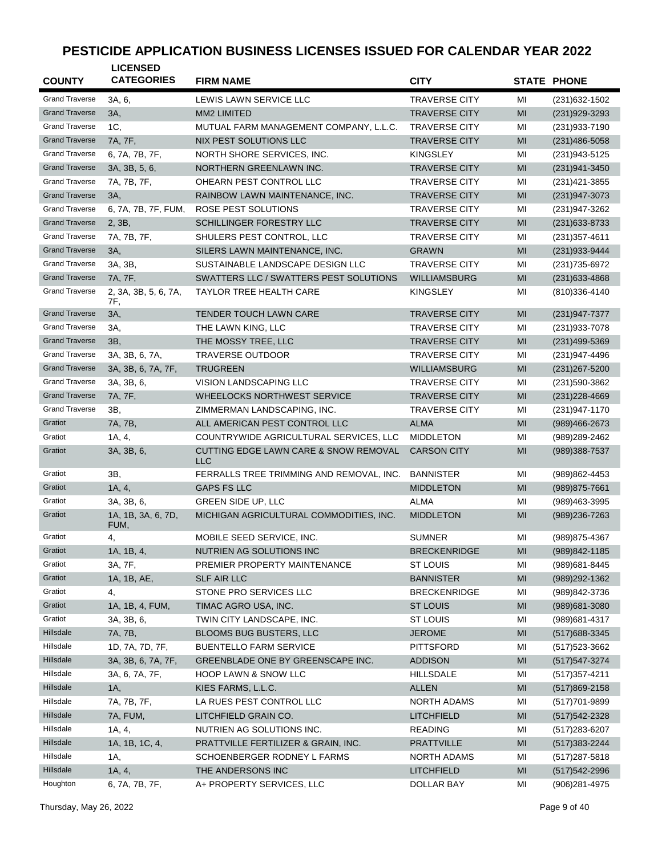| <b>COUNTY</b>         | <b>LICENSED</b><br><b>CATEGORIES</b> | <b>FIRM NAME</b>                                    | <b>CITY</b>          |    | <b>STATE PHONE</b> |
|-----------------------|--------------------------------------|-----------------------------------------------------|----------------------|----|--------------------|
|                       |                                      |                                                     |                      |    |                    |
| <b>Grand Traverse</b> | 3A, 6,                               | LEWIS LAWN SERVICE LLC                              | <b>TRAVERSE CITY</b> | MI | (231) 632-1502     |
| <b>Grand Traverse</b> | 3A,                                  | MM2 LIMITED                                         | <b>TRAVERSE CITY</b> | MI | (231) 929-3293     |
| <b>Grand Traverse</b> | 1C,                                  | MUTUAL FARM MANAGEMENT COMPANY, L.L.C.              | <b>TRAVERSE CITY</b> | MI | (231) 933-7190     |
| <b>Grand Traverse</b> | 7A, 7F,                              | NIX PEST SOLUTIONS LLC                              | <b>TRAVERSE CITY</b> | MI | (231)486-5058      |
| <b>Grand Traverse</b> | 6, 7A, 7B, 7F,                       | NORTH SHORE SERVICES, INC.                          | <b>KINGSLEY</b>      | MI | (231) 943-5125     |
| <b>Grand Traverse</b> | 3A, 3B, 5, 6,                        | NORTHERN GREENLAWN INC.                             | <b>TRAVERSE CITY</b> | МI | (231) 941-3450     |
| <b>Grand Traverse</b> | 7A, 7B, 7F,                          | OHEARN PEST CONTROL LLC                             | <b>TRAVERSE CITY</b> | MI | (231) 421-3855     |
| <b>Grand Traverse</b> | 3A,                                  | RAINBOW LAWN MAINTENANCE, INC.                      | <b>TRAVERSE CITY</b> | MI | (231) 947-3073     |
| <b>Grand Traverse</b> | 6, 7A, 7B, 7F, FUM,                  | ROSE PEST SOLUTIONS                                 | <b>TRAVERSE CITY</b> | MI | (231) 947-3262     |
| <b>Grand Traverse</b> | 2, 3B,                               | SCHILLINGER FORESTRY LLC                            | <b>TRAVERSE CITY</b> | MI | $(231)633 - 8733$  |
| <b>Grand Traverse</b> | 7A, 7B, 7F,                          | SHULERS PEST CONTROL, LLC                           | <b>TRAVERSE CITY</b> | MI | $(231)357 - 4611$  |
| <b>Grand Traverse</b> | 3A,                                  | SILERS LAWN MAINTENANCE, INC.                       | <b>GRAWN</b>         | MI | (231) 933-9444     |
| <b>Grand Traverse</b> | 3A, 3B,                              | SUSTAINABLE LANDSCAPE DESIGN LLC                    | <b>TRAVERSE CITY</b> | MI | (231) 735-6972     |
| <b>Grand Traverse</b> | 7A, 7F,                              | SWATTERS LLC / SWATTERS PEST SOLUTIONS              | <b>WILLIAMSBURG</b>  | MI | (231) 633-4868     |
| <b>Grand Traverse</b> | 2, 3A, 3B, 5, 6, 7A,<br>7F,          | <b>TAYLOR TREE HEALTH CARE</b>                      | <b>KINGSLEY</b>      | MI | (810)336-4140      |
| <b>Grand Traverse</b> | 3A,                                  | <b>TENDER TOUCH LAWN CARE</b>                       | <b>TRAVERSE CITY</b> | MI | (231) 947-7377     |
| <b>Grand Traverse</b> | 3A,                                  | THE LAWN KING, LLC                                  | <b>TRAVERSE CITY</b> | MI | (231) 933-7078     |
| <b>Grand Traverse</b> | 3B,                                  | THE MOSSY TREE, LLC                                 | <b>TRAVERSE CITY</b> | MI | (231)499-5369      |
| <b>Grand Traverse</b> | 3A, 3B, 6, 7A,                       | <b>TRAVERSE OUTDOOR</b>                             | <b>TRAVERSE CITY</b> | MI | (231)947-4496      |
| <b>Grand Traverse</b> | 3A, 3B, 6, 7A, 7F,                   | <b>TRUGREEN</b>                                     | <b>WILLIAMSBURG</b>  | MI | (231) 267-5200     |
| <b>Grand Traverse</b> | 3A, 3B, 6,                           | VISION LANDSCAPING LLC                              | <b>TRAVERSE CITY</b> | MI | (231) 590-3862     |
| <b>Grand Traverse</b> | 7A, 7F,                              | WHEELOCKS NORTHWEST SERVICE                         | <b>TRAVERSE CITY</b> | MI | $(231)228 - 4669$  |
| <b>Grand Traverse</b> | 3B,                                  | ZIMMERMAN LANDSCAPING, INC.                         | <b>TRAVERSE CITY</b> | MI | (231) 947-1170     |
| Gratiot               | 7A, 7B,                              | ALL AMERICAN PEST CONTROL LLC                       | <b>ALMA</b>          | MI | (989)466-2673      |
| Gratiot               | 1A, 4,                               | COUNTRYWIDE AGRICULTURAL SERVICES, LLC              | <b>MIDDLETON</b>     | MI | (989)289-2462      |
| Gratiot               | 3A, 3B, 6,                           | CUTTING EDGE LAWN CARE & SNOW REMOVAL<br><b>LLC</b> | <b>CARSON CITY</b>   | MI | (989)388-7537      |
| Gratiot               | 3B,                                  | FERRALLS TREE TRIMMING AND REMOVAL, INC.            | <b>BANNISTER</b>     | MI | (989)862-4453      |
| Gratiot               | 1A, 4,                               | <b>GAPS FS LLC</b>                                  | <b>MIDDLETON</b>     | MI | (989) 875-7661     |
| Gratiot               | 3A, 3B, 6,                           | GREEN SIDE UP, LLC                                  | ALMA                 | MI | (989)463-3995      |
| Gratiot               | 1A, 1B, 3A, 6, 7D,<br>FUM,           | MICHIGAN AGRICULTURAL COMMODITIES, INC.             | <b>MIDDLETON</b>     | MI | (989) 236-7263     |
| Gratiot               | 4,                                   | MOBILE SEED SERVICE, INC.                           | <b>SUMNER</b>        | MI | (989) 875-4367     |
| Gratiot               | 1A, 1B, 4,                           | NUTRIEN AG SOLUTIONS INC                            | <b>BRECKENRIDGE</b>  | MI | (989)842-1185      |
| Gratiot               | 3A, 7F,                              | PREMIER PROPERTY MAINTENANCE                        | ST LOUIS             | MI | (989) 681-8445     |
| Gratiot               | 1A, 1B, AE,                          | SLF AIR LLC                                         | <b>BANNISTER</b>     | MI | (989) 292-1362     |
| Gratiot               | 4,                                   | STONE PRO SERVICES LLC                              | <b>BRECKENRIDGE</b>  | MI | (989)842-3736      |
| Gratiot               | 1A, 1B, 4, FUM,                      | TIMAC AGRO USA, INC.                                | <b>ST LOUIS</b>      | MI | (989) 681-3080     |
| Gratiot               | 3A, 3B, 6,                           | TWIN CITY LANDSCAPE, INC.                           | ST LOUIS             | MI | (989) 681-4317     |
| Hillsdale             | 7A, 7B,                              | <b>BLOOMS BUG BUSTERS, LLC</b>                      | <b>JEROME</b>        | MI | (517) 688-3345     |
| Hillsdale             | 1D, 7A, 7D, 7F,                      | <b>BUENTELLO FARM SERVICE</b>                       | <b>PITTSFORD</b>     | MI | (517) 523-3662     |
| Hillsdale             | 3A, 3B, 6, 7A, 7F,                   | GREENBLADE ONE BY GREENSCAPE INC.                   | <b>ADDISON</b>       | MI | (517) 547-3274     |
| Hillsdale             | 3A, 6, 7A, 7F,                       | HOOP LAWN & SNOW LLC                                | <b>HILLSDALE</b>     | MI | $(517)357 - 4211$  |
| Hillsdale             | 1A,                                  | KIES FARMS, L.L.C.                                  | <b>ALLEN</b>         | MI | $(517)869 - 2158$  |
| Hillsdale             | 7A, 7B, 7F,                          | LA RUES PEST CONTROL LLC                            | NORTH ADAMS          | MI | (517) 701-9899     |
| Hillsdale             | 7A, FUM,                             | LITCHFIELD GRAIN CO.                                | <b>LITCHFIELD</b>    | MI | (517) 542-2328     |
| Hillsdale             | 1A, 4,                               | NUTRIEN AG SOLUTIONS INC.                           | <b>READING</b>       | MI | (517) 283-6207     |
| Hillsdale             | 1A, 1B, 1C, 4,                       | PRATTVILLE FERTILIZER & GRAIN, INC.                 | <b>PRATTVILLE</b>    | MI | (517) 383-2244     |
| Hillsdale             | 1A,                                  | SCHOENBERGER RODNEY L FARMS                         | NORTH ADAMS          | MI | (517) 287-5818     |
| Hillsdale             | 1A, 4,                               | THE ANDERSONS INC                                   | <b>LITCHFIELD</b>    | MI | (517) 542-2996     |
| Houghton              | 6, 7A, 7B, 7F,                       | A+ PROPERTY SERVICES, LLC                           | DOLLAR BAY           | MI | (906)281-4975      |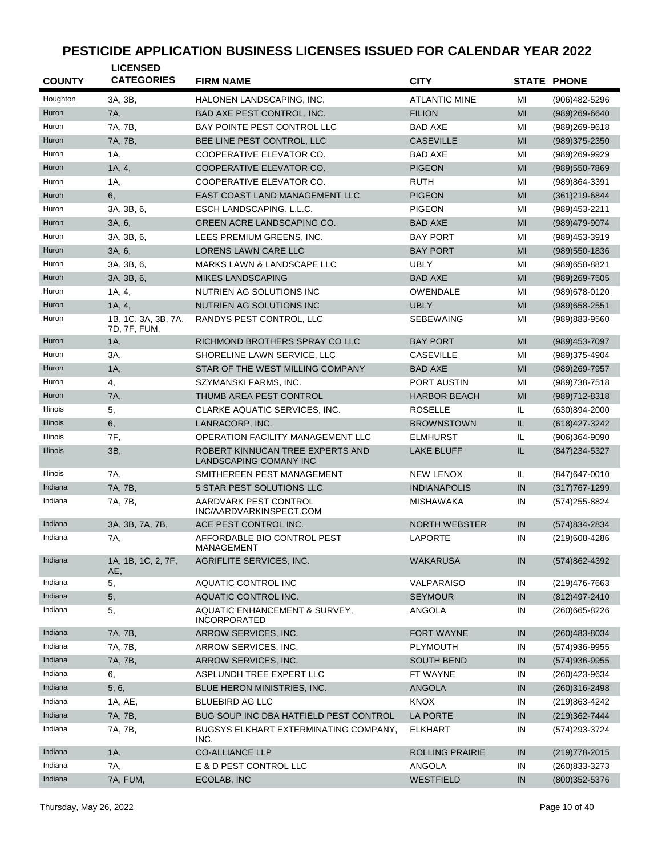| <b>COUNTY</b>   | <b>LICENSED</b><br><b>CATEGORIES</b> | <b>FIRM NAME</b>                                           | <b>CITY</b>            |     | <b>STATE PHONE</b> |
|-----------------|--------------------------------------|------------------------------------------------------------|------------------------|-----|--------------------|
| Houghton        | 3A, 3B,                              | HALONEN LANDSCAPING, INC.                                  | <b>ATLANTIC MINE</b>   | MI  | (906)482-5296      |
| Huron           | 7A,                                  | BAD AXE PEST CONTROL, INC.                                 | <b>FILION</b>          | MI  | $(989)269-6640$    |
| Huron           | 7A, 7B,                              | BAY POINTE PEST CONTROL LLC                                | <b>BAD AXE</b>         | MI  | (989)269-9618      |
| Huron           | 7A, 7B,                              | BEE LINE PEST CONTROL, LLC                                 | <b>CASEVILLE</b>       | MI  | (989)375-2350      |
| Huron           | 1A,                                  | COOPERATIVE ELEVATOR CO.                                   | <b>BAD AXE</b>         | MI  | (989)269-9929      |
| Huron           | 1A, 4,                               | COOPERATIVE ELEVATOR CO.                                   | <b>PIGEON</b>          | MI  | (989) 550-7869     |
| Huron           | 1A,                                  | COOPERATIVE ELEVATOR CO.                                   | <b>RUTH</b>            | MI  | (989)864-3391      |
| Huron           | 6,                                   | EAST COAST LAND MANAGEMENT LLC                             | <b>PIGEON</b>          | MI  | $(361)219-6844$    |
| Huron           | 3A. 3B. 6.                           | ESCH LANDSCAPING, L.L.C.                                   | <b>PIGEON</b>          | MI  | (989) 453-2211     |
| Huron           | 3A, 6,                               | <b>GREEN ACRE LANDSCAPING CO.</b>                          | <b>BAD AXE</b>         | MI  | (989)479-9074      |
| Huron           | 3A, 3B, 6,                           | LEES PREMIUM GREENS, INC.                                  | <b>BAY PORT</b>        | MI  | (989)453-3919      |
| Huron           | 3A, 6,                               | LORENS LAWN CARE LLC                                       | <b>BAY PORT</b>        | MI  | (989) 550-1836     |
| Huron           | 3A, 3B, 6,                           | MARKS LAWN & LANDSCAPE LLC                                 | <b>UBLY</b>            | MI  | (989) 658-8821     |
| Huron           | 3A, 3B, 6,                           | <b>MIKES LANDSCAPING</b>                                   | <b>BAD AXE</b>         | MI  | (989)269-7505      |
| Huron           | 1A, 4,                               | NUTRIEN AG SOLUTIONS INC                                   | <b>OWENDALE</b>        | MI  | (989) 678-0120     |
| Huron           | 1A, 4,                               | NUTRIEN AG SOLUTIONS INC                                   | <b>UBLY</b>            | MI  | (989) 658-2551     |
| Huron           | 1B, 1C, 3A, 3B, 7A,<br>7D, 7F, FUM,  | RANDYS PEST CONTROL, LLC                                   | <b>SEBEWAING</b>       | MI  | (989)883-9560      |
| Huron           | 1A,                                  | RICHMOND BROTHERS SPRAY CO LLC                             | <b>BAY PORT</b>        | MI  | (989) 453-7097     |
| Huron           | 3A,                                  | SHORELINE LAWN SERVICE, LLC                                | <b>CASEVILLE</b>       | MI  | (989) 375-4904     |
| Huron           | $1A$ ,                               | STAR OF THE WEST MILLING COMPANY                           | <b>BAD AXE</b>         | MI  | $(989)269 - 7957$  |
| Huron           | 4,                                   | SZYMANSKI FARMS, INC.                                      | PORT AUSTIN            | MI  | (989) 738-7518     |
| Huron           | <b>7A</b> ,                          | THUMB AREA PEST CONTROL                                    | <b>HARBOR BEACH</b>    | MI  | $(989)712 - 8318$  |
| Illinois        | 5,                                   | CLARKE AQUATIC SERVICES, INC.                              | <b>ROSELLE</b>         | IL. | $(630)894 - 2000$  |
| <b>Illinois</b> | 6,                                   | LANRACORP, INC.                                            | <b>BROWNSTOWN</b>      | IL. | (618) 427-3242     |
| Illinois        | 7F,                                  | <b>OPERATION FACILITY MANAGEMENT LLC</b>                   | <b>ELMHURST</b>        | IL. | $(906)364 - 9090$  |
| Illinois        | 3B,                                  | ROBERT KINNUCAN TREE EXPERTS AND<br>LANDSCAPING COMANY INC | <b>LAKE BLUFF</b>      | IL. | $(847)$ 234-5327   |
| Illinois        | 7A,                                  | SMITHEREEN PEST MANAGEMENT                                 | <b>NEW LENOX</b>       | IL. | $(847)$ 647-0010   |
| Indiana         | 7A, 7B,                              | 5 STAR PEST SOLUTIONS LLC                                  | <b>INDIANAPOLIS</b>    | IN  | $(317)767 - 1299$  |
| Indiana         | 7A, 7B,                              | AARDVARK PEST CONTROL<br>INC/AARDVARKINSPECT.COM           | <b>MISHAWAKA</b>       | IN  | (574) 255-8824     |
| Indiana         | 3A, 3B, 7A, 7B,                      | ACE PEST CONTROL INC.                                      | <b>NORTH WEBSTER</b>   | IN  | (574) 834-2834     |
| Indiana         | 7A,                                  | AFFORDABLE BIO CONTROL PEST<br>MANAGEMENT                  | <b>LAPORTE</b>         | IN  | (219)608-4286      |
| Indiana         | 1A, 1B, 1C, 2, 7F,<br>AE             | AGRIFLITE SERVICES, INC.                                   | <b>WAKARUSA</b>        | IN  | (574) 862-4392     |
| Indiana         | 5,                                   | AQUATIC CONTROL INC                                        | VALPARAISO             | IN  | (219) 476-7663     |
| Indiana         | 5,                                   | AQUATIC CONTROL INC.                                       | <b>SEYMOUR</b>         | IN  | (812) 497-2410     |
| Indiana         | 5,                                   | AQUATIC ENHANCEMENT & SURVEY,<br><b>INCORPORATED</b>       | ANGOLA                 | IN  | (260) 665-8226     |
| Indiana         | 7A, 7B,                              | ARROW SERVICES, INC.                                       | FORT WAYNE             | IN  | (260) 483-8034     |
| Indiana         | 7A, 7B,                              | ARROW SERVICES, INC.                                       | <b>PLYMOUTH</b>        | IN  | (574) 936-9955     |
| Indiana         | 7A, 7B,                              | ARROW SERVICES, INC.                                       | <b>SOUTH BEND</b>      | IN  | $(574)936-9955$    |
| Indiana         | 6,                                   | ASPLUNDH TREE EXPERT LLC                                   | FT WAYNE               | IN  | (260) 423-9634     |
| Indiana         | 5, 6,                                | BLUE HERON MINISTRIES, INC.                                | ANGOLA                 | IN  | (260)316-2498      |
| Indiana         | 1A, AE,                              | <b>BLUEBIRD AG LLC</b>                                     | <b>KNOX</b>            | IN  | (219)863-4242      |
| Indiana         | 7A, 7B,                              | BUG SOUP INC DBA HATFIELD PEST CONTROL                     | <b>LA PORTE</b>        | IN  | (219) 362-7444     |
| Indiana         | 7A, 7B,                              | BUGSYS ELKHART EXTERMINATING COMPANY,<br>INC.              | <b>ELKHART</b>         | IN  | (574) 293-3724     |
| Indiana         | 1A,                                  | <b>CO-ALLIANCE LLP</b>                                     | <b>ROLLING PRAIRIE</b> | IN  | $(219)778-2015$    |
| Indiana         | 7A,                                  | E & D PEST CONTROL LLC                                     | ANGOLA                 | IN  | (260) 833-3273     |
| Indiana         | 7A, FUM,                             | ECOLAB, INC                                                | WESTFIELD              | IN  | $(800)352 - 5376$  |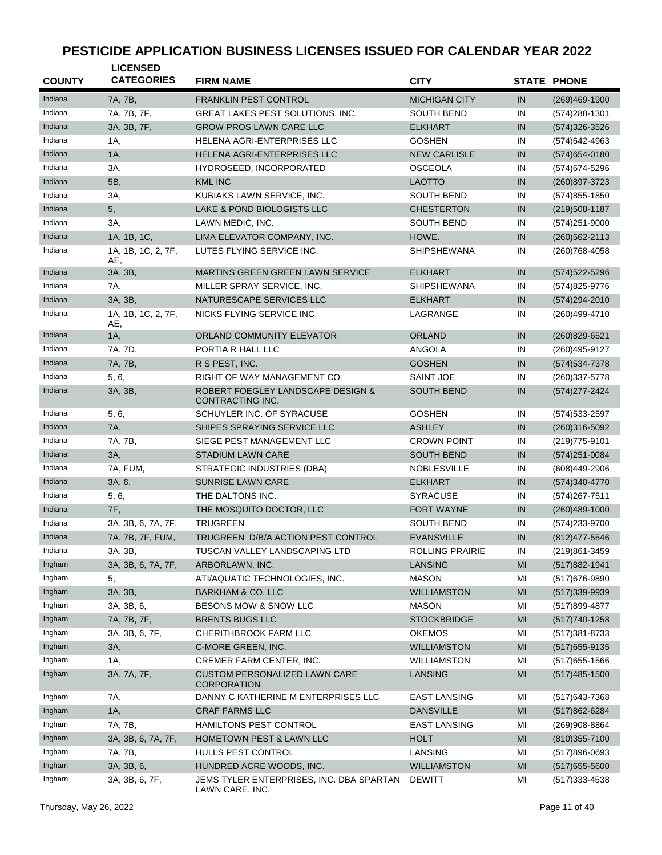| <b>COUNTY</b> | <b>LICENSED</b><br><b>CATEGORIES</b> | <b>FIRM NAME</b>                                            | <b>CITY</b>          |                | <b>STATE PHONE</b> |
|---------------|--------------------------------------|-------------------------------------------------------------|----------------------|----------------|--------------------|
| Indiana       | 7A, 7B,                              | <b>FRANKLIN PEST CONTROL</b>                                | <b>MICHIGAN CITY</b> | IN             | $(269)469-1900$    |
| Indiana       | 7A, 7B, 7F,                          | <b>GREAT LAKES PEST SOLUTIONS, INC.</b>                     | <b>SOUTH BEND</b>    | IN             | $(574)288 - 1301$  |
| Indiana       | 3A, 3B, 7F,                          | <b>GROW PROS LAWN CARE LLC</b>                              | <b>ELKHART</b>       | IN             | (574) 326-3526     |
| Indiana       | 1A,                                  | HELENA AGRI-ENTERPRISES LLC                                 | <b>GOSHEN</b>        | IN             | (574) 642-4963     |
| Indiana       | 1A,                                  | HELENA AGRI-ENTERPRISES LLC                                 | <b>NEW CARLISLE</b>  | IN             | $(574)654 - 0180$  |
| Indiana       | 3A,                                  | HYDROSEED, INCORPORATED                                     | <b>OSCEOLA</b>       | IN             | (574) 674-5296     |
| Indiana       | 5B,                                  | <b>KML INC</b>                                              | <b>LAOTTO</b>        | IN             | $(260)897 - 3723$  |
| Indiana       | 3A,                                  | KUBIAKS LAWN SERVICE, INC.                                  | <b>SOUTH BEND</b>    | IN             | $(574)855 - 1850$  |
| Indiana       | 5,                                   | LAKE & POND BIOLOGISTS LLC                                  | <b>CHESTERTON</b>    | IN             | $(219)508 - 1187$  |
| Indiana       | 3A,                                  | LAWN MEDIC, INC.                                            | <b>SOUTH BEND</b>    | IN             | $(574)251 - 9000$  |
| Indiana       | 1A, 1B, 1C,                          | LIMA ELEVATOR COMPANY, INC.                                 | HOWE.                | IN             | $(260)562 - 2113$  |
| Indiana       | 1A, 1B, 1C, 2, 7F,<br>AE,            | LUTES FLYING SERVICE INC.                                   | <b>SHIPSHEWANA</b>   | IN             | (260) 768-4058     |
| Indiana       | 3A, 3B,                              | <b>MARTINS GREEN GREEN LAWN SERVICE</b>                     | <b>ELKHART</b>       | IN             | (574) 522-5296     |
| Indiana       | 7A,                                  | MILLER SPRAY SERVICE, INC.                                  | <b>SHIPSHEWANA</b>   | IN             | (574) 825-9776     |
| Indiana       | 3A, 3B,                              | NATURESCAPE SERVICES LLC                                    | <b>ELKHART</b>       | IN             | (574) 294-2010     |
| Indiana       | 1A, 1B, 1C, 2, 7F,<br>AE,            | NICKS FLYING SERVICE INC                                    | LAGRANGE             | IN             | (260)499-4710      |
| Indiana       | 1A,                                  | ORLAND COMMUNITY ELEVATOR                                   | <b>ORLAND</b>        | IN             | (260)829-6521      |
| Indiana       | 7A, 7D,                              | PORTIA R HALL LLC                                           | ANGOLA               | IN             | (260)495-9127      |
| Indiana       | 7A, 7B,                              | R S PEST, INC.                                              | <b>GOSHEN</b>        | IN             | (574) 534-7378     |
| Indiana       | 5, 6,                                | RIGHT OF WAY MANAGEMENT CO                                  | <b>SAINT JOE</b>     | IN             | (260) 337-5778     |
| Indiana       | 3A, 3B,                              | ROBERT FOEGLEY LANDSCAPE DESIGN &<br>CONTRACTING INC.       | <b>SOUTH BEND</b>    | IN             | (574) 277-2424     |
| Indiana       | 5, 6,                                | SCHUYLER INC. OF SYRACUSE                                   | <b>GOSHEN</b>        | IN             | (574) 533-2597     |
| Indiana       | 7A,                                  | SHIPES SPRAYING SERVICE LLC                                 | <b>ASHLEY</b>        | IN             | $(260)316 - 5092$  |
| Indiana       | 7A, 7B,                              | SIEGE PEST MANAGEMENT LLC                                   | <b>CROWN POINT</b>   | IN             | (219) 775-9101     |
| Indiana       | 3A,                                  | STADIUM LAWN CARE                                           | <b>SOUTH BEND</b>    | IN             | (574)251-0084      |
| Indiana       | 7A, FUM,                             | STRATEGIC INDUSTRIES (DBA)                                  | <b>NOBLESVILLE</b>   | IN             | (608)449-2906      |
| Indiana       | 3A, 6,                               | <b>SUNRISE LAWN CARE</b>                                    | <b>ELKHART</b>       | IN             | (574) 340-4770     |
| Indiana       | 5, 6,                                | THE DALTONS INC.                                            | <b>SYRACUSE</b>      | IN             | (574) 267-7511     |
| Indiana       | 7F,                                  | THE MOSQUITO DOCTOR, LLC                                    | <b>FORT WAYNE</b>    | IN             | $(260)489 - 1000$  |
| Indiana       | 3A, 3B, 6, 7A, 7F,                   | <b>TRUGREEN</b>                                             | <b>SOUTH BEND</b>    | IN             | (574) 233-9700     |
| Indiana       | 7A, 7B, 7F, FUM,                     | TRUGREEN D/B/A ACTION PEST CONTROL                          | <b>EVANSVILLE</b>    | IN             | (812) 477-5546     |
| Indiana       | 3A, 3B,                              | TUSCAN VALLEY LANDSCAPING LTD                               | ROLLING PRAIRIE      | IN             | (219)861-3459      |
| Ingham        | 3A, 3B, 6, 7A, 7F,                   | ARBORLAWN, INC.                                             | <b>LANSING</b>       | MI             | (517) 882-1941     |
| Ingham        | 5,                                   | ATI/AQUATIC TECHNOLOGIES, INC.                              | <b>MASON</b>         | MI             | (517) 676-9890     |
| Ingham        | 3A, 3B,                              | <b>BARKHAM &amp; CO. LLC</b>                                | <b>WILLIAMSTON</b>   | MI             | $(517)339-9939$    |
| Ingham        | 3A, 3B, 6,                           | BESONS MOW & SNOW LLC                                       | <b>MASON</b>         | MI             | (517) 899-4877     |
| Ingham        | 7A, 7B, 7F,                          | <b>BRENTS BUGS LLC</b>                                      | <b>STOCKBRIDGE</b>   | M <sub>l</sub> | $(517)740-1258$    |
| Ingham        | 3A, 3B, 6, 7F,                       | CHERITHBROOK FARM LLC                                       | <b>OKEMOS</b>        | MI             | (517) 381-8733     |
| Ingham        | 3A,                                  | C-MORE GREEN, INC.                                          | <b>WILLIAMSTON</b>   | MI             | $(517)655-9135$    |
| Ingham        | 1A,                                  | CREMER FARM CENTER, INC.                                    | <b>WILLIAMSTON</b>   | MI             | $(517)655 - 1566$  |
| Ingham        | 3A, 7A, 7F,                          | <b>CUSTOM PERSONALIZED LAWN CARE</b><br><b>CORPORATION</b>  | <b>LANSING</b>       | MI             | $(517)485 - 1500$  |
| Ingham        | 7A,                                  | DANNY C KATHERINE M ENTERPRISES LLC                         | EAST LANSING         | MI             | (517) 643-7368     |
| Ingham        | 1A,                                  | <b>GRAF FARMS LLC</b>                                       | <b>DANSVILLE</b>     | MI             | (517) 862-6284     |
| Ingham        | 7A, 7B,                              | HAMILTONS PEST CONTROL                                      | <b>EAST LANSING</b>  | MI             | (269)908-8864      |
| Ingham        | 3A, 3B, 6, 7A, 7F,                   | HOMETOWN PEST & LAWN LLC                                    | <b>HOLT</b>          | MI             | $(810)355 - 7100$  |
| Ingham        | 7A, 7B,                              | HULLS PEST CONTROL                                          | LANSING              | MI             | (517)896-0693      |
| Ingham        | 3A, 3B, 6,                           | HUNDRED ACRE WOODS, INC.                                    | <b>WILLIAMSTON</b>   | MI             | $(517)655 - 5600$  |
| Ingham        | 3A, 3B, 6, 7F,                       | JEMS TYLER ENTERPRISES, INC. DBA SPARTAN<br>LAWN CARE, INC. | <b>DEWITT</b>        | MI             | $(517)333 - 4538$  |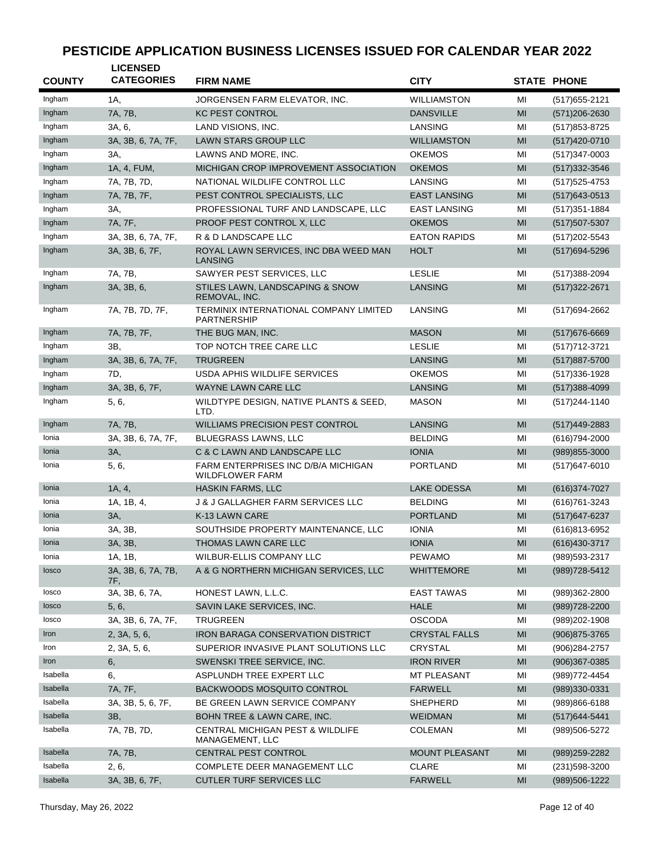| <b>COUNTY</b> | <b>LICENSED</b><br><b>CATEGORIES</b> | <b>FIRM NAME</b>                                              | <b>CITY</b>          |                | <b>STATE PHONE</b> |
|---------------|--------------------------------------|---------------------------------------------------------------|----------------------|----------------|--------------------|
| Ingham        | 1A,                                  | JORGENSEN FARM ELEVATOR, INC.                                 | <b>WILLIAMSTON</b>   | МI             | (517) 655-2121     |
| Ingham        | 7A, 7B,                              | <b>KC PEST CONTROL</b>                                        | <b>DANSVILLE</b>     | MI             | $(571)206 - 2630$  |
| Ingham        | 3A, 6,                               | LAND VISIONS, INC.                                            | LANSING              | MI             | (517) 853-8725     |
| Ingham        | 3A, 3B, 6, 7A, 7F,                   | <b>LAWN STARS GROUP LLC</b>                                   | <b>WILLIAMSTON</b>   | MI             | (517)420-0710      |
| Ingham        | 3A,                                  | LAWNS AND MORE, INC.                                          | <b>OKEMOS</b>        | MI             | (517) 347-0003     |
| Ingham        | 1A, 4, FUM,                          | MICHIGAN CROP IMPROVEMENT ASSOCIATION                         | <b>OKEMOS</b>        | MI             | $(517)332 - 3546$  |
| Ingham        | 7A, 7B, 7D,                          | NATIONAL WILDLIFE CONTROL LLC                                 | LANSING              | MI             | (517) 525-4753     |
| Ingham        | 7A, 7B, 7F,                          | PEST CONTROL SPECIALISTS, LLC                                 | <b>EAST LANSING</b>  | MI             | $(517)643-0513$    |
| Ingham        | 3A,                                  | PROFESSIONAL TURF AND LANDSCAPE, LLC                          | <b>EAST LANSING</b>  | MI             | (517) 351-1884     |
| Ingham        | 7A, 7F,                              | PROOF PEST CONTROL X, LLC                                     | <b>OKEMOS</b>        | MI             | $(517)507 - 5307$  |
| Ingham        | 3A, 3B, 6, 7A, 7F,                   | R & D LANDSCAPE LLC                                           | <b>EATON RAPIDS</b>  | MI             | (517) 202-5543     |
| Ingham        | 3A, 3B, 6, 7F,                       | ROYAL LAWN SERVICES, INC DBA WEED MAN<br>LANSING              | <b>HOLT</b>          | MI             | (517) 694-5296     |
| Ingham        | 7A, 7B,                              | SAWYER PEST SERVICES, LLC                                     | <b>LESLIE</b>        | MI             | (517) 388-2094     |
| Ingham        | 3A, 3B, 6,                           | STILES LAWN, LANDSCAPING & SNOW<br>REMOVAL, INC.              | <b>LANSING</b>       | MI             | (517) 322-2671     |
| Ingham        | 7A, 7B, 7D, 7F,                      | TERMINIX INTERNATIONAL COMPANY LIMITED<br><b>PARTNERSHIP</b>  | LANSING              | ΜI             | (517) 694-2662     |
| Ingham        | 7A, 7B, 7F,                          | THE BUG MAN, INC.                                             | <b>MASON</b>         | MI             | (517) 676-6669     |
| Ingham        | 3B,                                  | TOP NOTCH TREE CARE LLC                                       | <b>LESLIE</b>        | MI             | (517) 712-3721     |
| Ingham        | 3A, 3B, 6, 7A, 7F,                   | <b>TRUGREEN</b>                                               | LANSING              | MI             | (517) 887-5700     |
| Ingham        | 7D,                                  | USDA APHIS WILDLIFE SERVICES                                  | <b>OKEMOS</b>        | MI             | (517) 336-1928     |
| Ingham        | 3A, 3B, 6, 7F,                       | <b>WAYNE LAWN CARE LLC</b>                                    | LANSING              | MI             | $(517)388 - 4099$  |
| Ingham        | 5, 6,                                | WILDTYPE DESIGN, NATIVE PLANTS & SEED,<br>LTD.                | <b>MASON</b>         | MI             | (517) 244-1140     |
| Ingham        | 7A, 7B,                              | WILLIAMS PRECISION PEST CONTROL                               | <b>LANSING</b>       | MI             | (517) 449-2883     |
| Ionia         | 3A, 3B, 6, 7A, 7F,                   | <b>BLUEGRASS LAWNS, LLC</b>                                   | <b>BELDING</b>       | MI             | (616) 794-2000     |
| Ionia         | 3A,                                  | C & C LAWN AND LANDSCAPE LLC                                  | <b>IONIA</b>         | MI             | (989) 855-3000     |
| Ionia         | 5, 6,                                | FARM ENTERPRISES INC D/B/A MICHIGAN<br><b>WILDFLOWER FARM</b> | <b>PORTLAND</b>      | MI             | $(517)647 - 6010$  |
| Ionia         | 1A, 4,                               | <b>HASKIN FARMS, LLC</b>                                      | <b>LAKE ODESSA</b>   | MI             | (616) 374-7027     |
| Ionia         | 1A, 1B, 4,                           | <b>J &amp; J GALLAGHER FARM SERVICES LLC</b>                  | <b>BELDING</b>       | MI             | (616) 761 - 3243   |
| Ionia         | 3A,                                  | K-13 LAWN CARE                                                | <b>PORTLAND</b>      | MI             | (517) 647-6237     |
| Ionia         | 3A, 3B,                              | SOUTHSIDE PROPERTY MAINTENANCE, LLC                           | <b>IONIA</b>         | MI             | (616)813-6952      |
| Ionia         | 3A, 3B,                              | <b>THOMAS LAWN CARE LLC</b>                                   | <b>IONIA</b>         | MI             | (616) 430-3717     |
| Ionia         | 1A, 1B,                              | WILBUR-ELLIS COMPANY LLC                                      | <b>PEWAMO</b>        | MI             | (989) 593-2317     |
| losco         | 3A, 3B, 6, 7A, 7B,<br>7F,            | A & G NORTHERN MICHIGAN SERVICES, LLC                         | <b>WHITTEMORE</b>    | MI             | (989) 728-5412     |
| losco         | 3A, 3B, 6, 7A,                       | HONEST LAWN, L.L.C.                                           | <b>EAST TAWAS</b>    | MI             | (989)362-2800      |
| losco         | 5, 6,                                | SAVIN LAKE SERVICES, INC.                                     | <b>HALE</b>          | M <sub>l</sub> | (989) 728-2200     |
| losco         | 3A, 3B, 6, 7A, 7F,                   | <b>TRUGREEN</b>                                               | <b>OSCODA</b>        | MI             | (989) 202-1908     |
| Iron          | 2, 3A, 5, 6,                         | <b>IRON BARAGA CONSERVATION DISTRICT</b>                      | <b>CRYSTAL FALLS</b> | MI             | (906) 875-3765     |
| Iron          | 2, 3A, 5, 6,                         | SUPERIOR INVASIVE PLANT SOLUTIONS LLC                         | CRYSTAL              | MI             | (906) 284-2757     |
| Iron          | 6,                                   | SWENSKI TREE SERVICE, INC.                                    | <b>IRON RIVER</b>    | MI             | (906)367-0385      |
| Isabella      | 6,                                   | ASPLUNDH TREE EXPERT LLC                                      | MT PLEASANT          | MI             | (989) 772-4454     |
| Isabella      | 7A, 7F,                              | <b>BACKWOODS MOSQUITO CONTROL</b>                             | <b>FARWELL</b>       | MI             | (989)330-0331      |
| Isabella      | 3A, 3B, 5, 6, 7F,                    | BE GREEN LAWN SERVICE COMPANY                                 | SHEPHERD             | MI             | $(989)866 - 6188$  |
| Isabella      | 3B,                                  | BOHN TREE & LAWN CARE, INC.                                   | WEIDMAN              | MI             | $(517)644 - 5441$  |
| Isabella      | 7A, 7B, 7D,                          | CENTRAL MICHIGAN PEST & WILDLIFE<br>MANAGEMENT, LLC           | COLEMAN              | MI             | (989)506-5272      |
| Isabella      | 7A, 7B,                              | <b>CENTRAL PEST CONTROL</b>                                   | MOUNT PLEASANT       | MI             | (989) 259-2282     |
| Isabella      | 2, 6,                                | COMPLETE DEER MANAGEMENT LLC                                  | <b>CLARE</b>         | MI             | (231) 598-3200     |
| Isabella      | 3A, 3B, 6, 7F,                       | CUTLER TURF SERVICES LLC                                      | <b>FARWELL</b>       | M <sub>l</sub> | (989)506-1222      |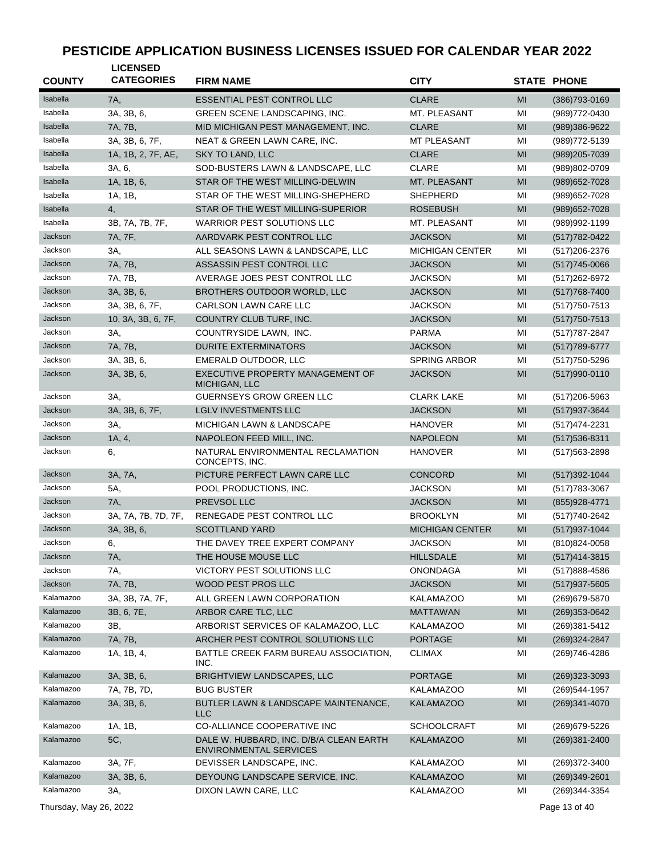| <b>COUNTY</b> | <b>LICENSED</b><br><b>CATEGORIES</b> | <b>FIRM NAME</b>                                    | <b>CITY</b>            |    | <b>STATE PHONE</b> |
|---------------|--------------------------------------|-----------------------------------------------------|------------------------|----|--------------------|
| Isabella      | 7A,                                  | <b>ESSENTIAL PEST CONTROL LLC</b>                   | <b>CLARE</b>           | MI | (386) 793-0169     |
| Isabella      | 3A, 3B, 6,                           | <b>GREEN SCENE LANDSCAPING, INC.</b>                | MT. PLEASANT           | MI | (989) 772-0430     |
| Isabella      | 7A. 7B.                              | MID MICHIGAN PEST MANAGEMENT, INC.                  | <b>CLARE</b>           | MI | (989)386-9622      |
| Isabella      | 3A, 3B, 6, 7F,                       | NEAT & GREEN LAWN CARE, INC.                        | <b>MT PLEASANT</b>     | MI | (989) 772-5139     |
| Isabella      | 1A, 1B, 2, 7F, AE,                   | <b>SKY TO LAND, LLC</b>                             | <b>CLARE</b>           | MI | (989) 205-7039     |
| Isabella      | 3A, 6,                               | SOD-BUSTERS LAWN & LANDSCAPE, LLC                   | <b>CLARE</b>           | MI | (989)802-0709      |
| Isabella      | 1A, 1B, 6,                           | STAR OF THE WEST MILLING-DELWIN                     | MT. PLEASANT           | MI | $(989)652 - 7028$  |
| Isabella      | 1A, 1B,                              | STAR OF THE WEST MILLING-SHEPHERD                   | SHEPHERD               | MI | (989) 652-7028     |
| Isabella      | 4,                                   | STAR OF THE WEST MILLING-SUPERIOR                   | ROSEBUSH               | MI | (989) 652-7028     |
| Isabella      | 3B, 7A, 7B, 7F,                      | <b>WARRIOR PEST SOLUTIONS LLC</b>                   | MT. PLEASANT           | MI | (989)992-1199      |
| Jackson       | 7A, 7F,                              | AARDVARK PEST CONTROL LLC                           | <b>JACKSON</b>         | MI | $(517)782 - 0422$  |
| Jackson       | 3A,                                  | ALL SEASONS LAWN & LANDSCAPE, LLC                   | <b>MICHIGAN CENTER</b> | MI | (517) 206-2376     |
| Jackson       | 7A, 7B,                              | ASSASSIN PEST CONTROL LLC                           | <b>JACKSON</b>         | MI | $(517)745 - 0066$  |
| Jackson       | 7A, 7B,                              | AVERAGE JOES PEST CONTROL LLC                       | <b>JACKSON</b>         | MI | (517) 262-6972     |
| Jackson       | 3A, 3B, 6,                           | BROTHERS OUTDOOR WORLD, LLC                         | <b>JACKSON</b>         | MI | $(517)768 - 7400$  |
| Jackson       | 3A, 3B, 6, 7F,                       | CARLSON LAWN CARE LLC                               | <b>JACKSON</b>         | MI | (517) 750-7513     |
| Jackson       | 10, 3A, 3B, 6, 7F,                   | COUNTRY CLUB TURF, INC.                             | <b>JACKSON</b>         | MI | $(517)750 - 7513$  |
| Jackson       | 3A,                                  | COUNTRYSIDE LAWN, INC.                              | <b>PARMA</b>           | MI | (517) 787-2847     |
| Jackson       | 7A, 7B,                              | <b>DURITE EXTERMINATORS</b>                         | <b>JACKSON</b>         | MI | $(517)789-6777$    |
| Jackson       | 3A. 3B. 6.                           | EMERALD OUTDOOR, LLC                                | <b>SPRING ARBOR</b>    | MI | (517) 750-5296     |
| Jackson       | 3A, 3B, 6,                           | EXECUTIVE PROPERTY MANAGEMENT OF                    | <b>JACKSON</b>         | MI | (517)990-0110      |
| Jackson       |                                      | MICHIGAN, LLC                                       |                        |    |                    |
| Jackson       | 3A,                                  | <b>GUERNSEYS GROW GREEN LLC</b>                     | <b>CLARK LAKE</b>      | MI | (517) 206-5963     |
| Jackson       | 3A, 3B, 6, 7F,                       | <b>LGLV INVESTMENTS LLC</b>                         | JACKSON                | MI | (517) 937-3644     |
|               | 3A,                                  | MICHIGAN LAWN & LANDSCAPE                           | <b>HANOVER</b>         | MI | (517) 474-2231     |
| Jackson       | 1A, 4,                               | NAPOLEON FEED MILL, INC.                            | <b>NAPOLEON</b>        | MI | $(517)536-8311$    |
| Jackson       | 6,                                   | NATURAL ENVIRONMENTAL RECLAMATION<br>CONCEPTS, INC. | <b>HANOVER</b>         | MI | (517) 563-2898     |
| Jackson       | 3A, 7A,                              | PICTURE PERFECT LAWN CARE LLC                       | CONCORD                | MI | (517) 392-1044     |
| Jackson       | 5A,                                  | POOL PRODUCTIONS, INC.                              | <b>JACKSON</b>         | MI | (517) 783-3067     |
| Jackson       | <b>7A</b> ,                          | PREVSOL LLC                                         | <b>JACKSON</b>         | MI | (855) 928-4771     |
| Jackson       | 3A, 7A, 7B, 7D, 7F,                  | RENEGADE PEST CONTROL LLC                           | <b>BROOKLYN</b>        | MI | (517) 740-2642     |
| Jackson       | 3A, 3B, 6,                           | <b>SCOTTLAND YARD</b>                               | <b>MICHIGAN CENTER</b> | MI | (517) 937-1044     |
| Jackson       | 6,                                   | THE DAVEY TREE EXPERT COMPANY                       | <b>JACKSON</b>         | MI | (810) 824-0058     |
| Jackson       | 7A,                                  | THE HOUSE MOUSE LLC                                 | <b>HILLSDALE</b>       | MI | $(517)414 - 3815$  |
| Jackson       | 7A,                                  | VICTORY PEST SOLUTIONS LLC                          | <b>ONONDAGA</b>        | MI | (517) 888-4586     |
| Jackson       | 7A, 7B,                              | WOOD PEST PROS LLC                                  | <b>JACKSON</b>         | MI | $(517)937 - 5605$  |
| Kalamazoo     | 3A, 3B, 7A, 7F,                      | ALL GREEN LAWN CORPORATION                          | <b>KALAMAZOO</b>       | MI | (269) 679-5870     |
| Kalamazoo     | 3B, 6, 7E,                           | ARBOR CARE TLC, LLC                                 | <b>MATTAWAN</b>        | MI | $(269)353-0642$    |
| Kalamazoo     | 3B,                                  | ARBORIST SERVICES OF KALAMAZOO, LLC                 | <b>KALAMAZOO</b>       | MI | (269)381-5412      |
| Kalamazoo     | 7A, 7B,                              | ARCHER PEST CONTROL SOLUTIONS LLC                   | <b>PORTAGE</b>         | MI | (269)324-2847      |
| Kalamazoo     | 1A, 1B, 4,                           | BATTLE CREEK FARM BUREAU ASSOCIATION,<br>INC.       | CLIMAX                 | MI | (269)746-4286      |
| Kalamazoo     | 3A, 3B, 6,                           | BRIGHTVIEW LANDSCAPES, LLC                          | <b>PORTAGE</b>         | MI | $(269)323-3093$    |
| Kalamazoo     | 7A, 7B, 7D,                          | <b>BUG BUSTER</b>                                   | <b>KALAMAZOO</b>       | MI | (269) 544-1957     |
| Kalamazoo     | 3A, 3B, 6,                           | BUTLER LAWN & LANDSCAPE MAINTENANCE,<br><b>LLC</b>  | <b>KALAMAZOO</b>       | MI | (269)341-4070      |
| Kalamazoo     | 1A, 1B,                              | CO-ALLIANCE COOPERATIVE INC                         | <b>SCHOOLCRAFT</b>     | MI | (269) 679-5226     |
| Kalamazoo     | 5C,                                  | DALE W. HUBBARD, INC. D/B/A CLEAN EARTH             | <b>KALAMAZOO</b>       | MI | $(269)381 - 2400$  |
|               |                                      | ENVIRONMENTAL SERVICES                              |                        |    |                    |
| Kalamazoo     | 3A, 7F,                              | DEVISSER LANDSCAPE, INC.                            | <b>KALAMAZOO</b>       | MI | (269) 372-3400     |
| Kalamazoo     | 3A, 3B, 6,                           | DEYOUNG LANDSCAPE SERVICE, INC.                     | <b>KALAMAZOO</b>       | MI | $(269)349-2601$    |
| Kalamazoo     | 3A,                                  | DIXON LAWN CARE, LLC                                | <b>KALAMAZOO</b>       | MI | (269)344-3354      |

Thursday, May 26, 2022 Page 13 of 40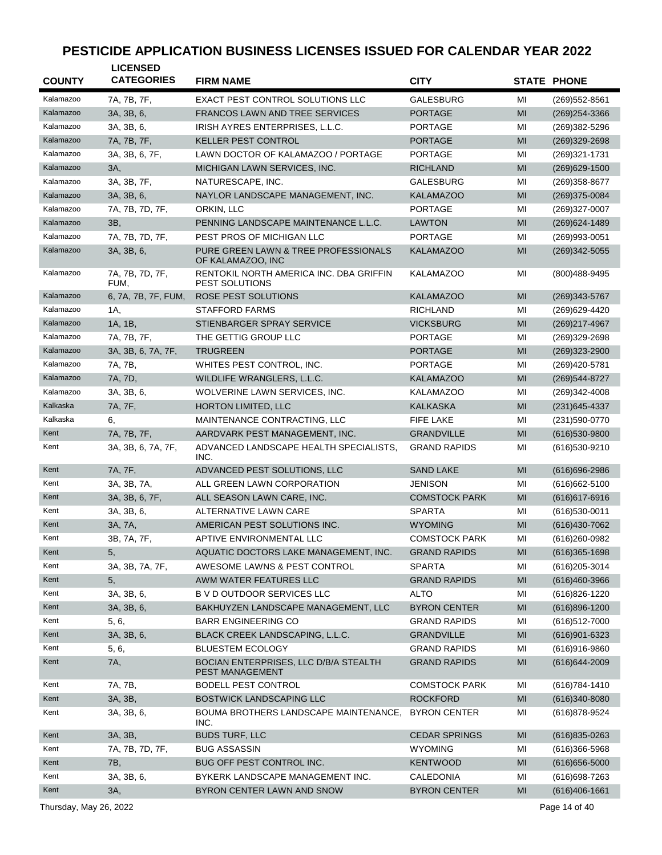| <b>COUNTY</b> | <b>LICENSED</b><br><b>CATEGORIES</b> | <b>FIRM NAME</b>                                                | <b>CITY</b>          |    | <b>STATE PHONE</b> |
|---------------|--------------------------------------|-----------------------------------------------------------------|----------------------|----|--------------------|
|               |                                      |                                                                 |                      |    |                    |
| Kalamazoo     | 7A, 7B, 7F,                          | <b>EXACT PEST CONTROL SOLUTIONS LLC</b>                         | <b>GALESBURG</b>     | MI | (269) 552-8561     |
| Kalamazoo     | 3A, 3B, 6,                           | <b>FRANCOS LAWN AND TREE SERVICES</b>                           | <b>PORTAGE</b>       | MI | $(269)254 - 3366$  |
| Kalamazoo     | 3A, 3B, 6,                           | IRISH AYRES ENTERPRISES, L.L.C.                                 | <b>PORTAGE</b>       | MI | (269)382-5296      |
| Kalamazoo     | 7A, 7B, 7F,                          | <b>KELLER PEST CONTROL</b>                                      | <b>PORTAGE</b>       | MI | (269)329-2698      |
| Kalamazoo     | 3A, 3B, 6, 7F,                       | LAWN DOCTOR OF KALAMAZOO / PORTAGE                              | <b>PORTAGE</b>       | MI | (269)321-1731      |
| Kalamazoo     | 3A,                                  | MICHIGAN LAWN SERVICES, INC.                                    | <b>RICHLAND</b>      | MI | $(269)629 - 1500$  |
| Kalamazoo     | 3A, 3B, 7F,                          | NATURESCAPE, INC.                                               | <b>GALESBURG</b>     | MI | (269)358-8677      |
| Kalamazoo     | 3A, 3B, 6,                           | NAYLOR LANDSCAPE MANAGEMENT, INC.                               | <b>KALAMAZOO</b>     | MI | (269) 375-0084     |
| Kalamazoo     | 7A, 7B, 7D, 7F,                      | ORKIN, LLC                                                      | <b>PORTAGE</b>       | MI | (269)327-0007      |
| Kalamazoo     | 3B,                                  | PENNING LANDSCAPE MAINTENANCE L.L.C.                            | <b>LAWTON</b>        | MI | $(269)624 - 1489$  |
| Kalamazoo     | 7A, 7B, 7D, 7F,                      | PEST PROS OF MICHIGAN LLC                                       | <b>PORTAGE</b>       | MI | (269)993-0051      |
| Kalamazoo     | 3A, 3B, 6,                           | PURE GREEN LAWN & TREE PROFESSIONALS<br>OF KALAMAZOO, INC       | <b>KALAMAZOO</b>     | MI | (269)342-5055      |
| Kalamazoo     | 7A, 7B, 7D, 7F,<br>FUM.              | RENTOKIL NORTH AMERICA INC. DBA GRIFFIN<br>PEST SOLUTIONS       | KALAMAZOO            | MI | (800)488-9495      |
| Kalamazoo     | 6, 7A, 7B, 7F, FUM,                  | ROSE PEST SOLUTIONS                                             | <b>KALAMAZOO</b>     | MI | (269) 343-5767     |
| Kalamazoo     | 1A,                                  | <b>STAFFORD FARMS</b>                                           | <b>RICHLAND</b>      | MI | (269) 629-4420     |
| Kalamazoo     | 1A, 1B,                              | STIENBARGER SPRAY SERVICE                                       | <b>VICKSBURG</b>     | MI | (269) 217-4967     |
| Kalamazoo     | 7A. 7B. 7F.                          | THE GETTIG GROUP LLC                                            | <b>PORTAGE</b>       | MI | (269)329-2698      |
| Kalamazoo     | 3A, 3B, 6, 7A, 7F,                   | <b>TRUGREEN</b>                                                 | <b>PORTAGE</b>       | MI | $(269)323 - 2900$  |
| Kalamazoo     | 7A, 7B,                              | WHITES PEST CONTROL, INC.                                       | <b>PORTAGE</b>       | MI | (269)420-5781      |
| Kalamazoo     | 7A, 7D,                              | WILDLIFE WRANGLERS, L.L.C.                                      | <b>KALAMAZOO</b>     | MI | (269) 544-8727     |
| Kalamazoo     | 3A, 3B, 6,                           | WOLVERINE LAWN SERVICES, INC.                                   | <b>KALAMAZOO</b>     | MI | (269)342-4008      |
| Kalkaska      | 7A, 7F,                              | HORTON LIMITED, LLC                                             | <b>KALKASKA</b>      | MI | (231) 645-4337     |
| Kalkaska      | 6.                                   | MAINTENANCE CONTRACTING, LLC                                    | <b>FIFE LAKE</b>     | MI | (231) 590-0770     |
| Kent          | 7A, 7B, 7F,                          | AARDVARK PEST MANAGEMENT, INC.                                  | <b>GRANDVILLE</b>    | MI | $(616)530 - 9800$  |
| Kent          | 3A, 3B, 6, 7A, 7F,                   | ADVANCED LANDSCAPE HEALTH SPECIALISTS,<br>INC.                  | <b>GRAND RAPIDS</b>  | MI | (616) 530-9210     |
| Kent          | 7A, 7F,                              | ADVANCED PEST SOLUTIONS, LLC                                    | <b>SAND LAKE</b>     | MI | $(616)696 - 2986$  |
| Kent          | 3A, 3B, 7A,                          | ALL GREEN LAWN CORPORATION                                      | <b>JENISON</b>       | MI | (616) 662-5100     |
| Kent          | 3A, 3B, 6, 7F,                       | ALL SEASON LAWN CARE, INC.                                      | <b>COMSTOCK PARK</b> | MI | $(616)617 - 6916$  |
| Kent          | 3A, 3B, 6,                           | ALTERNATIVE LAWN CARE                                           | <b>SPARTA</b>        | MI | $(616)530-0011$    |
| Kent          | 3A, 7A,                              | AMERICAN PEST SOLUTIONS INC.                                    | <b>WYOMING</b>       | MI | (616)430-7062      |
| Kent          | 3B, 7A, 7F,                          | APTIVE ENVIRONMENTAL LLC                                        | <b>COMSTOCK PARK</b> | MI | (616) 260-0982     |
| Kent          | 5,                                   | AQUATIC DOCTORS LAKE MANAGEMENT, INC.                           | <b>GRAND RAPIDS</b>  | MI | $(616)365 - 1698$  |
| Kent          | 3A, 3B, 7A, 7F,                      | AWESOME LAWNS & PEST CONTROL                                    | <b>SPARTA</b>        | MI | (616) 205-3014     |
| Kent          | 5,                                   | AWM WATER FEATURES LLC                                          | <b>GRAND RAPIDS</b>  | MI | $(616)460-3966$    |
| Kent          | 3A, 3B, 6,                           | <b>B V D OUTDOOR SERVICES LLC</b>                               | <b>ALTO</b>          | MI | (616) 826-1220     |
| Kent          | 3A, 3B, 6,                           | BAKHUYZEN LANDSCAPE MANAGEMENT, LLC                             | <b>BYRON CENTER</b>  | MI | $(616)896 - 1200$  |
| Kent          | 5, 6,                                | <b>BARR ENGINEERING CO</b>                                      | <b>GRAND RAPIDS</b>  | MI | (616)512-7000      |
| Kent          | 3A, 3B, 6,                           | BLACK CREEK LANDSCAPING, L.L.C.                                 | <b>GRANDVILLE</b>    | MI | (616)901-6323      |
| Kent          | 5, 6,                                | <b>BLUESTEM ECOLOGY</b>                                         | <b>GRAND RAPIDS</b>  | MI | (616)916-9860      |
| Kent          | 7A,                                  | BOCIAN ENTERPRISES, LLC D/B/A STEALTH<br><b>PEST MANAGEMENT</b> | <b>GRAND RAPIDS</b>  | MI | (616) 644-2009     |
| Kent          | 7A, 7B,                              | <b>BODELL PEST CONTROL</b>                                      | <b>COMSTOCK PARK</b> | MI | (616) 784-1410     |
| Kent          | 3A, 3B,                              | <b>BOSTWICK LANDSCAPING LLC</b>                                 | <b>ROCKFORD</b>      | MI | $(616)340 - 8080$  |
| Kent          | 3A, 3B, 6,                           | BOUMA BROTHERS LANDSCAPE MAINTENANCE,<br>INC.                   | <b>BYRON CENTER</b>  | MI | (616)878-9524      |
| Kent          | 3A, 3B,                              | <b>BUDS TURF, LLC</b>                                           | <b>CEDAR SPRINGS</b> | MI | $(616)835 - 0263$  |
| Kent          | 7A, 7B, 7D, 7F,                      | <b>BUG ASSASSIN</b>                                             | <b>WYOMING</b>       | MI | $(616)366 - 5968$  |
| Kent          | 7B,                                  | BUG OFF PEST CONTROL INC.                                       | <b>KENTWOOD</b>      | MI | $(616)656 - 5000$  |
| Kent          | 3A, 3B, 6,                           | BYKERK LANDSCAPE MANAGEMENT INC.                                | CALEDONIA            | MI | (616) 698-7263     |
| Kent          | 3A,                                  | BYRON CENTER LAWN AND SNOW                                      | <b>BYRON CENTER</b>  | MI | $(616)406 - 1661$  |
|               |                                      |                                                                 |                      |    |                    |

Thursday, May 26, 2022 Page 14 of 40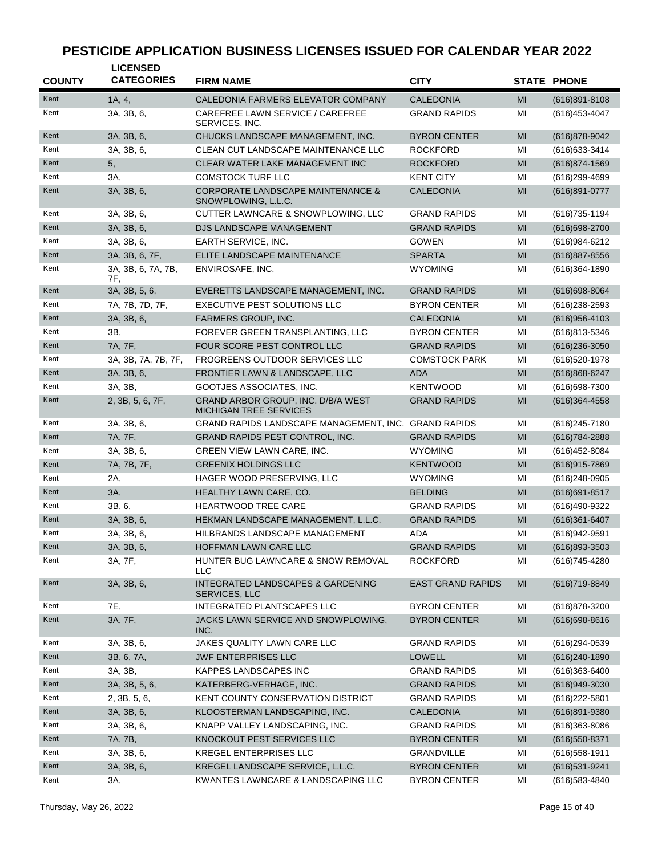| <b>COUNTY</b> | <b>LICENSED</b><br><b>CATEGORIES</b> | <b>FIRM NAME</b>                                                    | <b>CITY</b>              |    | <b>STATE PHONE</b> |
|---------------|--------------------------------------|---------------------------------------------------------------------|--------------------------|----|--------------------|
| Kent          | 1A, 4,                               | CALEDONIA FARMERS ELEVATOR COMPANY                                  | <b>CALEDONIA</b>         | MI | $(616)891 - 8108$  |
| Kent          | 3A, 3B, 6,                           | CAREFREE LAWN SERVICE / CAREFREE<br>SERVICES, INC.                  | <b>GRAND RAPIDS</b>      | MI | (616) 453-4047     |
| Kent          | 3A, 3B, 6,                           | CHUCKS LANDSCAPE MANAGEMENT, INC.                                   | <b>BYRON CENTER</b>      | MI | (616) 878-9042     |
| Kent          | 3A, 3B, 6,                           | CLEAN CUT LANDSCAPE MAINTENANCE LLC                                 | <b>ROCKFORD</b>          | MI | (616) 633-3414     |
| Kent          | 5,                                   | CLEAR WATER LAKE MANAGEMENT INC                                     | <b>ROCKFORD</b>          | MI | $(616)874 - 1569$  |
| Kent          | 3A,                                  | <b>COMSTOCK TURF LLC</b>                                            | <b>KENT CITY</b>         | MI | $(616)$ 299-4699   |
| Kent          | 3A, 3B, 6,                           | <b>CORPORATE LANDSCAPE MAINTENANCE &amp;</b><br>SNOWPLOWING, L.L.C. | <b>CALEDONIA</b>         | MI | (616) 891-0777     |
| Kent          | 3A, 3B, 6,                           | CUTTER LAWNCARE & SNOWPLOWING, LLC                                  | <b>GRAND RAPIDS</b>      | MI | (616) 735-1194     |
| Kent          | 3A, 3B, 6,                           | DJS LANDSCAPE MANAGEMENT                                            | <b>GRAND RAPIDS</b>      | MI | $(616)698 - 2700$  |
| Kent          | 3A, 3B, 6,                           | EARTH SERVICE, INC.                                                 | <b>GOWEN</b>             | MI | (616) 984-6212     |
| Kent          | 3A, 3B, 6, 7F,                       | ELITE LANDSCAPE MAINTENANCE                                         | <b>SPARTA</b>            | MI | $(616)887 - 8556$  |
| Kent          | 3A, 3B, 6, 7A, 7B,<br>7F,            | ENVIROSAFE, INC.                                                    | <b>WYOMING</b>           | MI | $(616)364 - 1890$  |
| Kent          | 3A, 3B, 5, 6,                        | EVERETTS LANDSCAPE MANAGEMENT, INC.                                 | <b>GRAND RAPIDS</b>      | MI | (616) 698-8064     |
| Kent          | 7A, 7B, 7D, 7F,                      | <b>EXECUTIVE PEST SOLUTIONS LLC</b>                                 | <b>BYRON CENTER</b>      | MI | $(616)$ 238-2593   |
| Kent          | 3A, 3B, 6,                           | FARMERS GROUP, INC.                                                 | <b>CALEDONIA</b>         | MI | $(616)956 - 4103$  |
| Kent          | 3B,                                  | FOREVER GREEN TRANSPLANTING, LLC                                    | <b>BYRON CENTER</b>      | MI | (616)813-5346      |
| Kent          | 7A, 7F,                              | FOUR SCORE PEST CONTROL LLC                                         | <b>GRAND RAPIDS</b>      | MI | $(616)$ 236-3050   |
| Kent          | 3A, 3B, 7A, 7B, 7F,                  | <b>FROGREENS OUTDOOR SERVICES LLC</b>                               | <b>COMSTOCK PARK</b>     | MI | (616) 520-1978     |
| Kent          | 3A, 3B, 6,                           | FRONTIER LAWN & LANDSCAPE, LLC                                      | <b>ADA</b>               | MI | $(616)868 - 6247$  |
| Kent          | 3A, 3B,                              | GOOTJES ASSOCIATES, INC.                                            | <b>KENTWOOD</b>          | MI | (616) 698-7300     |
| Kent          | 2, 3B, 5, 6, 7F,                     | GRAND ARBOR GROUP, INC. D/B/A WEST<br><b>MICHIGAN TREE SERVICES</b> | <b>GRAND RAPIDS</b>      | MI | $(616)364 - 4558$  |
| Kent          | 3A, 3B, 6,                           | GRAND RAPIDS LANDSCAPE MANAGEMENT, INC. GRAND RAPIDS                |                          | MI | (616) 245 - 7180   |
| Kent          | 7A, 7F,                              | GRAND RAPIDS PEST CONTROL, INC.                                     | <b>GRAND RAPIDS</b>      | MI | $(616)784 - 2888$  |
| Kent          | 3A, 3B, 6,                           | <b>GREEN VIEW LAWN CARE, INC.</b>                                   | <b>WYOMING</b>           | MI | (616) 452-8084     |
| Kent          | 7A, 7B, 7F,                          | <b>GREENIX HOLDINGS LLC</b>                                         | <b>KENTWOOD</b>          | MI | $(616)915 - 7869$  |
| Kent          | 2A,                                  | HAGER WOOD PRESERVING, LLC                                          | <b>WYOMING</b>           | MI | (616) 248-0905     |
| Kent          | 3A,                                  | HEALTHY LAWN CARE, CO.                                              | <b>BELDING</b>           | MI | $(616)691 - 8517$  |
| Kent          | 3B, 6,                               | HEARTWOOD TREE CARE                                                 | <b>GRAND RAPIDS</b>      | MI | (616)490-9322      |
| Kent          | 3A, 3B, 6,                           | HEKMAN LANDSCAPE MANAGEMENT, L.L.C.                                 | <b>GRAND RAPIDS</b>      | MI | $(616)361 - 6407$  |
| Kent          | 3A, 3B, 6,                           | HILBRANDS LANDSCAPE MANAGEMENT                                      | ADA                      | MI | (616) 942-9591     |
| Kent          | 3A, 3B, 6,                           | HOFFMAN LAWN CARE LLC                                               | <b>GRAND RAPIDS</b>      | MI | $(616)893 - 3503$  |
| Kent          | 3A, 7F,                              | HUNTER BUG LAWNCARE & SNOW REMOVAL<br>LLC                           | <b>ROCKFORD</b>          | MI | (616) 745-4280     |
| Kent          | 3A, 3B, 6,                           | INTEGRATED LANDSCAPES & GARDENING<br>SERVICES, LLC                  | <b>EAST GRAND RAPIDS</b> | MI | $(616)719-8849$    |
| Kent          | 7E,                                  | <b>INTEGRATED PLANTSCAPES LLC</b>                                   | <b>BYRON CENTER</b>      | MI | (616) 878-3200     |
| Kent          | 3A, 7F,                              | JACKS LAWN SERVICE AND SNOWPLOWING,<br>INC.                         | <b>BYRON CENTER</b>      | MI | $(616)698-8616$    |
| Kent          | 3A, 3B, 6,                           | JAKES QUALITY LAWN CARE LLC                                         | <b>GRAND RAPIDS</b>      | MI | $(616)$ 294-0539   |
| Kent          | 3B, 6, 7A,                           | <b>JWF ENTERPRISES LLC</b>                                          | <b>LOWELL</b>            | MI | $(616)240-1890$    |
| Kent          | 3A, 3B,                              | KAPPES LANDSCAPES INC                                               | <b>GRAND RAPIDS</b>      | MI | $(616)363-6400$    |
| Kent          | 3A, 3B, 5, 6,                        | KATERBERG-VERHAGE, INC.                                             | <b>GRAND RAPIDS</b>      | MI | $(616)949-3030$    |
| Kent          | 2, 3B, 5, 6,                         | KENT COUNTY CONSERVATION DISTRICT                                   | <b>GRAND RAPIDS</b>      | MI | $(616)222 - 5801$  |
| Kent          | 3A, 3B, 6,                           | KLOOSTERMAN LANDSCAPING, INC.                                       | <b>CALEDONIA</b>         | MI | $(616)891 - 9380$  |
| Kent          | 3A, 3B, 6,                           | KNAPP VALLEY LANDSCAPING, INC.                                      | <b>GRAND RAPIDS</b>      | MI | $(616)363 - 8086$  |
| Kent          | 7A, 7B,                              | KNOCKOUT PEST SERVICES LLC                                          | <b>BYRON CENTER</b>      | MI | $(616)$ 550-8371   |
| Kent          | 3A, 3B, 6,                           | KREGEL ENTERPRISES LLC                                              | GRANDVILLE               | MI | $(616)$ 558-1911   |
| Kent          | 3A, 3B, 6,                           | KREGEL LANDSCAPE SERVICE, L.L.C.                                    | <b>BYRON CENTER</b>      | MI | (616) 531-9241     |
| Kent          | 3A,                                  | KWANTES LAWNCARE & LANDSCAPING LLC                                  | <b>BYRON CENTER</b>      | MI | (616) 583-4840     |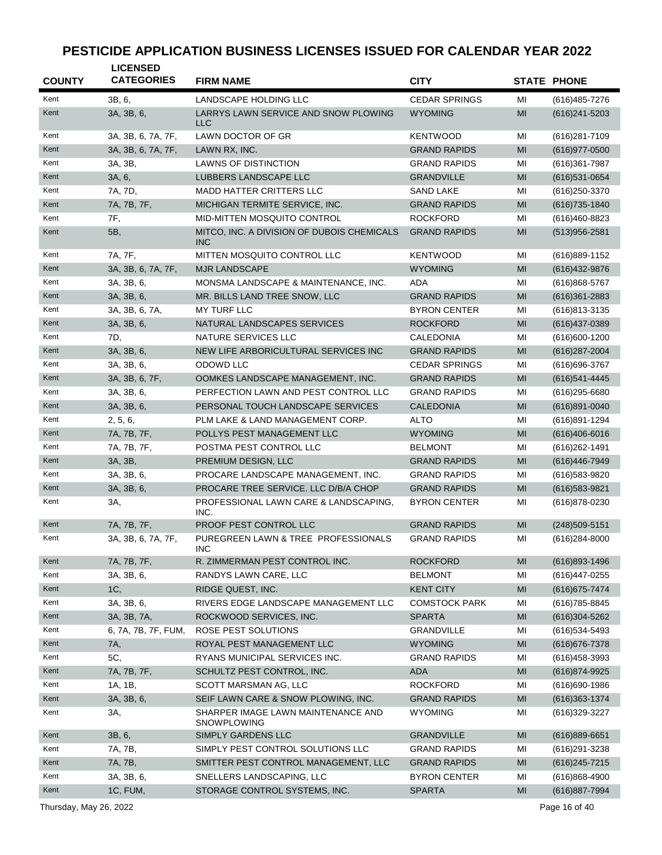| <b>COUNTY</b> | <b>LICENSED</b><br><b>CATEGORIES</b> | <b>FIRM NAME</b>                                         | <b>CITY</b>          |                | <b>STATE PHONE</b> |
|---------------|--------------------------------------|----------------------------------------------------------|----------------------|----------------|--------------------|
| Kent          | 3B, 6,                               | LANDSCAPE HOLDING LLC                                    | <b>CEDAR SPRINGS</b> | MI             | (616) 485-7276     |
| Kent          | 3A, 3B, 6,                           | LARRYS LAWN SERVICE AND SNOW PLOWING<br><b>LLC</b>       | <b>WYOMING</b>       | MI             | $(616)241 - 5203$  |
| Kent          | 3A, 3B, 6, 7A, 7F,                   | LAWN DOCTOR OF GR                                        | <b>KENTWOOD</b>      | MI             | (616) 281-7109     |
| Kent          | 3A, 3B, 6, 7A, 7F,                   | LAWN RX, INC.                                            | <b>GRAND RAPIDS</b>  | MI             | (616) 977-0500     |
| Kent          | 3A, 3B,                              | LAWNS OF DISTINCTION                                     | <b>GRAND RAPIDS</b>  | MI             | $(616)361 - 7987$  |
| Kent          | 3A, 6,                               | LUBBERS LANDSCAPE LLC                                    | <b>GRANDVILLE</b>    | MI             | (616) 531-0654     |
| Kent          | 7A, 7D,                              | <b>MADD HATTER CRITTERS LLC</b>                          | <b>SAND LAKE</b>     | MI             | (616) 250-3370     |
| Kent          | 7A, 7B, 7F,                          | MICHIGAN TERMITE SERVICE, INC.                           | <b>GRAND RAPIDS</b>  | MI             | $(616)735 - 1840$  |
| Kent          | 7F,                                  | MID-MITTEN MOSQUITO CONTROL                              | <b>ROCKFORD</b>      | MI             | (616)460-8823      |
| Kent          | 5B,                                  | MITCO, INC. A DIVISION OF DUBOIS CHEMICALS<br><b>INC</b> | <b>GRAND RAPIDS</b>  | MI             | $(513)956 - 2581$  |
| Kent          | 7A, 7F,                              | MITTEN MOSQUITO CONTROL LLC                              | <b>KENTWOOD</b>      | MI             | (616)889-1152      |
| Kent          | 3A, 3B, 6, 7A, 7F,                   | <b>MJR LANDSCAPE</b>                                     | <b>WYOMING</b>       | MI             | $(616)432-9876$    |
| Kent          | 3A, 3B, 6,                           | MONSMA LANDSCAPE & MAINTENANCE, INC.                     | <b>ADA</b>           | MI             | $(616)868 - 5767$  |
| Kent          | 3A, 3B, 6,                           | MR. BILLS LAND TREE SNOW, LLC                            | <b>GRAND RAPIDS</b>  | MI             | $(616)361 - 2883$  |
| Kent          | 3A, 3B, 6, 7A,                       | <b>MY TURF LLC</b>                                       | <b>BYRON CENTER</b>  | MI             | (616) 813-3135     |
| Kent          | 3A, 3B, 6,                           | NATURAL LANDSCAPES SERVICES                              | <b>ROCKFORD</b>      | MI             | $(616)437-0389$    |
| Kent          | 7D,                                  | NATURE SERVICES LLC                                      | <b>CALEDONIA</b>     | MI             | (616) 600-1200     |
| Kent          | 3A, 3B, 6,                           | NEW LIFE ARBORICULTURAL SERVICES INC                     | <b>GRAND RAPIDS</b>  | M <sub>l</sub> | $(616)287 - 2004$  |
| Kent          | 3A, 3B, 6,                           | ODOWD LLC                                                | <b>CEDAR SPRINGS</b> | MI             | (616) 696-3767     |
| Kent          | 3A, 3B, 6, 7F,                       | OOMKES LANDSCAPE MANAGEMENT, INC.                        | <b>GRAND RAPIDS</b>  | MI             | (616) 541-4445     |
| Kent          | 3A, 3B, 6,                           | PERFECTION LAWN AND PEST CONTROL LLC                     | <b>GRAND RAPIDS</b>  | MI             | (616) 295-6680     |
| Kent          | 3A, 3B, 6,                           | PERSONAL TOUCH LANDSCAPE SERVICES                        | <b>CALEDONIA</b>     | MI             | $(616)891 - 0040$  |
| Kent          | 2, 5, 6,                             | PLM LAKE & LAND MANAGEMENT CORP.                         | ALTO                 | MI             | (616)891-1294      |
| Kent          | 7A, 7B, 7F,                          | POLLYS PEST MANAGEMENT LLC                               | <b>WYOMING</b>       | MI             | $(616)406 - 6016$  |
| Kent          | 7A, 7B, 7F,                          | POSTMA PEST CONTROL LLC                                  | <b>BELMONT</b>       | MI             | $(616)262 - 1491$  |
| Kent          | 3A, 3B,                              | PREMIUM DESIGN, LLC                                      | <b>GRAND RAPIDS</b>  | MI             | (616) 446-7949     |
| Kent          | 3A, 3B, 6,                           | PROCARE LANDSCAPE MANAGEMENT, INC.                       | <b>GRAND RAPIDS</b>  | MI             | (616) 583-9820     |
| Kent          | 3A, 3B, 6,                           | PROCARE TREE SERVICE. LLC D/B/A CHOP                     | <b>GRAND RAPIDS</b>  | MI             | (616) 583-9821     |
| Kent          | 3A,                                  | PROFESSIONAL LAWN CARE & LANDSCAPING,<br>INC.            | <b>BYRON CENTER</b>  | MI             | (616) 878-0230     |
| Kent          | 7A, 7B, 7F,                          | PROOF PEST CONTROL LLC                                   | <b>GRAND RAPIDS</b>  | MI             | (248) 509-5151     |
| Kent          | 3A, 3B, 6, 7A, 7F,                   | PUREGREEN LAWN & TREE PROFESSIONALS<br>INC.              | <b>GRAND RAPIDS</b>  | MI             | (616) 284-8000     |
| Kent          | 7A, 7B, 7F,                          | R. ZIMMERMAN PEST CONTROL INC.                           | <b>ROCKFORD</b>      | MI             | $(616)893 - 1496$  |
| Kent          | 3A, 3B, 6,                           | RANDYS LAWN CARE, LLC                                    | <b>BELMONT</b>       | MI             | (616)447-0255      |
| Kent          | 1C,                                  | RIDGE QUEST, INC.                                        | <b>KENT CITY</b>     | MI             | $(616)$ 675-7474   |
| Kent          | 3A, 3B, 6,                           | RIVERS EDGE LANDSCAPE MANAGEMENT LLC                     | <b>COMSTOCK PARK</b> | MI             | (616) 785-8845     |
| Kent          | 3A, 3B, 7A,                          | ROCKWOOD SERVICES, INC.                                  | <b>SPARTA</b>        | M <sub>l</sub> | $(616)304 - 5262$  |
| Kent          | 6, 7A, 7B, 7F, FUM,                  | ROSE PEST SOLUTIONS                                      | GRANDVILLE           | MI             | $(616)$ 534-5493   |
| Kent          | 7A,                                  | ROYAL PEST MANAGEMENT LLC                                | <b>WYOMING</b>       | MI             | $(616)676 - 7378$  |
| Kent          | 5C,                                  | RYANS MUNICIPAL SERVICES INC.                            | <b>GRAND RAPIDS</b>  | MI             | $(616)458-3993$    |
| Kent          | 7A, 7B, 7F,                          | SCHULTZ PEST CONTROL, INC.                               | ADA                  | MI             | (616) 874-9925     |
| Kent          | 1A, 1B,                              | SCOTT MARSMAN AG, LLC                                    | <b>ROCKFORD</b>      | MI             | (616) 690-1986     |
| Kent          | 3A, 3B, 6,                           | SEIF LAWN CARE & SNOW PLOWING, INC.                      | <b>GRAND RAPIDS</b>  | MI             | $(616)363 - 1374$  |
| Kent          | ЗΑ,                                  | SHARPER IMAGE LAWN MAINTENANCE AND<br>SNOWPLOWING        | <b>WYOMING</b>       | MI             | (616) 329-3227     |
| Kent          | 3B, 6,                               | SIMPLY GARDENS LLC                                       | <b>GRANDVILLE</b>    | MI             | $(616)889-6651$    |
| Kent          | 7A, 7B,                              | SIMPLY PEST CONTROL SOLUTIONS LLC                        | <b>GRAND RAPIDS</b>  | MI             | (616) 291-3238     |
| Kent          | 7A, 7B,                              | SMITTER PEST CONTROL MANAGEMENT, LLC                     | <b>GRAND RAPIDS</b>  | MI             | $(616)245 - 7215$  |
| Kent          | 3A, 3B, 6,                           | SNELLERS LANDSCAPING, LLC                                | <b>BYRON CENTER</b>  | MI             | $(616)868 - 4900$  |
| Kent          | 1C, FUM,                             | STORAGE CONTROL SYSTEMS, INC.                            | <b>SPARTA</b>        | MI             | (616) 887-7994     |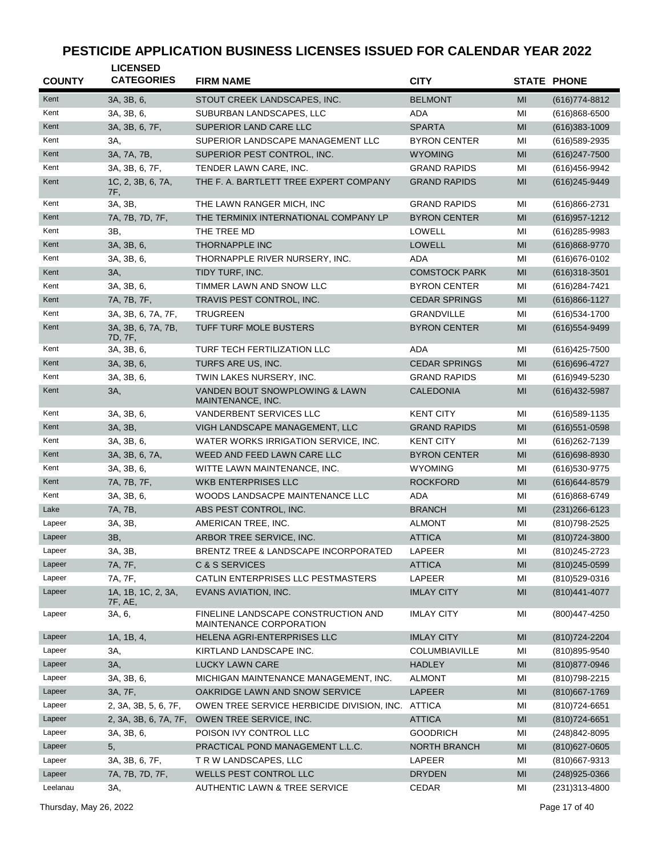| <b>COUNTY</b> | <b>LICENSED</b><br><b>CATEGORIES</b> | <b>FIRM NAME</b>                                               | <b>CITY</b>          |    | <b>STATE PHONE</b> |
|---------------|--------------------------------------|----------------------------------------------------------------|----------------------|----|--------------------|
| Kent          | 3A, 3B, 6,                           | STOUT CREEK LANDSCAPES, INC.                                   | <b>BELMONT</b>       | MI | $(616)774-8812$    |
| Kent          | 3A, 3B, 6,                           | SUBURBAN LANDSCAPES, LLC                                       | ADA                  | MI | $(616)868 - 6500$  |
| Kent          | 3A, 3B, 6, 7F,                       | SUPERIOR LAND CARE LLC                                         | <b>SPARTA</b>        | MI | $(616)383 - 1009$  |
| Kent          | 3A,                                  | SUPERIOR LANDSCAPE MANAGEMENT LLC                              | <b>BYRON CENTER</b>  | MI | (616) 589-2935     |
| Kent          | 3A, 7A, 7B,                          | SUPERIOR PEST CONTROL, INC.                                    | <b>WYOMING</b>       | MI | $(616)247 - 7500$  |
| Kent          | 3A, 3B, 6, 7F,                       | TENDER LAWN CARE, INC.                                         | <b>GRAND RAPIDS</b>  | MI | (616) 456-9942     |
| Kent          | 1C, 2, 3B, 6, 7A,<br>7F,             | THE F. A. BARTLETT TREE EXPERT COMPANY                         | <b>GRAND RAPIDS</b>  | MI | (616) 245-9449     |
| Kent          | 3A, 3B,                              | THE LAWN RANGER MICH, INC                                      | <b>GRAND RAPIDS</b>  | MI | (616)866-2731      |
| Kent          | 7A, 7B, 7D, 7F,                      | THE TERMINIX INTERNATIONAL COMPANY LP                          | <b>BYRON CENTER</b>  | MI | (616) 957-1212     |
| Kent          | 3B,                                  | THE TREE MD                                                    | LOWELL               | MI | (616) 285-9983     |
| Kent          | 3A, 3B, 6,                           | THORNAPPLE INC                                                 | LOWELL               | MI | (616)868-9770      |
| Kent          | 3A, 3B, 6,                           | THORNAPPLE RIVER NURSERY, INC.                                 | ADA                  | MI | (616) 676-0102     |
| Kent          | 3A,                                  | TIDY TURF, INC.                                                | <b>COMSTOCK PARK</b> | MI | $(616)318-3501$    |
| Kent          | 3A, 3B, 6,                           | TIMMER LAWN AND SNOW LLC                                       | <b>BYRON CENTER</b>  | MI | (616) 284-7421     |
| Kent          | 7A, 7B, 7F,                          | TRAVIS PEST CONTROL, INC.                                      | <b>CEDAR SPRINGS</b> | MI | $(616)866 - 1127$  |
| Kent          | 3A, 3B, 6, 7A, 7F,                   | <b>TRUGREEN</b>                                                | <b>GRANDVILLE</b>    | MI | $(616)534 - 1700$  |
| Kent          | 3A, 3B, 6, 7A, 7B,<br>7D, 7F,        | TUFF TURF MOLE BUSTERS                                         | <b>BYRON CENTER</b>  | MI | (616) 554-9499     |
| Kent          | 3A, 3B, 6,                           | TURF TECH FERTILIZATION LLC                                    | ADA                  | MI | (616) 425-7500     |
| Kent          | 3A, 3B, 6,                           | TURFS ARE US, INC.                                             | <b>CEDAR SPRINGS</b> | MI | (616) 696-4727     |
| Kent          | 3A, 3B, 6,                           | TWIN LAKES NURSERY, INC.                                       | <b>GRAND RAPIDS</b>  | MI | (616) 949-5230     |
| Kent          | 3A,                                  | VANDEN BOUT SNOWPLOWING & LAWN<br>MAINTENANCE, INC.            | <b>CALEDONIA</b>     | MI | (616) 432-5987     |
| Kent          | 3A, 3B, 6,                           | VANDERBENT SERVICES LLC                                        | <b>KENT CITY</b>     | MI | $(616)589 - 1135$  |
| Kent          | 3A, 3B,                              | VIGH LANDSCAPE MANAGEMENT, LLC                                 | <b>GRAND RAPIDS</b>  | MI | $(616)551 - 0598$  |
| Kent          | 3A, 3B, 6,                           | WATER WORKS IRRIGATION SERVICE, INC.                           | <b>KENT CITY</b>     | MI | (616) 262-7139     |
| Kent          | 3A, 3B, 6, 7A,                       | WEED AND FEED LAWN CARE LLC                                    | <b>BYRON CENTER</b>  | MI | (616) 698-8930     |
| Kent          | 3A, 3B, 6,                           | WITTE LAWN MAINTENANCE, INC.                                   | <b>WYOMING</b>       | MI | (616) 530-9775     |
| Kent          | 7A, 7B, 7F,                          | <b>WKB ENTERPRISES LLC</b>                                     | <b>ROCKFORD</b>      | MI | (616) 644-8579     |
| Kent          | 3A, 3B, 6,                           | WOODS LANDSACPE MAINTENANCE LLC                                | ADA                  | MI | $(616)868-6749$    |
| Lake          | 7A, 7B,                              | ABS PEST CONTROL, INC.                                         | <b>BRANCH</b>        | MI | $(231)266-6123$    |
| Lapeer        | 3A, 3B,                              | AMERICAN TREE, INC.                                            | <b>ALMONT</b>        | MI | (810) 798-2525     |
| Lapeer        | 3B,                                  | ARBOR TREE SERVICE, INC.                                       | <b>ATTICA</b>        | MI | (810) 724-3800     |
| Lapeer        | 3A, 3B,                              | BRENTZ TREE & LANDSCAPE INCORPORATED                           | LAPEER               | MI | (810) 245-2723     |
| Lapeer        | 7A, 7F,                              | C & S SERVICES                                                 | <b>ATTICA</b>        | MI | (810) 245-0599     |
| Lapeer        | 7A, 7F,                              | CATLIN ENTERPRISES LLC PESTMASTERS                             | LAPEER               | MI | (810)529-0316      |
| Lapeer        | 1A, 1B, 1C, 2, 3A,<br>7F, AE,        | EVANS AVIATION, INC.                                           | <b>IMLAY CITY</b>    | MI | (810) 441-4077     |
| Lapeer        | 3A, 6,                               | FINELINE LANDSCAPE CONSTRUCTION AND<br>MAINTENANCE CORPORATION | <b>IMLAY CITY</b>    | MI | (800)447-4250      |
| Lapeer        | 1A, 1B, 4,                           | HELENA AGRI-ENTERPRISES LLC                                    | <b>IMLAY CITY</b>    | MI | (810) 724-2204     |
| Lapeer        | 3A,                                  | KIRTLAND LANDSCAPE INC.                                        | <b>COLUMBIAVILLE</b> | MI | (810) 895-9540     |
| Lapeer        | 3A,                                  | LUCKY LAWN CARE                                                | <b>HADLEY</b>        | MI | (810) 877-0946     |
| Lapeer        | 3A, 3B, 6,                           | MICHIGAN MAINTENANCE MANAGEMENT, INC.                          | <b>ALMONT</b>        | MI | (810) 798-2215     |
| Lapeer        | 3A, 7F,                              | OAKRIDGE LAWN AND SNOW SERVICE                                 | LAPEER               | MI | (810) 667-1769     |
| Lapeer        | 2, 3A, 3B, 5, 6, 7F,                 | OWEN TREE SERVICE HERBICIDE DIVISION, INC.                     | <b>ATTICA</b>        | MI | (810) 724-6651     |
| Lapeer        | 2, 3A, 3B, 6, 7A, 7F,                | OWEN TREE SERVICE, INC.                                        | <b>ATTICA</b>        | MI | (810) 724-6651     |
| Lapeer        | 3A, 3B, 6,                           | POISON IVY CONTROL LLC                                         | <b>GOODRICH</b>      | MI | (248) 842-8095     |
| Lapeer        | 5,                                   | PRACTICAL POND MANAGEMENT L.L.C.                               | <b>NORTH BRANCH</b>  | MI | (810) 627-0605     |
| Lapeer        | 3A, 3B, 6, 7F,                       | T R W LANDSCAPES, LLC                                          | LAPEER               | MI | (810) 667-9313     |
| Lapeer        | 7A, 7B, 7D, 7F,                      | WELLS PEST CONTROL LLC                                         | <b>DRYDEN</b>        | MI | $(248)925 - 0366$  |
| Leelanau      | 3A,                                  | AUTHENTIC LAWN & TREE SERVICE                                  | CEDAR                | MI | (231) 313-4800     |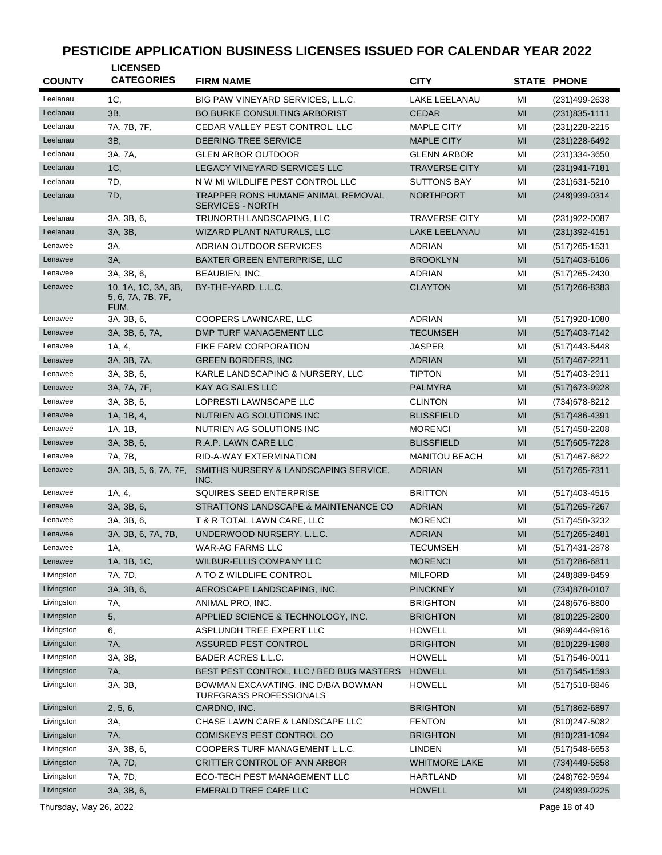| <b>COUNTY</b> | <b>LICENSED</b><br><b>CATEGORIES</b>             | <b>FIRM NAME</b>                                                     | <b>CITY</b>          |    | <b>STATE PHONE</b> |
|---------------|--------------------------------------------------|----------------------------------------------------------------------|----------------------|----|--------------------|
|               |                                                  |                                                                      |                      |    |                    |
| Leelanau      | 1C,                                              | BIG PAW VINEYARD SERVICES, L.L.C.                                    | <b>LAKE LEELANAU</b> | MI | (231)499-2638      |
| Leelanau      | 3B,                                              | <b>BO BURKE CONSULTING ARBORIST</b>                                  | <b>CEDAR</b>         | MI | $(231)835 - 1111$  |
| Leelanau      | 7A, 7B, 7F,                                      | CEDAR VALLEY PEST CONTROL, LLC                                       | <b>MAPLE CITY</b>    | MI | $(231)228 - 2215$  |
| Leelanau      | 3B,                                              | <b>DEERING TREE SERVICE</b>                                          | <b>MAPLE CITY</b>    | MI | (231) 228-6492     |
| Leelanau      | 3A, 7A,                                          | <b>GLEN ARBOR OUTDOOR</b>                                            | <b>GLENN ARBOR</b>   | MI | (231) 334-3650     |
| Leelanau      | 1C,                                              | LEGACY VINEYARD SERVICES LLC                                         | <b>TRAVERSE CITY</b> | MI | $(231)941 - 7181$  |
| Leelanau      | 7D,                                              | N W MI WILDLIFE PEST CONTROL LLC                                     | <b>SUTTONS BAY</b>   | MI | (231) 631-5210     |
| Leelanau      | 7D,                                              | <b>TRAPPER RONS HUMANE ANIMAL REMOVAL</b><br><b>SERVICES - NORTH</b> | <b>NORTHPORT</b>     | MI | (248)939-0314      |
| Leelanau      | 3A, 3B, 6,                                       | TRUNORTH LANDSCAPING, LLC                                            | <b>TRAVERSE CITY</b> | MI | (231) 922-0087     |
| Leelanau      | 3A, 3B,                                          | WIZARD PLANT NATURALS, LLC                                           | <b>LAKE LEELANAU</b> | MI | $(231)392 - 4151$  |
| Lenawee       | 3A,                                              | ADRIAN OUTDOOR SERVICES                                              | <b>ADRIAN</b>        | MI | (517) 265-1531     |
| Lenawee       | 3A,                                              | <b>BAXTER GREEN ENTERPRISE, LLC</b>                                  | <b>BROOKLYN</b>      | MI | $(517)403-6106$    |
| Lenawee       | 3A, 3B, 6,                                       | BEAUBIEN, INC.                                                       | <b>ADRIAN</b>        | MI | (517) 265-2430     |
| Lenawee       | 10, 1A, 1C, 3A, 3B,<br>5, 6, 7A, 7B, 7F,<br>FUM, | BY-THE-YARD, L.L.C.                                                  | <b>CLAYTON</b>       | MI | $(517)266 - 8383$  |
| Lenawee       | 3A, 3B, 6,                                       | COOPERS LAWNCARE, LLC                                                | <b>ADRIAN</b>        | MI | $(517)920 - 1080$  |
| Lenawee       | 3A, 3B, 6, 7A,                                   | DMP TURF MANAGEMENT LLC                                              | <b>TECUMSEH</b>      | MI | $(517)403 - 7142$  |
| Lenawee       | 1A, 4,                                           | FIKE FARM CORPORATION                                                | <b>JASPER</b>        | MI | (517)443-5448      |
| Lenawee       | 3A, 3B, 7A,                                      | <b>GREEN BORDERS, INC.</b>                                           | <b>ADRIAN</b>        | MI | (517) 467-2211     |
| Lenawee       | 3A, 3B, 6,                                       | KARLE LANDSCAPING & NURSERY, LLC                                     | <b>TIPTON</b>        | MI | (517)403-2911      |
| Lenawee       | 3A, 7A, 7F,                                      | <b>KAY AG SALES LLC</b>                                              | <b>PALMYRA</b>       | MI | (517) 673-9928     |
| Lenawee       | 3A, 3B, 6,                                       | LOPRESTI LAWNSCAPE LLC                                               | <b>CLINTON</b>       | MI | (734) 678-8212     |
| Lenawee       | 1A, 1B, 4,                                       | NUTRIEN AG SOLUTIONS INC                                             | <b>BLISSFIELD</b>    | MI | $(517)486-4391$    |
| Lenawee       | 1A, 1B,                                          | NUTRIEN AG SOLUTIONS INC                                             | <b>MORENCI</b>       | MI | $(517)458 - 2208$  |
| Lenawee       | 3A, 3B, 6,                                       | R.A.P. LAWN CARE LLC                                                 | <b>BLISSFIELD</b>    | MI | $(517)605 - 7228$  |
| Lenawee       | 7A, 7B,                                          | RID-A-WAY EXTERMINATION                                              | <b>MANITOU BEACH</b> | MI | (517)467-6622      |
| Lenawee       | 3A, 3B, 5, 6, 7A, 7F,                            | SMITHS NURSERY & LANDSCAPING SERVICE,<br>INC.                        | <b>ADRIAN</b>        | MI | $(517)265 - 7311$  |
| Lenawee       | 1A, 4,                                           | SQUIRES SEED ENTERPRISE                                              | <b>BRITTON</b>       | MI | (517)403-4515      |
| Lenawee       | 3A, 3B, 6,                                       | STRATTONS LANDSCAPE & MAINTENANCE CO                                 | <b>ADRIAN</b>        | MI | $(517)265 - 7267$  |
| Lenawee       | 3A, 3B, 6,                                       | T & R TOTAL LAWN CARE, LLC                                           | <b>MORENCI</b>       | MI | (517) 458-3232     |
| Lenawee       | 3A, 3B, 6, 7A, 7B,                               | UNDERWOOD NURSERY, L.L.C.                                            | <b>ADRIAN</b>        | MI | $(517)265 - 2481$  |
| Lenawee       | 1A,                                              | WAR-AG FARMS LLC                                                     | <b>TECUMSEH</b>      | MI | (517) 431-2878     |
| Lenawee       | 1A, 1B, 1C,                                      | WILBUR-ELLIS COMPANY LLC                                             | <b>MORENCI</b>       | MI | $(517)286 - 6811$  |
| Livingston    | 7A, 7D,                                          | A TO Z WILDLIFE CONTROL                                              | <b>MILFORD</b>       | MI | (248) 889-8459     |
| Livingston    | 3A, 3B, 6,                                       | AEROSCAPE LANDSCAPING, INC.                                          | PINCKNEY             | MI | (734) 878-0107     |
| Livingston    | 7A,                                              | ANIMAL PRO, INC.                                                     | <b>BRIGHTON</b>      | MI | (248) 676-8800     |
| Livingston    | 5,                                               | APPLIED SCIENCE & TECHNOLOGY, INC.                                   | <b>BRIGHTON</b>      | MI | (810) 225-2800     |
| Livingston    | 6,                                               | ASPLUNDH TREE EXPERT LLC                                             | <b>HOWELL</b>        | MI | (989)444-8916      |
| Livingston    | 7A,                                              | ASSURED PEST CONTROL                                                 | <b>BRIGHTON</b>      | MI | $(810)229-1988$    |
| Livingston    | 3A, 3B,                                          | BADER ACRES L.L.C.                                                   | <b>HOWELL</b>        | MI | $(517)546 - 0011$  |
| Livingston    | 7A,                                              | BEST PEST CONTROL, LLC / BED BUG MASTERS                             | <b>HOWELL</b>        | MI | $(517)545 - 1593$  |
| Livingston    | 3A, 3B,                                          | BOWMAN EXCAVATING, INC D/B/A BOWMAN<br>TURFGRASS PROFESSIONALS       | HOWELL               | MI | (517) 518-8846     |
| Livingston    | 2, 5, 6,                                         | CARDNO, INC.                                                         | <b>BRIGHTON</b>      | MI | $(517)862 - 6897$  |
| Livingston    | 3A,                                              | CHASE LAWN CARE & LANDSCAPE LLC                                      | <b>FENTON</b>        | MI | (810) 247-5082     |
| Livingston    | 7A,                                              | COMISKEYS PEST CONTROL CO                                            | <b>BRIGHTON</b>      | MI | (810) 231-1094     |
| Livingston    | 3A, 3B, 6,                                       | COOPERS TURF MANAGEMENT L.L.C.                                       | <b>LINDEN</b>        | MI | $(517)548-6653$    |
| Livingston    | 7A, 7D,                                          | CRITTER CONTROL OF ANN ARBOR                                         | <b>WHITMORE LAKE</b> | MI | (734)449-5858      |
| Livingston    | 7A, 7D,                                          | ECO-TECH PEST MANAGEMENT LLC                                         | <b>HARTLAND</b>      | MI | (248) 762-9594     |
| Livingston    | 3A, 3B, 6,                                       | EMERALD TREE CARE LLC                                                | <b>HOWELL</b>        | MI | (248) 939-0225     |
|               |                                                  |                                                                      |                      |    |                    |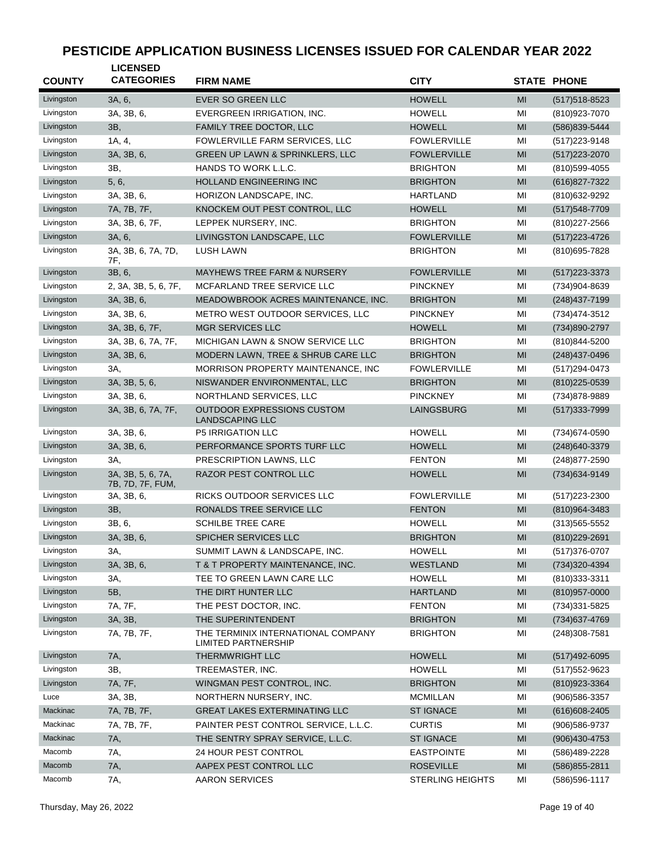| <b>COUNTY</b> | <b>LICENSED</b><br><b>CATEGORIES</b>  | <b>FIRM NAME</b>                                                 | <b>CITY</b>             |                                                                                                             | <b>STATE PHONE</b> |
|---------------|---------------------------------------|------------------------------------------------------------------|-------------------------|-------------------------------------------------------------------------------------------------------------|--------------------|
| Livingston    | 3A, 6,                                | <b>EVER SO GREEN LLC</b>                                         | <b>HOWELL</b>           | MI                                                                                                          | $(517)518 - 8523$  |
| Livingston    | 3A, 3B, 6,                            | EVERGREEN IRRIGATION, INC.                                       | <b>HOWELL</b>           | MI                                                                                                          | (810) 923-7070     |
| Livingston    | 3B,                                   | FAMILY TREE DOCTOR, LLC                                          | <b>HOWELL</b>           | MI                                                                                                          | (586) 839-5444     |
| Livingston    | 1A, 4,                                | FOWLERVILLE FARM SERVICES, LLC                                   | <b>FOWLERVILLE</b>      | MI                                                                                                          | $(517)223 - 9148$  |
| Livingston    | 3A, 3B, 6,                            | GREEN UP LAWN & SPRINKLERS, LLC                                  | <b>FOWLERVILLE</b>      | MI                                                                                                          | (517) 223-2070     |
| Livingston    | 3B,                                   | HANDS TO WORK L.L.C.                                             | <b>BRIGHTON</b>         | MI                                                                                                          | (810) 599-4055     |
| Livingston    | 5, 6,                                 | <b>HOLLAND ENGINEERING INC</b>                                   | <b>BRIGHTON</b>         | MI                                                                                                          | (616) 827-7322     |
| Livingston    | 3A, 3B, 6,                            | HORIZON LANDSCAPE, INC.                                          | <b>HARTLAND</b>         | MI                                                                                                          | (810) 632-9292     |
| Livingston    | 7A, 7B, 7F,                           | KNOCKEM OUT PEST CONTROL, LLC                                    | <b>HOWELL</b>           | MI                                                                                                          | (517) 548-7709     |
| Livingston    | 3A, 3B, 6, 7F,                        | LEPPEK NURSERY, INC.                                             | <b>BRIGHTON</b>         | MI                                                                                                          | (810) 227-2566     |
| Livingston    | 3A, 6,                                | LIVINGSTON LANDSCAPE, LLC                                        | <b>FOWLERVILLE</b>      | MI                                                                                                          | (517) 223 - 4726   |
| Livingston    | 3A, 3B, 6, 7A, 7D,                    | <b>LUSH LAWN</b>                                                 | <b>BRIGHTON</b>         | MI                                                                                                          | (810) 695-7828     |
| Livingston    | 7F,<br>3B, 6,                         | <b>MAYHEWS TREE FARM &amp; NURSERY</b>                           | <b>FOWLERVILLE</b>      | MI                                                                                                          | $(517)223 - 3373$  |
| Livingston    | 2, 3A, 3B, 5, 6, 7F,                  | MCFARLAND TREE SERVICE LLC                                       | <b>PINCKNEY</b>         | MI                                                                                                          | (734)904-8639      |
| Livingston    | 3A, 3B, 6,                            | MEADOWBROOK ACRES MAINTENANCE, INC.                              | <b>BRIGHTON</b>         | MI                                                                                                          | (248) 437-7199     |
| Livingston    | 3A, 3B, 6,                            | METRO WEST OUTDOOR SERVICES, LLC                                 | <b>PINCKNEY</b>         | MI                                                                                                          | (734)474-3512      |
| Livingston    | 3A, 3B, 6, 7F,                        | <b>MGR SERVICES LLC</b>                                          | <b>HOWELL</b>           | MI                                                                                                          | (734)890-2797      |
| Livingston    | 3A, 3B, 6, 7A, 7F,                    | MICHIGAN LAWN & SNOW SERVICE LLC                                 | <b>BRIGHTON</b>         | MI                                                                                                          | (810) 844-5200     |
| Livingston    | 3A, 3B, 6,                            | MODERN LAWN, TREE & SHRUB CARE LLC                               | <b>BRIGHTON</b>         | MI                                                                                                          | (248) 437-0496     |
| Livingston    | 3A,                                   | MORRISON PROPERTY MAINTENANCE, INC                               | <b>FOWLERVILLE</b>      | MI                                                                                                          | (517) 294-0473     |
| Livingston    | 3A, 3B, 5, 6,                         | NISWANDER ENVIRONMENTAL, LLC                                     | <b>BRIGHTON</b>         | MI                                                                                                          | (810) 225-0539     |
| Livingston    | 3A, 3B, 6,                            | NORTHLAND SERVICES, LLC                                          | <b>PINCKNEY</b>         | MI                                                                                                          | (734) 878-9889     |
| Livingston    | 3A, 3B, 6, 7A, 7F,                    | OUTDOOR EXPRESSIONS CUSTOM<br><b>LANDSCAPING LLC</b>             | LAINGSBURG              | MI                                                                                                          | (517) 333-7999     |
| Livingston    | 3A, 3B, 6,                            | <b>P5 IRRIGATION LLC</b>                                         | <b>HOWELL</b>           | MI                                                                                                          | (734) 674-0590     |
| Livingston    | 3A, 3B, 6,                            | PERFORMANCE SPORTS TURF LLC                                      | <b>HOWELL</b>           | MI                                                                                                          | (248) 640-3379     |
| Livingston    | 3A,                                   | PRESCRIPTION LAWNS, LLC                                          | <b>FENTON</b>           | MI                                                                                                          | (248) 877-2590     |
| Livingston    | 3A, 3B, 5, 6, 7A,<br>7B, 7D, 7F, FUM, | RAZOR PEST CONTROL LLC                                           | <b>HOWELL</b>           | MI                                                                                                          | (734) 634-9149     |
| Livingston    | 3A, 3B, 6,                            | RICKS OUTDOOR SERVICES LLC                                       | <b>FOWLERVILLE</b>      | MI                                                                                                          | (517) 223-2300     |
| Livingston    | 3B,                                   | RONALDS TREE SERVICE LLC                                         | <b>FENTON</b>           | MI                                                                                                          | (810)964-3483      |
| Livingston    | 3B, 6,                                | <b>SCHILBE TREE CARE</b>                                         | <b>HOWELL</b>           | MI                                                                                                          | $(313)565 - 5552$  |
| Livingston    | 3A, 3B, 6,                            | SPICHER SERVICES LLC                                             | <b>BRIGHTON</b>         | MI                                                                                                          | (810) 229-2691     |
| Livingston    | 3A,                                   | SUMMIT LAWN & LANDSCAPE, INC.                                    | <b>HOWELL</b>           | $\mathsf{MI}% _{T}=\mathsf{M}_{T}\!\left( a,b\right) ,\ \mathsf{M}_{T}=\mathsf{M}_{T}\!\left( a,b\right) ,$ | (517) 376-0707     |
| Livingston    | 3A, 3B, 6,                            | T & T PROPERTY MAINTENANCE, INC.                                 | <b>WESTLAND</b>         | MI                                                                                                          | (734) 320-4394     |
| Livingston    | ЗΑ,                                   | TEE TO GREEN LAWN CARE LLC                                       | <b>HOWELL</b>           | MI                                                                                                          | (810) 333-3311     |
| Livingston    | 5B,                                   | THE DIRT HUNTER LLC                                              | <b>HARTLAND</b>         | MI                                                                                                          | $(810)957 - 0000$  |
| Livingston    | 7A, 7F,                               | THE PEST DOCTOR, INC.                                            | <b>FENTON</b>           | ΜI                                                                                                          | (734) 331-5825     |
| Livingston    | 3A, 3B,                               | THE SUPERINTENDENT                                               | <b>BRIGHTON</b>         | MI                                                                                                          | (734) 637-4769     |
| Livingston    | 7A, 7B, 7F,                           | THE TERMINIX INTERNATIONAL COMPANY<br><b>LIMITED PARTNERSHIP</b> | <b>BRIGHTON</b>         | ΜI                                                                                                          | (248) 308-7581     |
| Livingston    | 7A,                                   | THERMWRIGHT LLC                                                  | <b>HOWELL</b>           | MI                                                                                                          | $(517)492 - 6095$  |
| Livingston    | 3B,                                   | TREEMASTER, INC.                                                 | <b>HOWELL</b>           | MI                                                                                                          | (517) 552-9623     |
| Livingston    | 7A, 7F,                               | WINGMAN PEST CONTROL, INC.                                       | <b>BRIGHTON</b>         | MI                                                                                                          | (810) 923-3364     |
| Luce          | 3A, 3B,                               | NORTHERN NURSERY, INC.                                           | <b>MCMILLAN</b>         | MI                                                                                                          | (906) 586-3357     |
| Mackinac      | 7A, 7B, 7F,                           | GREAT LAKES EXTERMINATING LLC                                    | <b>ST IGNACE</b>        | MI                                                                                                          | $(616)608 - 2405$  |
| Mackinac      | 7A, 7B, 7F,                           | PAINTER PEST CONTROL SERVICE, L.L.C.                             | <b>CURTIS</b>           | MI                                                                                                          | (906) 586-9737     |
| Mackinac      | 7A,                                   | THE SENTRY SPRAY SERVICE, L.L.C.                                 | <b>ST IGNACE</b>        | MI                                                                                                          | $(906)430-4753$    |
| Macomb        | 7A,                                   | 24 HOUR PEST CONTROL                                             | <b>EASTPOINTE</b>       | MI                                                                                                          | (586)489-2228      |
| Macomb        | 7A,                                   | AAPEX PEST CONTROL LLC                                           | <b>ROSEVILLE</b>        | MI                                                                                                          | (586) 855-2811     |
| Macomb        | 7A,                                   | AARON SERVICES                                                   | <b>STERLING HEIGHTS</b> | MI                                                                                                          | (586) 596-1117     |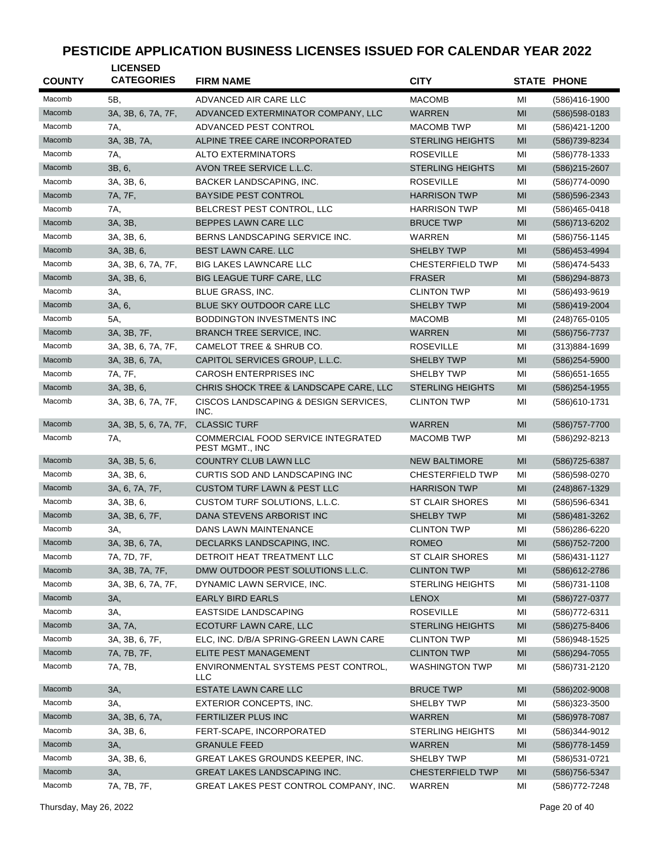| <b>COUNTY</b> | <b>LICENSED</b><br><b>CATEGORIES</b> | <b>FIRM NAME</b>                                      | <b>CITY</b>             |    | <b>STATE PHONE</b> |
|---------------|--------------------------------------|-------------------------------------------------------|-------------------------|----|--------------------|
| Macomb        | 5B,                                  | ADVANCED AIR CARE LLC                                 | <b>MACOMB</b>           | MI | (586)416-1900      |
| Macomb        | 3A, 3B, 6, 7A, 7F,                   | ADVANCED EXTERMINATOR COMPANY, LLC                    | <b>WARREN</b>           | MI | (586) 598-0183     |
| Macomb        | 7A,                                  | ADVANCED PEST CONTROL                                 | <b>MACOMB TWP</b>       | MI | (586)421-1200      |
| Macomb        | 3A, 3B, 7A,                          | ALPINE TREE CARE INCORPORATED                         | <b>STERLING HEIGHTS</b> | MI | (586) 739-8234     |
| Macomb        | 7A,                                  | <b>ALTO EXTERMINATORS</b>                             | <b>ROSEVILLE</b>        | MI | (586) 778-1333     |
| Macomb        | 3B, 6,                               | AVON TREE SERVICE L.L.C.                              | <b>STERLING HEIGHTS</b> | MI | (586) 215-2607     |
| Macomb        | 3A, 3B, 6,                           | BACKER LANDSCAPING, INC.                              | <b>ROSEVILLE</b>        | MI | (586) 774-0090     |
| Macomb        | 7A, 7F,                              | <b>BAYSIDE PEST CONTROL</b>                           | <b>HARRISON TWP</b>     | MI | (586) 596-2343     |
| Macomb        | 7A,                                  | BELCREST PEST CONTROL, LLC                            | <b>HARRISON TWP</b>     | MI | (586)465-0418      |
| Macomb        | 3A, 3B,                              | BEPPES LAWN CARE LLC                                  | <b>BRUCE TWP</b>        | MI | (586) 713-6202     |
| Macomb        | 3A, 3B, 6,                           | BERNS LANDSCAPING SERVICE INC.                        | WARREN                  | MI | (586) 756-1145     |
| Macomb        | 3A, 3B, 6,                           | <b>BEST LAWN CARE. LLC</b>                            | <b>SHELBY TWP</b>       | MI | (586) 453-4994     |
| Macomb        | 3A, 3B, 6, 7A, 7F,                   | <b>BIG LAKES LAWNCARE LLC</b>                         | <b>CHESTERFIELD TWP</b> | MI | (586) 474-5433     |
| Macomb        | 3A, 3B, 6,                           | <b>BIG LEAGUE TURF CARE, LLC</b>                      | <b>FRASER</b>           | MI | (586) 294-8873     |
| Macomb        | 3A,                                  | BLUE GRASS, INC.                                      | <b>CLINTON TWP</b>      | MI | (586)493-9619      |
| Macomb        | 3A, 6,                               | <b>BLUE SKY OUTDOOR CARE LLC</b>                      | <b>SHELBY TWP</b>       | MI | (586)419-2004      |
| Macomb        | 5A,                                  | <b>BODDINGTON INVESTMENTS INC</b>                     | <b>MACOMB</b>           | MI | (248) 765-0105     |
| Macomb        | 3A, 3B, 7F,                          | <b>BRANCH TREE SERVICE, INC.</b>                      | <b>WARREN</b>           | MI | (586) 756-7737     |
| Macomb        | 3A, 3B, 6, 7A, 7F,                   | CAMELOT TREE & SHRUB CO.                              | <b>ROSEVILLE</b>        | MI | (313)884-1699      |
| Macomb        | 3A, 3B, 6, 7A,                       | CAPITOL SERVICES GROUP, L.L.C.                        | <b>SHELBY TWP</b>       | MI | $(586)254 - 5900$  |
| Macomb        | 7A, 7F,                              | <b>CAROSH ENTERPRISES INC</b>                         | <b>SHELBY TWP</b>       | MI | (586) 651-1655     |
| Macomb        | 3A, 3B, 6,                           | CHRIS SHOCK TREE & LANDSCAPE CARE, LLC                | <b>STERLING HEIGHTS</b> | MI | (586) 254-1955     |
| Macomb        | 3A, 3B, 6, 7A, 7F,                   | CISCOS LANDSCAPING & DESIGN SERVICES,<br>INC.         | <b>CLINTON TWP</b>      | MI | (586)610-1731      |
| Macomb        | 3A, 3B, 5, 6, 7A, 7F,                | <b>CLASSIC TURF</b>                                   | <b>WARREN</b>           | MI | (586) 757-7700     |
| Macomb        | 7A,                                  | COMMERCIAL FOOD SERVICE INTEGRATED<br>PEST MGMT., INC | <b>MACOMB TWP</b>       | MI | (586) 292-8213     |
| Macomb        | 3A, 3B, 5, 6,                        | <b>COUNTRY CLUB LAWN LLC</b>                          | <b>NEW BALTIMORE</b>    | MI | (586) 725-6387     |
| Macomb        | 3A, 3B, 6,                           | CURTIS SOD AND LANDSCAPING INC                        | <b>CHESTERFIELD TWP</b> | MI | (586) 598-0270     |
| Macomb        | 3A, 6, 7A, 7F,                       | <b>CUSTOM TURF LAWN &amp; PEST LLC</b>                | <b>HARRISON TWP</b>     | MI | (248) 867-1329     |
| Macomb        | 3A, 3B, 6,                           | CUSTOM TURF SOLUTIONS, L.L.C.                         | <b>ST CLAIR SHORES</b>  | MI | (586) 596-6341     |
| Macomb        | 3A, 3B, 6, 7F,                       | DANA STEVENS ARBORIST INC                             | <b>SHELBY TWP</b>       | MI | (586) 481-3262     |
| Macomb        | 3A,                                  | DANS LAWN MAINTENANCE                                 | <b>CLINTON TWP</b>      | MI | (586)286-6220      |
| Macomb        | 3A, 3B, 6, 7A,                       | DECLARKS LANDSCAPING, INC.                            | <b>ROMEO</b>            | MI | (586) 752-7200     |
| Macomb        | 7A, 7D, 7F,                          | DETROIT HEAT TREATMENT LLC                            | ST CLAIR SHORES         | MI | (586) 431-1127     |
| Macomb        | 3A, 3B, 7A, 7F,                      | DMW OUTDOOR PEST SOLUTIONS L.L.C.                     | <b>CLINTON TWP</b>      | MI | (586) 612-2786     |
| Macomb        | 3A, 3B, 6, 7A, 7F,                   | DYNAMIC LAWN SERVICE, INC.                            | <b>STERLING HEIGHTS</b> | MI | (586) 731-1108     |
| Macomb        | 3A,                                  | <b>EARLY BIRD EARLS</b>                               | <b>LENOX</b>            | MI | (586) 727-0377     |
| Macomb        | 3A,                                  | <b>EASTSIDE LANDSCAPING</b>                           | <b>ROSEVILLE</b>        | MI | (586) 772-6311     |
| Macomb        | 3A, 7A,                              | ECOTURF LAWN CARE, LLC                                | STERLING HEIGHTS        | MI | (586) 275-8406     |
| Macomb        | 3A, 3B, 6, 7F,                       | ELC, INC. D/B/A SPRING-GREEN LAWN CARE                | <b>CLINTON TWP</b>      | MI | (586)948-1525      |
| Macomb        | 7A, 7B, 7F,                          | ELITE PEST MANAGEMENT                                 | <b>CLINTON TWP</b>      | MI | (586) 294-7055     |
| Macomb        | 7A, 7B,                              | ENVIRONMENTAL SYSTEMS PEST CONTROL,<br>LLC            | <b>WASHINGTON TWP</b>   | MI | (586) 731-2120     |
| Macomb        | 3A,                                  | ESTATE LAWN CARE LLC                                  | <b>BRUCE TWP</b>        | MI | (586) 202-9008     |
| Macomb        | 3A,                                  | EXTERIOR CONCEPTS, INC.                               | SHELBY TWP              | MI | (586) 323-3500     |
| Macomb        | 3A, 3B, 6, 7A,                       | FERTILIZER PLUS INC                                   | <b>WARREN</b>           | MI | (586) 978-7087     |
| Macomb        | 3A, 3B, 6,                           | FERT-SCAPE, INCORPORATED                              | <b>STERLING HEIGHTS</b> | MI | (586)344-9012      |
| Macomb        | 3A,                                  | <b>GRANULE FEED</b>                                   | <b>WARREN</b>           | MI | (586) 778-1459     |
| Macomb        | 3A, 3B, 6,                           | GREAT LAKES GROUNDS KEEPER, INC.                      | SHELBY TWP              | MI | (586) 531-0721     |
| Macomb        | 3A,                                  | GREAT LAKES LANDSCAPING INC.                          | <b>CHESTERFIELD TWP</b> | MI | (586) 756-5347     |
| Macomb        | 7A, 7B, 7F,                          | GREAT LAKES PEST CONTROL COMPANY, INC.                | WARREN                  | MI | (586) 772-7248     |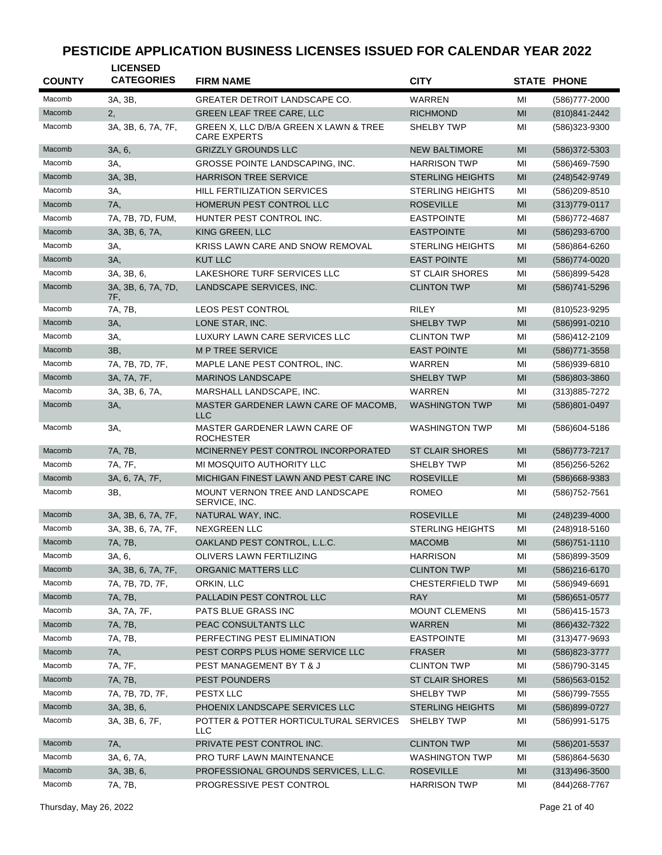| <b>COUNTY</b> | <b>LICENSED</b><br><b>CATEGORIES</b> | <b>FIRM NAME</b>                                              | <b>CITY</b>             |    | <b>STATE PHONE</b> |
|---------------|--------------------------------------|---------------------------------------------------------------|-------------------------|----|--------------------|
| Macomb        | 3A, 3B,                              | <b>GREATER DETROIT LANDSCAPE CO.</b>                          | WARREN                  | MI | (586) 777-2000     |
| Macomb        | 2,                                   | <b>GREEN LEAF TREE CARE, LLC</b>                              | <b>RICHMOND</b>         | MI | (810) 841-2442     |
| Macomb        | 3A, 3B, 6, 7A, 7F,                   | GREEN X, LLC D/B/A GREEN X LAWN & TREE<br><b>CARE EXPERTS</b> | <b>SHELBY TWP</b>       | MI | (586)323-9300      |
| Macomb        | 3A, 6,                               | <b>GRIZZLY GROUNDS LLC</b>                                    | <b>NEW BALTIMORE</b>    | MI | (586) 372-5303     |
| Macomb        | 3A,                                  | GROSSE POINTE LANDSCAPING, INC.                               | <b>HARRISON TWP</b>     | MI | (586)469-7590      |
| Macomb        | 3A, 3B,                              | <b>HARRISON TREE SERVICE</b>                                  | <b>STERLING HEIGHTS</b> | MI | (248) 542-9749     |
| Macomb        | 3A,                                  | <b>HILL FERTILIZATION SERVICES</b>                            | <b>STERLING HEIGHTS</b> | MI | (586)209-8510      |
| Macomb        | 7A,                                  | HOMERUN PEST CONTROL LLC                                      | <b>ROSEVILLE</b>        | MI | $(313)779-0117$    |
| Macomb        | 7A, 7B, 7D, FUM,                     | HUNTER PEST CONTROL INC.                                      | <b>EASTPOINTE</b>       | MI | (586) 772-4687     |
| Macomb        | 3A, 3B, 6, 7A,                       | KING GREEN, LLC                                               | <b>EASTPOINTE</b>       | MI | (586)293-6700      |
| Macomb        | 3A,                                  | KRISS LAWN CARE AND SNOW REMOVAL                              | <b>STERLING HEIGHTS</b> | MI | (586)864-6260      |
| Macomb        | 3A,                                  | <b>KUT LLC</b>                                                | <b>EAST POINTE</b>      | MI | (586) 774-0020     |
| Macomb        | 3A, 3B, 6,                           | LAKESHORE TURF SERVICES LLC                                   | <b>ST CLAIR SHORES</b>  | MI | (586)899-5428      |
| Macomb        | 3A, 3B, 6, 7A, 7D,<br>7F,            | LANDSCAPE SERVICES, INC.                                      | <b>CLINTON TWP</b>      | MI | (586) 741-5296     |
| Macomb        | 7A, 7B,                              | <b>LEOS PEST CONTROL</b>                                      | <b>RILEY</b>            | MI | (810) 523-9295     |
| Macomb        | 3A,                                  | LONE STAR, INC.                                               | <b>SHELBY TWP</b>       | MI | (586)991-0210      |
| Macomb        | 3A,                                  | LUXURY LAWN CARE SERVICES LLC                                 | <b>CLINTON TWP</b>      | MI | (586)412-2109      |
| Macomb        | 3B,                                  | <b>MP TREE SERVICE</b>                                        | <b>EAST POINTE</b>      | MI | (586) 771-3558     |
| Macomb        | 7A, 7B, 7D, 7F,                      | MAPLE LANE PEST CONTROL, INC.                                 | WARREN                  | MI | (586)939-6810      |
| Macomb        | 3A, 7A, 7F,                          | <b>MARINOS LANDSCAPE</b>                                      | <b>SHELBY TWP</b>       | MI | (586)803-3860      |
| Macomb        | 3A, 3B, 6, 7A,                       | MARSHALL LANDSCAPE, INC.                                      | WARREN                  | MI | (313) 885-7272     |
| Macomb        | 3A,                                  | MASTER GARDENER LAWN CARE OF MACOMB,<br>LLC                   | <b>WASHINGTON TWP</b>   | MI | (586)801-0497      |
| Macomb        | 3A,                                  | MASTER GARDENER LAWN CARE OF<br><b>ROCHESTER</b>              | <b>WASHINGTON TWP</b>   | MI | (586) 604-5186     |
| Macomb        | 7A, 7B,                              | MCINERNEY PEST CONTROL INCORPORATED                           | <b>ST CLAIR SHORES</b>  | MI | (586) 773-7217     |
| Macomb        | 7A, 7F,                              | MI MOSQUITO AUTHORITY LLC                                     | <b>SHELBY TWP</b>       | MI | (856) 256-5262     |
| Macomb        | 3A, 6, 7A, 7F,                       | MICHIGAN FINEST LAWN AND PEST CARE INC                        | <b>ROSEVILLE</b>        | MI | (586) 668-9383     |
| Macomb        | 3B,                                  | MOUNT VERNON TREE AND LANDSCAPE<br>SERVICE, INC.              | <b>ROMEO</b>            | MI | (586) 752-7561     |
| Macomb        | 3A, 3B, 6, 7A, 7F,                   | NATURAL WAY, INC.                                             | <b>ROSEVILLE</b>        | MI | $(248)$ 239-4000   |
| Macomb        | 3A, 3B, 6, 7A, 7F,                   | <b>NEXGREEN LLC</b>                                           | <b>STERLING HEIGHTS</b> | MI | (248)918-5160      |
| Macomb        | 7A, 7B,                              | OAKLAND PEST CONTROL, L.L.C.                                  | <b>MACOMB</b>           | MI | (586) 751-1110     |
| Macomb        | 3A, 6,                               | OLIVERS LAWN FERTILIZING                                      | <b>HARRISON</b>         | MI | (586)899-3509      |
| Macomb        | 3A, 3B, 6, 7A, 7F,                   | ORGANIC MATTERS LLC                                           | <b>CLINTON TWP</b>      | MI | (586)216-6170      |
| Macomb        | 7A, 7B, 7D, 7F,                      | ORKIN, LLC                                                    | <b>CHESTERFIELD TWP</b> | MI | (586)949-6691      |
| Macomb        | 7A, 7B,                              | PALLADIN PEST CONTROL LLC                                     | <b>RAY</b>              | MI | (586) 651-0577     |
| Macomb        | 3A, 7A, 7F,                          | PATS BLUE GRASS INC                                           | <b>MOUNT CLEMENS</b>    | MI | (586)415-1573      |
| Macomb        | 7A, 7B,                              | PEAC CONSULTANTS LLC                                          | <b>WARREN</b>           | MI | (866) 432-7322     |
| Macomb        | 7A, 7B,                              | PERFECTING PEST ELIMINATION                                   | <b>EASTPOINTE</b>       | MI | $(313)477 - 9693$  |
| Macomb        | 7A,                                  | PEST CORPS PLUS HOME SERVICE LLC                              | <b>FRASER</b>           | MI | (586) 823-3777     |
| Macomb        | 7A, 7F,                              | PEST MANAGEMENT BY T & J                                      | <b>CLINTON TWP</b>      | MI | (586) 790-3145     |
| Macomb        | 7A, 7B,                              | <b>PEST POUNDERS</b>                                          | <b>ST CLAIR SHORES</b>  | MI | (586) 563-0152     |
| Macomb        | 7A, 7B, 7D, 7F,                      | PESTX LLC                                                     | SHELBY TWP              | MI | (586) 799-7555     |
| Macomb        | 3A, 3B, 6,                           | PHOENIX LANDSCAPE SERVICES LLC                                | <b>STERLING HEIGHTS</b> | MI | (586)899-0727      |
| Macomb        | 3A, 3B, 6, 7F,                       | POTTER & POTTER HORTICULTURAL SERVICES<br>LLC                 | SHELBY TWP              | MI | (586) 991-5175     |
| Macomb        | 7A,                                  | PRIVATE PEST CONTROL INC.                                     | <b>CLINTON TWP</b>      | MI | (586) 201-5537     |
| Macomb        | 3A, 6, 7A,                           | PRO TURF LAWN MAINTENANCE                                     | <b>WASHINGTON TWP</b>   | MI | (586)864-5630      |
| Macomb        | 3A, 3B, 6,                           | PROFESSIONAL GROUNDS SERVICES, L.L.C.                         | <b>ROSEVILLE</b>        | MI | $(313)496 - 3500$  |
| Macomb        | 7A, 7B,                              | PROGRESSIVE PEST CONTROL                                      | <b>HARRISON TWP</b>     | MI | (844) 268-7767     |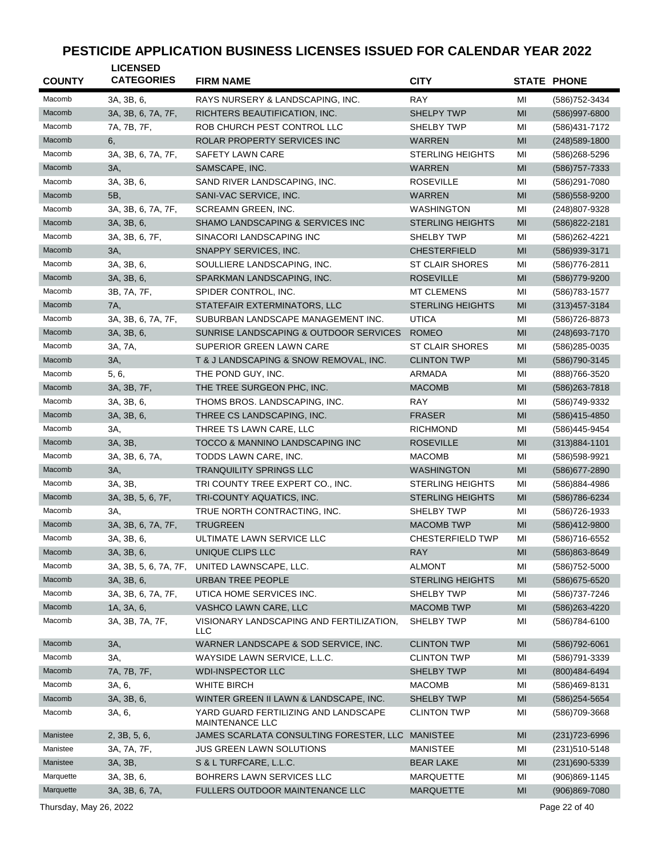| <b>COUNTY</b> | <b>LICENSED</b><br><b>CATEGORIES</b> | <b>FIRM NAME</b>                                        | <b>CITY</b>             |    | <b>STATE PHONE</b> |
|---------------|--------------------------------------|---------------------------------------------------------|-------------------------|----|--------------------|
| Macomb        | 3A, 3B, 6,                           | RAYS NURSERY & LANDSCAPING. INC.                        | <b>RAY</b>              | MI | (586) 752-3434     |
| Macomb        | 3A, 3B, 6, 7A, 7F,                   | RICHTERS BEAUTIFICATION, INC.                           | <b>SHELPY TWP</b>       | MI | (586)997-6800      |
| Macomb        | 7A, 7B, 7F,                          | ROB CHURCH PEST CONTROL LLC                             | SHELBY TWP              | MI | (586) 431-7172     |
| Macomb        | 6,                                   | ROLAR PROPERTY SERVICES INC                             | <b>WARREN</b>           | MI | $(248)589-1800$    |
| Macomb        | 3A, 3B, 6, 7A, 7F,                   | <b>SAFETY LAWN CARE</b>                                 | <b>STERLING HEIGHTS</b> | MI | (586) 268-5296     |
| Macomb        | 3A,                                  | SAMSCAPE, INC.                                          | WARREN                  | MI | (586) 757-7333     |
| Macomb        | 3A, 3B, 6,                           | SAND RIVER LANDSCAPING, INC.                            | <b>ROSEVILLE</b>        | MI | (586)291-7080      |
| Macomb        | 5B,                                  | SANI-VAC SERVICE, INC.                                  | <b>WARREN</b>           | MI | (586) 558-9200     |
| Macomb        | 3A, 3B, 6, 7A, 7F,                   | SCREAMN GREEN, INC.                                     | <b>WASHINGTON</b>       | MI | (248)807-9328      |
| Macomb        | 3A, 3B, 6,                           | SHAMO LANDSCAPING & SERVICES INC                        | <b>STERLING HEIGHTS</b> | MI | (586) 822-2181     |
| Macomb        | 3A, 3B, 6, 7F,                       | SINACORI LANDSCAPING INC                                | SHELBY TWP              | MI | (586) 262-4221     |
| Macomb        | 3A,                                  | SNAPPY SERVICES, INC.                                   | <b>CHESTERFIELD</b>     | MI | (586) 939-3171     |
| Macomb        | 3A, 3B, 6,                           | SOULLIERE LANDSCAPING, INC.                             | <b>ST CLAIR SHORES</b>  | MI | (586) 776-2811     |
| Macomb        | 3A, 3B, 6,                           | SPARKMAN LANDSCAPING, INC.                              | <b>ROSEVILLE</b>        | MI | (586) 779-9200     |
| Macomb        | 3B, 7A, 7F,                          | SPIDER CONTROL, INC.                                    | <b>MT CLEMENS</b>       | MI | (586) 783-1577     |
| Macomb        | 7A,                                  | STATEFAIR EXTERMINATORS, LLC                            | <b>STERLING HEIGHTS</b> | MI | $(313)457 - 3184$  |
| Macomb        | 3A, 3B, 6, 7A, 7F,                   | SUBURBAN LANDSCAPE MANAGEMENT INC.                      | <b>UTICA</b>            | MI | (586)726-8873      |
| Macomb        | 3A, 3B, 6,                           | SUNRISE LANDSCAPING & OUTDOOR SERVICES                  | <b>ROMEO</b>            | MI | (248) 693-7170     |
| Macomb        | 3A, 7A,                              | <b>SUPERIOR GREEN LAWN CARE</b>                         | <b>ST CLAIR SHORES</b>  | MI | (586)285-0035      |
| Macomb        | 3A,                                  | T & J LANDSCAPING & SNOW REMOVAL, INC.                  | <b>CLINTON TWP</b>      | MI | (586) 790-3145     |
| Macomb        | 5, 6,                                | THE POND GUY, INC.                                      | <b>ARMADA</b>           | MI | (888) 766-3520     |
| Macomb        | 3A, 3B, 7F,                          | THE TREE SURGEON PHC, INC.                              | <b>MACOMB</b>           | MI | (586) 263-7818     |
| Macomb        | 3A, 3B, 6,                           | THOMS BROS. LANDSCAPING, INC.                           | <b>RAY</b>              | MI | (586)749-9332      |
| Macomb        | 3A, 3B, 6,                           | THREE CS LANDSCAPING, INC.                              | <b>FRASER</b>           | MI | (586)415-4850      |
| Macomb        | 3A,                                  | THREE TS LAWN CARE, LLC                                 | <b>RICHMOND</b>         | MI | (586)445-9454      |
| Macomb        | 3A, 3B,                              | TOCCO & MANNINO LANDSCAPING INC                         | <b>ROSEVILLE</b>        | MI | $(313)884 - 1101$  |
| Macomb        | 3A, 3B, 6, 7A,                       | TODDS LAWN CARE, INC.                                   | <b>MACOMB</b>           | MI | (586) 598-9921     |
| Macomb        | 3A,                                  | <b>TRANQUILITY SPRINGS LLC</b>                          | <b>WASHINGTON</b>       | MI | (586) 677-2890     |
| Macomb        | 3A, 3B,                              | TRI COUNTY TREE EXPERT CO., INC.                        | <b>STERLING HEIGHTS</b> | MI | (586) 884-4986     |
| Macomb        | 3A, 3B, 5, 6, 7F,                    | TRI-COUNTY AQUATICS, INC.                               | <b>STERLING HEIGHTS</b> | MI | (586) 786-6234     |
| Macomb        | 3A,                                  | TRUE NORTH CONTRACTING, INC.                            | SHELBY TWP              | MI | (586) 726-1933     |
| Macomb        | 3A, 3B, 6, 7A, 7F,                   | <b>TRUGREEN</b>                                         | <b>MACOMB TWP</b>       | MI | (586)412-9800      |
| Macomb        | 3A, 3B, 6,                           | ULTIMATE LAWN SERVICE LLC                               | <b>CHESTERFIELD TWP</b> | MI | (586)716-6552      |
| Macomb        | 3A, 3B, 6,                           | UNIQUE CLIPS LLC                                        | <b>RAY</b>              | MI | (586)863-8649      |
| Macomb        | 3A, 3B, 5, 6, 7A, 7F,                | UNITED LAWNSCAPE, LLC.                                  | <b>ALMONT</b>           | MI | (586) 752-5000     |
| Macomb        | 3A, 3B, 6,                           | <b>URBAN TREE PEOPLE</b>                                | <b>STERLING HEIGHTS</b> | MI | (586) 675-6520     |
| Macomb        | 3A, 3B, 6, 7A, 7F,                   | UTICA HOME SERVICES INC.                                | SHELBY TWP              | MI | (586) 737-7246     |
| Macomb        | 1A, 3A, 6,                           | VASHCO LAWN CARE, LLC                                   | <b>MACOMB TWP</b>       | MI | (586) 263-4220     |
| Macomb        | 3A, 3B, 7A, 7F,                      | VISIONARY LANDSCAPING AND FERTILIZATION.<br>LLC         | <b>SHELBY TWP</b>       | MI | (586)784-6100      |
| Macomb        | 3A,                                  | WARNER LANDSCAPE & SOD SERVICE, INC.                    | <b>CLINTON TWP</b>      | MI | (586) 792-6061     |
| Macomb        | 3A,                                  | WAYSIDE LAWN SERVICE, L.L.C.                            | <b>CLINTON TWP</b>      | MI | (586) 791-3339     |
| Macomb        | 7A, 7B, 7F,                          | <b>WDI-INSPECTOR LLC</b>                                | <b>SHELBY TWP</b>       | MI | (800) 484-6494     |
| Macomb        | 3A, 6,                               | WHITE BIRCH                                             | <b>MACOMB</b>           | MI | (586)469-8131      |
| Macomb        | 3A, 3B, 6,                           | WINTER GREEN II LAWN & LANDSCAPE, INC.                  | <b>SHELBY TWP</b>       | MI | (586) 254-5654     |
| Macomb        | 3A, 6,                               | YARD GUARD FERTILIZING AND LANDSCAPE<br>MAINTENANCE LLC | <b>CLINTON TWP</b>      | MI | (586)709-3668      |
| Manistee      | 2, 3B, 5, 6,                         | JAMES SCARLATA CONSULTING FORESTER, LLC                 | <b>MANISTEE</b>         | MI | $(231)723 - 6996$  |
| Manistee      | 3A, 7A, 7F,                          | <b>JUS GREEN LAWN SOLUTIONS</b>                         | <b>MANISTEE</b>         | MI | (231) 510-5148     |
| Manistee      | 3A, 3B,                              | S & L TURFCARE, L.L.C.                                  | <b>BEAR LAKE</b>        | MI | (231)690-5339      |
| Marquette     | 3A, 3B, 6,                           | BOHRERS LAWN SERVICES LLC                               | MARQUETTE               | MI | (906)869-1145      |
| Marquette     | 3A, 3B, 6, 7A,                       | FULLERS OUTDOOR MAINTENANCE LLC                         | <b>MARQUETTE</b>        | MI | $(906)869-7080$    |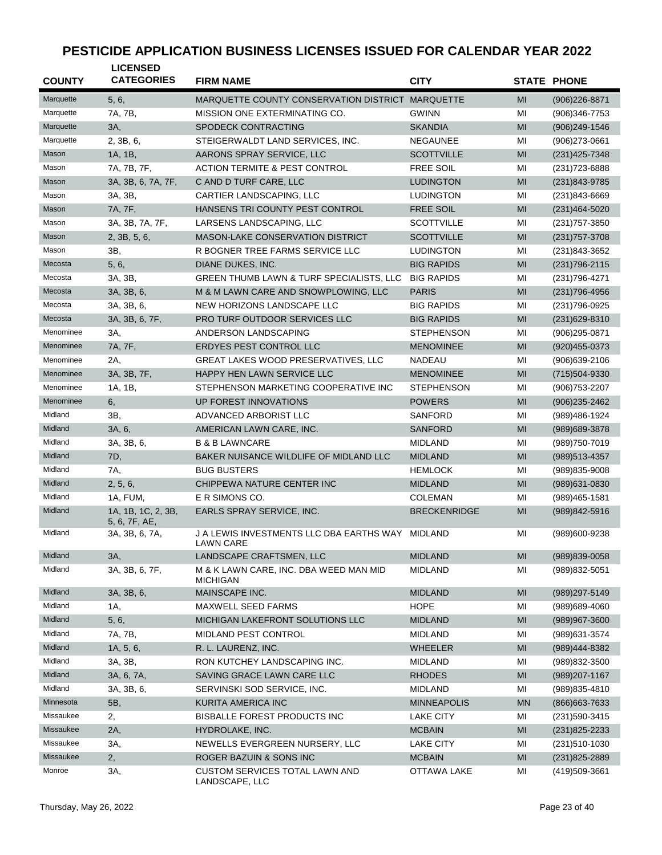| <b>COUNTY</b> | <b>LICENSED</b><br><b>CATEGORIES</b> | <b>FIRM NAME</b>                                              | <b>CITY</b>         |                | <b>STATE PHONE</b> |
|---------------|--------------------------------------|---------------------------------------------------------------|---------------------|----------------|--------------------|
| Marquette     | 5, 6,                                | MARQUETTE COUNTY CONSERVATION DISTRICT MARQUETTE              |                     | MI             | $(906)226 - 8871$  |
| Marquette     | 7A, 7B,                              | MISSION ONE EXTERMINATING CO.                                 | <b>GWINN</b>        | MI             | (906)346-7753      |
| Marquette     | 3A,                                  | SPODECK CONTRACTING                                           | <b>SKANDIA</b>      | MI             | $(906)249-1546$    |
| Marquette     | 2, 3B, 6,                            | STEIGERWALDT LAND SERVICES, INC.                              | <b>NEGAUNEE</b>     | MI             | $(906)$ 273-0661   |
| Mason         | 1A, 1B,                              | AARONS SPRAY SERVICE, LLC                                     | <b>SCOTTVILLE</b>   | MI             | (231) 425-7348     |
| Mason         | 7A, 7B, 7F,                          | <b>ACTION TERMITE &amp; PEST CONTROL</b>                      | <b>FREE SOIL</b>    | MI             | (231) 723-6888     |
| Mason         | 3A, 3B, 6, 7A, 7F,                   | C AND D TURF CARE, LLC                                        | <b>LUDINGTON</b>    | MI             | (231)843-9785      |
| Mason         | 3A, 3B,                              | CARTIER LANDSCAPING, LLC                                      | <b>LUDINGTON</b>    | MI             | (231)843-6669      |
| Mason         | 7A, 7F,                              | HANSENS TRI COUNTY PEST CONTROL                               | <b>FREE SOIL</b>    | MI             | $(231)464 - 5020$  |
| Mason         | 3A, 3B, 7A, 7F,                      | LARSENS LANDSCAPING, LLC                                      | <b>SCOTTVILLE</b>   | MI             | (231) 757-3850     |
| Mason         | 2, 3B, 5, 6,                         | <b>MASON-LAKE CONSERVATION DISTRICT</b>                       | <b>SCOTTVILLE</b>   | MI             | $(231)757 - 3708$  |
| Mason         | 3B,                                  | R BOGNER TREE FARMS SERVICE LLC                               | <b>LUDINGTON</b>    | MI             | (231)843-3652      |
| Mecosta       | 5, 6,                                | DIANE DUKES, INC.                                             | <b>BIG RAPIDS</b>   | MI             | $(231)796 - 2115$  |
| Mecosta       | 3A, 3B,                              | GREEN THUMB LAWN & TURF SPECIALISTS, LLC                      | <b>BIG RAPIDS</b>   | MI             | (231) 796-4271     |
| Mecosta       | 3A, 3B, 6,                           | M & M LAWN CARE AND SNOWPLOWING, LLC                          | <b>PARIS</b>        | MI             | $(231)796-4956$    |
| Mecosta       | 3A, 3B, 6,                           | NEW HORIZONS LANDSCAPE LLC                                    | <b>BIG RAPIDS</b>   | MI             | (231) 796-0925     |
| Mecosta       | 3A, 3B, 6, 7F,                       | PRO TURF OUTDOOR SERVICES LLC                                 | <b>BIG RAPIDS</b>   | MI             | $(231)629 - 8310$  |
| Menominee     | ЗΑ,                                  | ANDERSON LANDSCAPING                                          | STEPHENSON          | MI             | $(906)295 - 0871$  |
| Menominee     | 7A, 7F,                              | <b>ERDYES PEST CONTROL LLC</b>                                | <b>MENOMINEE</b>    | MI             | $(920)455 - 0373$  |
| Menominee     | 2A,                                  | GREAT LAKES WOOD PRESERVATIVES, LLC                           | <b>NADEAU</b>       | MI             | $(906)639-2106$    |
| Menominee     | 3A, 3B, 7F,                          | HAPPY HEN LAWN SERVICE LLC                                    | <b>MENOMINEE</b>    | MI             | (715)504-9330      |
| Menominee     | 1A, 1B,                              | STEPHENSON MARKETING COOPERATIVE INC                          | <b>STEPHENSON</b>   | MI             | (906) 753-2207     |
| Menominee     | 6,                                   | UP FOREST INNOVATIONS                                         | <b>POWERS</b>       | MI             | $(906)$ 235-2462   |
| Midland       | 3B,                                  | ADVANCED ARBORIST LLC                                         | <b>SANFORD</b>      | MI             | (989)486-1924      |
| Midland       | 3A, 6,                               | AMERICAN LAWN CARE, INC.                                      | <b>SANFORD</b>      | MI             | (989) 689-3878     |
| Midland       | 3A, 3B, 6,                           | <b>B &amp; B LAWNCARE</b>                                     | <b>MIDLAND</b>      | MI             | (989) 750-7019     |
| Midland       | 7D,                                  | BAKER NUISANCE WILDLIFE OF MIDLAND LLC                        | <b>MIDLAND</b>      | MI             | (989) 513-4357     |
| Midland       | 7A,                                  | <b>BUG BUSTERS</b>                                            | <b>HEMLOCK</b>      | MI             | $(989)835 - 9008$  |
| Midland       | 2, 5, 6,                             | CHIPPEWA NATURE CENTER INC                                    | <b>MIDLAND</b>      | MI             | (989) 631-0830     |
| Midland       | 1A, FUM,                             | E R SIMONS CO.                                                | <b>COLEMAN</b>      | MI             | (989)465-1581      |
| Midland       | 1A, 1B, 1C, 2, 3B,<br>5, 6, 7F, AE,  | EARLS SPRAY SERVICE, INC.                                     | <b>BRECKENRIDGE</b> | MI             | (989)842-5916      |
| Midland       | 3A, 3B, 6, 7A,                       | J A LEWIS INVESTMENTS LLC DBA EARTHS WAY MIDLAND<br>LAWN CARE |                     | MI             | (989)600-9238      |
| Midland       | 3A,                                  | LANDSCAPE CRAFTSMEN, LLC                                      | <b>MIDLAND</b>      | M <sub>l</sub> | (989)839-0058      |
| Midland       | 3A, 3B, 6, 7F,                       | M & K LAWN CARE, INC. DBA WEED MAN MID<br><b>MICHIGAN</b>     | <b>MIDLAND</b>      | ΜI             | (989) 832-5051     |
| Midland       | 3A, 3B, 6,                           | MAINSCAPE INC.                                                | <b>MIDLAND</b>      | MI             | (989) 297-5149     |
| Midland       | 1A,                                  | MAXWELL SEED FARMS                                            | <b>HOPE</b>         | MI             | (989)689-4060      |
| Midland       | 5, 6,                                | MICHIGAN LAKEFRONT SOLUTIONS LLC                              | <b>MIDLAND</b>      | MI             | (989)967-3600      |
| Midland       | 7A, 7B,                              | MIDLAND PEST CONTROL                                          | <b>MIDLAND</b>      | ΜI             | (989) 631-3574     |
| Midland       | 1A, 5, 6,                            | R. L. LAURENZ, INC.                                           | WHEELER             | MI             | (989)444-8382      |
| Midland       | 3A, 3B,                              | RON KUTCHEY LANDSCAPING INC.                                  | <b>MIDLAND</b>      | ΜI             | (989)832-3500      |
| Midland       | 3A, 6, 7A,                           | SAVING GRACE LAWN CARE LLC                                    | <b>RHODES</b>       | MI             | $(989)207 - 1167$  |
| Midland       | 3A, 3B, 6,                           | SERVINSKI SOD SERVICE, INC.                                   | MIDLAND             | ΜI             | (989) 835-4810     |
| Minnesota     | 5B,                                  | KURITA AMERICA INC                                            | <b>MINNEAPOLIS</b>  | MN             | (866) 663-7633     |
| Missaukee     | 2,                                   | <b>BISBALLE FOREST PRODUCTS INC</b>                           | <b>LAKE CITY</b>    | ΜI             | (231) 590-3415     |
| Missaukee     | 2A,                                  | HYDROLAKE, INC.                                               | <b>MCBAIN</b>       | MI             | $(231)825 - 2233$  |
| Missaukee     | 3A,                                  | NEWELLS EVERGREEN NURSERY, LLC                                | <b>LAKE CITY</b>    | ΜI             | $(231)510-1030$    |
| Missaukee     | 2,                                   | ROGER BAZUIN & SONS INC                                       | <b>MCBAIN</b>       | MI             | (231) 825-2889     |
| Monroe        | ЗΑ,                                  | CUSTOM SERVICES TOTAL LAWN AND<br>LANDSCAPE, LLC              | OTTAWA LAKE         | MI             | (419)509-3661      |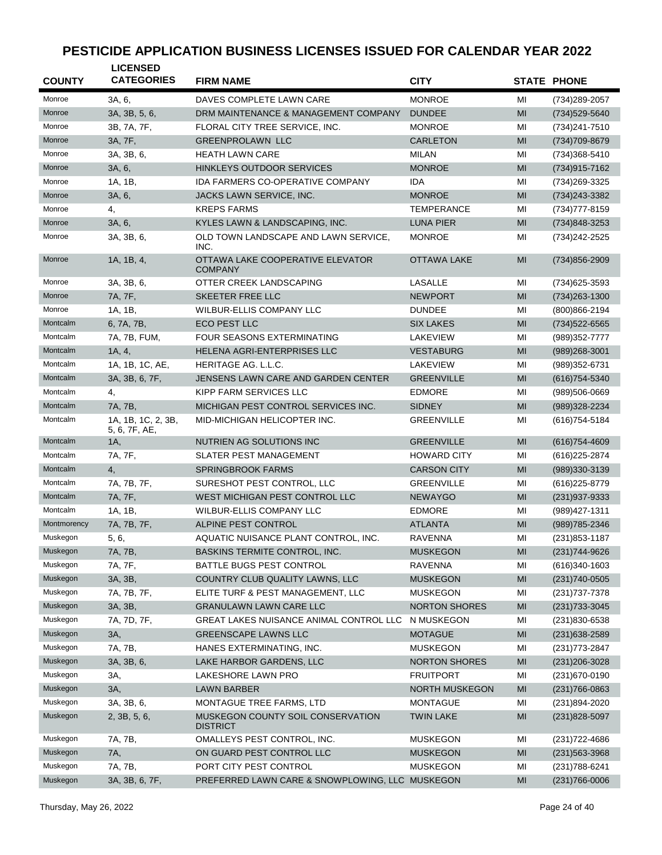| <b>COUNTY</b> | <b>LICENSED</b><br><b>CATEGORIES</b> | <b>FIRM NAME</b>                                     | <b>CITY</b>          |    | <b>STATE PHONE</b> |
|---------------|--------------------------------------|------------------------------------------------------|----------------------|----|--------------------|
| Monroe        | 3A, 6,                               | DAVES COMPLETE LAWN CARE                             | <b>MONROE</b>        | МI | (734) 289-2057     |
| Monroe        | 3A, 3B, 5, 6,                        | DRM MAINTENANCE & MANAGEMENT COMPANY                 | <b>DUNDEE</b>        | MI | (734) 529-5640     |
| Monroe        | 3B, 7A, 7F,                          | FLORAL CITY TREE SERVICE. INC.                       | <b>MONROE</b>        | MI | (734) 241-7510     |
| Monroe        | 3A, 7F,                              | <b>GREENPROLAWN LLC</b>                              | <b>CARLETON</b>      | MI | (734) 709-8679     |
| Monroe        | 3A, 3B, 6,                           | <b>HEATH LAWN CARE</b>                               | MILAN                | MI | (734) 368-5410     |
| Monroe        | 3A, 6,                               | HINKLEYS OUTDOOR SERVICES                            | <b>MONROE</b>        | MI | (734) 915-7162     |
| Monroe        | 1A, 1B,                              | IDA FARMERS CO-OPERATIVE COMPANY                     | <b>IDA</b>           | MI | (734) 269-3325     |
| Monroe        | 3A, 6,                               | JACKS LAWN SERVICE, INC.                             | <b>MONROE</b>        | MI | (734) 243-3382     |
| Monroe        | 4,                                   | <b>KREPS FARMS</b>                                   | <b>TEMPERANCE</b>    | MI | (734) 777-8159     |
| Monroe        | 3A, 6,                               | KYLES LAWN & LANDSCAPING, INC.                       | <b>LUNA PIER</b>     | MI | (734)848-3253      |
| Monroe        | 3A, 3B, 6,                           | OLD TOWN LANDSCAPE AND LAWN SERVICE,                 | <b>MONROE</b>        | MI | (734) 242-2525     |
|               |                                      | INC.                                                 |                      |    |                    |
| Monroe        | 1A, 1B, 4,                           | OTTAWA LAKE COOPERATIVE ELEVATOR<br>COMPANY          | <b>OTTAWA LAKE</b>   | MI | (734) 856-2909     |
| Monroe        | 3A, 3B, 6,                           | OTTER CREEK LANDSCAPING                              | LASALLE              | MI | (734) 625-3593     |
| Monroe        | 7A, 7F,                              | SKEETER FREE LLC                                     | <b>NEWPORT</b>       | MI | $(734)263 - 1300$  |
| Monroe        | 1A, 1B,                              | <b>WILBUR-ELLIS COMPANY LLC</b>                      | <b>DUNDEE</b>        | MI | (800) 866-2194     |
| Montcalm      | 6, 7A, 7B,                           | ECO PEST LLC                                         | <b>SIX LAKES</b>     | MI | $(734)522 - 6565$  |
| Montcalm      | 7A, 7B, FUM,                         | FOUR SEASONS EXTERMINATING                           | <b>LAKEVIEW</b>      | MI | (989) 352-7777     |
| Montcalm      | 1A, 4,                               | HELENA AGRI-ENTERPRISES LLC                          | <b>VESTABURG</b>     | MI | (989)268-3001      |
| Montcalm      | 1A, 1B, 1C, AE,                      | HERITAGE AG. L.L.C.                                  | LAKEVIEW             | MI | (989) 352-6731     |
| Montcalm      | 3A, 3B, 6, 7F,                       | JENSENS LAWN CARE AND GARDEN CENTER                  | <b>GREENVILLE</b>    | MI | $(616)754 - 5340$  |
| Montcalm      | 4,                                   | KIPP FARM SERVICES LLC                               | <b>EDMORE</b>        | MI | $(989)506 - 0669$  |
| Montcalm      | 7A, 7B,                              | MICHIGAN PEST CONTROL SERVICES INC.                  | <b>SIDNEY</b>        | MI | (989)328-2234      |
| Montcalm      | 1A, 1B, 1C, 2, 3B,<br>5, 6, 7F, AE,  | MID-MICHIGAN HELICOPTER INC.                         | <b>GREENVILLE</b>    | MI | (616) 754-5184     |
| Montcalm      | 1A,                                  | NUTRIEN AG SOLUTIONS INC                             | <b>GREENVILLE</b>    | MI | $(616)754 - 4609$  |
| Montcalm      | 7A, 7F,                              | SLATER PEST MANAGEMENT                               | <b>HOWARD CITY</b>   | MI | (616) 225-2874     |
| Montcalm      | 4.                                   | <b>SPRINGBROOK FARMS</b>                             | <b>CARSON CITY</b>   | MI | (989)330-3139      |
| Montcalm      | 7A, 7B, 7F,                          | SURESHOT PEST CONTROL. LLC                           | <b>GREENVILLE</b>    | MI | (616) 225-8779     |
| Montcalm      | 7A, 7F,                              | WEST MICHIGAN PEST CONTROL LLC                       | <b>NEWAYGO</b>       | MI | (231) 937-9333     |
| Montcalm      | 1A, 1B,                              | WILBUR-ELLIS COMPANY LLC                             | <b>EDMORE</b>        | MI | (989)427-1311      |
| Montmorency   | 7A, 7B, 7F,                          | ALPINE PEST CONTROL                                  | <b>ATLANTA</b>       | MI | (989) 785-2346     |
| Muskegon      | 5, 6,                                | AQUATIC NUISANCE PLANT CONTROL, INC.                 | <b>RAVENNA</b>       | MI | (231) 853-1187     |
| Muskegon      | 7A, 7B,                              | BASKINS TERMITE CONTROL, INC.                        | <b>MUSKEGON</b>      | MI | (231) 744-9626     |
| Muskegon      | 7A, 7F,                              | BATTLE BUGS PEST CONTROL                             | <b>RAVENNA</b>       | MI | (616)340-1603      |
| Muskegon      | 3A, 3B,                              | COUNTRY CLUB QUALITY LAWNS, LLC                      | <b>MUSKEGON</b>      | MI | $(231)740-0505$    |
| Muskegon      | 7A, 7B, 7F,                          | ELITE TURF & PEST MANAGEMENT, LLC                    | <b>MUSKEGON</b>      | MI | (231) 737-7378     |
| Muskegon      | 3A, 3B,                              | <b>GRANULAWN LAWN CARE LLC</b>                       | <b>NORTON SHORES</b> | MI | (231) 733-3045     |
| Muskegon      | 7A, 7D, 7F,                          | GREAT LAKES NUISANCE ANIMAL CONTROL LLC              | N MUSKEGON           | MI | (231)830-6538      |
| Muskegon      | 3A,                                  | GREENSCAPE LAWNS LLC                                 | <b>MOTAGUE</b>       | MI | (231) 638-2589     |
| Muskegon      | 7A, 7B,                              | HANES EXTERMINATING, INC.                            | <b>MUSKEGON</b>      | MI | (231) 773-2847     |
| Muskegon      | 3A, 3B, 6,                           | LAKE HARBOR GARDENS, LLC                             | <b>NORTON SHORES</b> | MI | (231) 206-3028     |
| Muskegon      | ЗΑ,                                  | LAKESHORE LAWN PRO                                   | <b>FRUITPORT</b>     | MI | (231) 670-0190     |
| Muskegon      | 3A,                                  | <b>LAWN BARBER</b>                                   | NORTH MUSKEGON       | MI | $(231)766 - 0863$  |
| Muskegon      | 3A, 3B, 6,                           | MONTAGUE TREE FARMS, LTD                             | <b>MONTAGUE</b>      | MI | (231)894-2020      |
| Muskegon      | 2, 3B, 5, 6,                         | MUSKEGON COUNTY SOIL CONSERVATION<br><b>DISTRICT</b> | <b>TWIN LAKE</b>     | MI | (231) 828-5097     |
| Muskegon      | 7A, 7B,                              | OMALLEYS PEST CONTROL, INC.                          | <b>MUSKEGON</b>      | MI | (231) 722-4686     |
| Muskegon      | 7A,                                  | ON GUARD PEST CONTROL LLC                            | <b>MUSKEGON</b>      | MI | $(231)563 - 3968$  |
| Muskegon      | 7A, 7B,                              | PORT CITY PEST CONTROL                               | <b>MUSKEGON</b>      | MI | (231) 788-6241     |
| Muskegon      | 3A, 3B, 6, 7F,                       | PREFERRED LAWN CARE & SNOWPLOWING, LLC MUSKEGON      |                      | MI | (231) 766-0006     |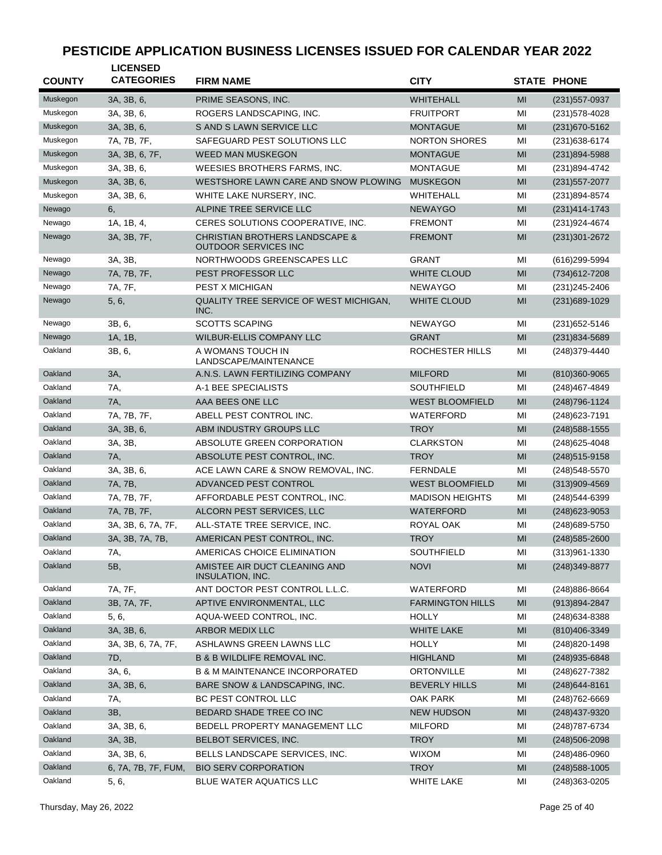| <b>COUNTY</b> | <b>LICENSED</b><br><b>CATEGORIES</b> | <b>FIRM NAME</b>                                                         | <b>CITY</b>             |    | <b>STATE PHONE</b> |
|---------------|--------------------------------------|--------------------------------------------------------------------------|-------------------------|----|--------------------|
| Muskegon      | 3A, 3B, 6,                           | PRIME SEASONS, INC.                                                      | <b>WHITEHALL</b>        | MI | $(231)$ 557-0937   |
| Muskegon      | 3A, 3B, 6,                           | ROGERS LANDSCAPING, INC.                                                 | <b>FRUITPORT</b>        | MI | (231) 578-4028     |
| Muskegon      | 3A, 3B, 6,                           | S AND S LAWN SERVICE LLC                                                 | <b>MONTAGUE</b>         | MI | (231) 670-5162     |
| Muskegon      | 7A, 7B, 7F,                          | SAFEGUARD PEST SOLUTIONS LLC                                             | <b>NORTON SHORES</b>    | MI | (231) 638-6174     |
| Muskegon      | 3A, 3B, 6, 7F,                       | <b>WEED MAN MUSKEGON</b>                                                 | <b>MONTAGUE</b>         | MI | (231)894-5988      |
| Muskegon      | 3A, 3B, 6,                           | WEESIES BROTHERS FARMS, INC.                                             | <b>MONTAGUE</b>         | MI | (231)894-4742      |
| Muskegon      | 3A, 3B, 6,                           | WESTSHORE LAWN CARE AND SNOW PLOWING                                     | <b>MUSKEGON</b>         | MI | (231) 557-2077     |
| Muskegon      | 3A, 3B, 6,                           | WHITE LAKE NURSERY, INC.                                                 | <b>WHITEHALL</b>        | MI | (231)894-8574      |
| Newago        | 6,                                   | ALPINE TREE SERVICE LLC                                                  | <b>NEWAYGO</b>          | MI | (231)414-1743      |
| Newago        | 1A, 1B, 4,                           | CERES SOLUTIONS COOPERATIVE, INC.                                        | <b>FREMONT</b>          | MI | (231) 924-4674     |
| Newago        | 3A, 3B, 7F,                          | <b>CHRISTIAN BROTHERS LANDSCAPE &amp;</b><br><b>OUTDOOR SERVICES INC</b> | <b>FREMONT</b>          | MI | (231) 301-2672     |
| Newago        | 3A, 3B,                              | NORTHWOODS GREENSCAPES LLC                                               | <b>GRANT</b>            | MI | (616)299-5994      |
| Newago        | 7A, 7B, 7F,                          | PEST PROFESSOR LLC                                                       | <b>WHITE CLOUD</b>      | MI | (734) 612-7208     |
| Newago        | 7A, 7F,                              | <b>PEST X MICHIGAN</b>                                                   | <b>NEWAYGO</b>          | MI | (231) 245-2406     |
| Newago        | 5, 6,                                | QUALITY TREE SERVICE OF WEST MICHIGAN,<br>INC.                           | <b>WHITE CLOUD</b>      | MI | (231) 689-1029     |
| Newago        | 3B, 6,                               | <b>SCOTTS SCAPING</b>                                                    | <b>NEWAYGO</b>          | MI | (231) 652-5146     |
| Newago        | 1A, 1B,                              | <b>WILBUR-ELLIS COMPANY LLC</b>                                          | <b>GRANT</b>            | MI | (231)834-5689      |
| Oakland       | 3B, 6,                               | A WOMANS TOUCH IN<br>LANDSCAPE/MAINTENANCE                               | ROCHESTER HILLS         | MI | (248)379-4440      |
| Oakland       | 3A,                                  | A.N.S. LAWN FERTILIZING COMPANY                                          | <b>MILFORD</b>          | MI | (810)360-9065      |
| Oakland       | 7A,                                  | A-1 BEE SPECIALISTS                                                      | <b>SOUTHFIELD</b>       | MI | (248)467-4849      |
| Oakland       | <b>7A</b> ,                          | AAA BEES ONE LLC                                                         | <b>WEST BLOOMFIELD</b>  | MI | (248) 796-1124     |
| Oakland       | 7A, 7B, 7F,                          | ABELL PEST CONTROL INC.                                                  | WATERFORD               | MI | (248) 623-7191     |
| Oakland       | 3A, 3B, 6,                           | ABM INDUSTRY GROUPS LLC                                                  | <b>TROY</b>             | MI | (248) 588-1555     |
| Oakland       | 3A, 3B,                              | ABSOLUTE GREEN CORPORATION                                               | <b>CLARKSTON</b>        | MI | (248) 625-4048     |
| Oakland       | <b>7A</b> ,                          | ABSOLUTE PEST CONTROL, INC.                                              | <b>TROY</b>             | MI | (248) 515-9158     |
| Oakland       | 3A, 3B, 6,                           | ACE LAWN CARE & SNOW REMOVAL, INC.                                       | <b>FERNDALE</b>         | MI | (248) 548-5570     |
| Oakland       | 7A, 7B,                              | ADVANCED PEST CONTROL                                                    | <b>WEST BLOOMFIELD</b>  | MI | (313)909-4569      |
| Oakland       | 7A, 7B, 7F,                          | AFFORDABLE PEST CONTROL, INC.                                            | <b>MADISON HEIGHTS</b>  | MI | (248) 544-6399     |
| Oakland       | 7A, 7B, 7F,                          | ALCORN PEST SERVICES, LLC                                                | <b>WATERFORD</b>        | MI | (248) 623-9053     |
| Oakland       | 3A, 3B, 6, 7A, 7F,                   | ALL-STATE TREE SERVICE, INC.                                             | ROYAL OAK               | MI | (248) 689-5750     |
| Oakland       | 3A, 3B, 7A, 7B,                      | AMERICAN PEST CONTROL, INC.                                              | <b>TROY</b>             | MI | (248) 585-2600     |
| Oakland       | 7A,                                  | AMERICAS CHOICE ELIMINATION                                              | SOUTHFIELD              | МI | (313)961-1330      |
| Oakland       | 5B,                                  | AMISTEE AIR DUCT CLEANING AND<br>INSULATION, INC.                        | <b>NOVI</b>             | MI | (248) 349-8877     |
| Oakland       | 7A, 7F,                              | ANT DOCTOR PEST CONTROL L.L.C.                                           | WATERFORD               | MI | (248) 886-8664     |
| Oakland       | 3B, 7A, 7F,                          | APTIVE ENVIRONMENTAL, LLC                                                | <b>FARMINGTON HILLS</b> | MI | $(913)894 - 2847$  |
| Oakland       | 5, 6,                                | AQUA-WEED CONTROL, INC.                                                  | <b>HOLLY</b>            | MI | (248) 634-8388     |
| Oakland       | 3A, 3B, 6,                           | ARBOR MEDIX LLC                                                          | <b>WHITE LAKE</b>       | MI | (810)406-3349      |
| Oakland       | 3A, 3B, 6, 7A, 7F,                   | ASHLAWNS GREEN LAWNS LLC                                                 | <b>HOLLY</b>            | MI | (248) 820-1498     |
| Oakland       | 7D,                                  | <b>B &amp; B WILDLIFE REMOVAL INC.</b>                                   | <b>HIGHLAND</b>         | MI | (248) 935-6848     |
| Oakland       | 3A, 6,                               | <b>B &amp; M MAINTENANCE INCORPORATED</b>                                | <b>ORTONVILLE</b>       | MI | (248) 627-7382     |
| Oakland       | 3A, 3B, 6,                           | BARE SNOW & LANDSCAPING, INC.                                            | <b>BEVERLY HILLS</b>    | MI | $(248)644 - 8161$  |
| Oakland       | 7A,                                  | BC PEST CONTROL LLC                                                      | OAK PARK                | MI | (248) 762-6669     |
| Oakland       | 3B,                                  | BEDARD SHADE TREE CO INC                                                 | <b>NEW HUDSON</b>       | MI | (248) 437-9320     |
| Oakland       | 3A, 3B, 6,                           | BEDELL PROPERTY MANAGEMENT LLC                                           | <b>MILFORD</b>          | MI | (248) 787-6734     |
| Oakland       | 3A, 3B,                              | BELBOT SERVICES, INC.                                                    | <b>TROY</b>             | MI | $(248)506 - 2098$  |
| Oakland       | 3A, 3B, 6,                           | BELLS LANDSCAPE SERVICES, INC.                                           | <b>WIXOM</b>            | MI | (248)486-0960      |
| Oakland       | 6, 7A, 7B, 7F, FUM,                  | <b>BIO SERV CORPORATION</b>                                              | <b>TROY</b>             | MI | $(248)$ 588-1005   |
| Oakland       | 5, 6,                                | BLUE WATER AQUATICS LLC                                                  | WHITE LAKE              | MI | (248) 363-0205     |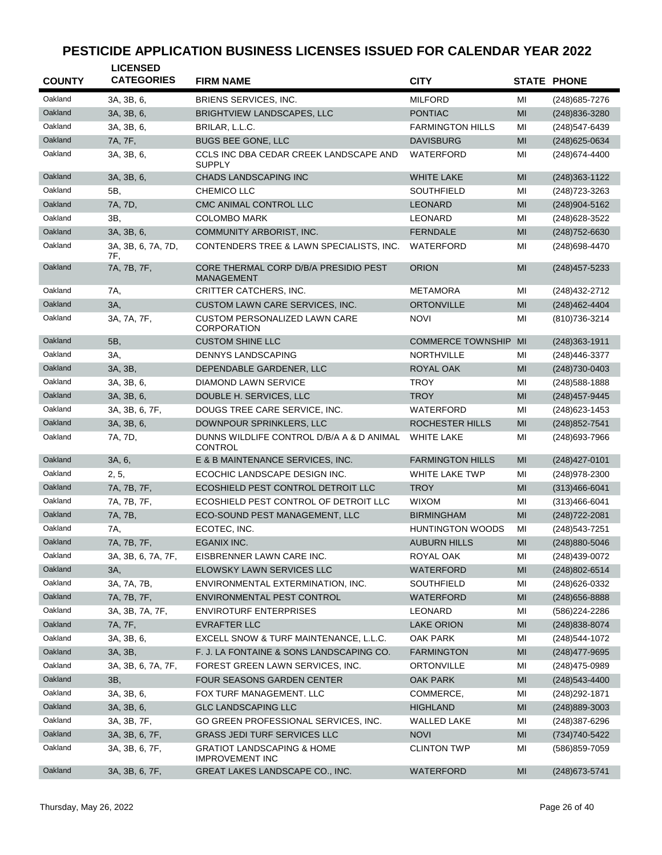| <b>COUNTY</b> | <b>LICENSED</b><br><b>CATEGORIES</b> | <b>FIRM NAME</b>                                                | <b>CITY</b>              |    | <b>STATE PHONE</b> |
|---------------|--------------------------------------|-----------------------------------------------------------------|--------------------------|----|--------------------|
| Oakland       | 3A, 3B, 6,                           | <b>BRIENS SERVICES, INC.</b>                                    | <b>MILFORD</b>           | ΜI | (248) 685-7276     |
| Oakland       | 3A, 3B, 6,                           | <b>BRIGHTVIEW LANDSCAPES, LLC</b>                               | <b>PONTIAC</b>           | MI | (248) 836-3280     |
| Oakland       | 3A, 3B, 6,                           | BRILAR, L.L.C.                                                  | <b>FARMINGTON HILLS</b>  | ΜI | (248) 547-6439     |
| Oakland       | 7A, 7F,                              | <b>BUGS BEE GONE, LLC</b>                                       | <b>DAVISBURG</b>         | MI | (248) 625-0634     |
| Oakland       | 3A, 3B, 6,                           | CCLS INC DBA CEDAR CREEK LANDSCAPE AND                          | WATERFORD                | ΜI | (248) 674-4400     |
|               |                                      | <b>SUPPLY</b>                                                   |                          |    |                    |
| Oakland       | 3A, 3B, 6,                           | <b>CHADS LANDSCAPING INC</b>                                    | <b>WHITE LAKE</b>        | MI | (248) 363-1122     |
| Oakland       | 5B,                                  | CHEMICO LLC                                                     | <b>SOUTHFIELD</b>        | MI | (248) 723-3263     |
| Oakland       | 7A, 7D,                              | CMC ANIMAL CONTROL LLC                                          | <b>LEONARD</b>           | MI | (248)904-5162      |
| Oakland       | 3B,                                  | <b>COLOMBO MARK</b>                                             | LEONARD                  | MI | (248) 628-3522     |
| Oakland       | 3A, 3B, 6,                           | COMMUNITY ARBORIST, INC.                                        | <b>FERNDALE</b>          | MI | (248) 752-6630     |
| Oakland       | 3A, 3B, 6, 7A, 7D,<br>7F.            | CONTENDERS TREE & LAWN SPECIALISTS, INC.                        | WATERFORD                | MI | (248) 698-4470     |
| Oakland       | 7A, 7B, 7F,                          | CORE THERMAL CORP D/B/A PRESIDIO PEST<br><b>MANAGEMENT</b>      | <b>ORION</b>             | MI | $(248)457 - 5233$  |
| Oakland       | 7A,                                  | CRITTER CATCHERS, INC.                                          | <b>METAMORA</b>          | MI | (248) 432-2712     |
| Oakland       | 3A,                                  | CUSTOM LAWN CARE SERVICES, INC.                                 | <b>ORTONVILLE</b>        | MI | (248) 462-4404     |
| Oakland       | 3A, 7A, 7F,                          | <b>CUSTOM PERSONALIZED LAWN CARE</b><br><b>CORPORATION</b>      | <b>NOVI</b>              | MI | (810) 736-3214     |
| Oakland       | 5B,                                  | <b>CUSTOM SHINE LLC</b>                                         | <b>COMMERCE TOWNSHIP</b> | MI | (248) 363-1911     |
| Oakland       | 3A,                                  | <b>DENNYS LANDSCAPING</b>                                       | <b>NORTHVILLE</b>        | MI | (248) 446-3377     |
| Oakland       | 3A, 3B,                              | DEPENDABLE GARDENER, LLC                                        | <b>ROYAL OAK</b>         | MI | (248) 730-0403     |
| Oakland       | 3A, 3B, 6,                           | DIAMOND LAWN SERVICE                                            | <b>TROY</b>              | MI | (248) 588-1888     |
| Oakland       | 3A, 3B, 6,                           | DOUBLE H. SERVICES, LLC                                         | <b>TROY</b>              | MI | (248) 457-9445     |
| Oakland       | 3A, 3B, 6, 7F,                       | DOUGS TREE CARE SERVICE, INC.                                   | WATERFORD                | MI | (248) 623-1453     |
| Oakland       | 3A, 3B, 6,                           | DOWNPOUR SPRINKLERS, LLC                                        | ROCHESTER HILLS          | MI | $(248)852 - 7541$  |
| Oakland       | 7A, 7D,                              | DUNNS WILDLIFE CONTROL D/B/A A & D ANIMAL<br><b>CONTROL</b>     | <b>WHITE LAKE</b>        | MI | (248) 693-7966     |
| Oakland       | 3A, 6,                               | E & B MAINTENANCE SERVICES, INC.                                | <b>FARMINGTON HILLS</b>  | MI | $(248)427 - 0101$  |
| Oakland       | 2, 5,                                | ECOCHIC LANDSCAPE DESIGN INC.                                   | WHITE LAKE TWP           | MI | (248) 978-2300     |
| Oakland       | 7A, 7B, 7F,                          | ECOSHIELD PEST CONTROL DETROIT LLC                              | <b>TROY</b>              | MI | $(313)466 - 6041$  |
| Oakland       | 7A, 7B, 7F,                          | ECOSHIELD PEST CONTROL OF DETROIT LLC                           | <b>WIXOM</b>             | MI | $(313)466 - 6041$  |
| Oakland       | 7A, 7B,                              | ECO-SOUND PEST MANAGEMENT, LLC                                  | <b>BIRMINGHAM</b>        | MI | (248) 722-2081     |
| Oakland       | 7A.                                  | ECOTEC, INC.                                                    | <b>HUNTINGTON WOODS</b>  | MI | (248) 543-7251     |
| Oakland       | 7A, 7B, 7F,                          | EGANIX INC.                                                     | <b>AUBURN HILLS</b>      | MI | (248) 880-5046     |
| Oakland       | 3A, 3B, 6, 7A, 7F,                   | EISBRENNER LAWN CARE INC.                                       | ROYAL OAK                | ΜI | (248)439-0072      |
| Oakland       | 3A,                                  | ELOWSKY LAWN SERVICES LLC                                       | WATERFORD                | MI | (248) 802-6514     |
| Oakland       | 3A, 7A, 7B,                          | ENVIRONMENTAL EXTERMINATION, INC.                               | SOUTHFIELD               | MI | (248) 626-0332     |
| Oakland       | 7A, 7B, 7F,                          | ENVIRONMENTAL PEST CONTROL                                      | WATERFORD                | MI | $(248)$ 656-8888   |
| Oakland       | 3A, 3B, 7A, 7F,                      | <b>ENVIROTURF ENTERPRISES</b>                                   | LEONARD                  | MI | (586)224-2286      |
| Oakland       | 7A, 7F,                              | <b>EVRAFTER LLC</b>                                             | <b>LAKE ORION</b>        | MI | (248) 838-8074     |
| Oakland       | 3A, 3B, 6,                           | EXCELL SNOW & TURF MAINTENANCE, L.L.C.                          | OAK PARK                 | MI | (248) 544-1072     |
| Oakland       | 3A, 3B,                              | F. J. LA FONTAINE & SONS LANDSCAPING CO.                        | <b>FARMINGTON</b>        | MI | (248) 477-9695     |
| Oakland       | 3A, 3B, 6, 7A, 7F,                   | FOREST GREEN LAWN SERVICES, INC.                                | ORTONVILLE               | ΜI | (248)475-0989      |
| Oakland       | 3B,                                  | FOUR SEASONS GARDEN CENTER                                      | OAK PARK                 | MI | (248) 543-4400     |
| Oakland       | 3A, 3B, 6,                           | FOX TURF MANAGEMENT. LLC                                        | COMMERCE,                | MI | (248) 292-1871     |
| Oakland       | 3A, 3B, 6,                           | <b>GLC LANDSCAPING LLC</b>                                      | <b>HIGHLAND</b>          | MI | (248) 889-3003     |
| Oakland       | 3A, 3B, 7F,                          | GO GREEN PROFESSIONAL SERVICES, INC.                            | WALLED LAKE              | MI | (248) 387-6296     |
| Oakland       | 3A, 3B, 6, 7F,                       | <b>GRASS JEDI TURF SERVICES LLC</b>                             | <b>NOVI</b>              | MI | (734) 740-5422     |
| Oakland       | 3A, 3B, 6, 7F,                       | <b>GRATIOT LANDSCAPING &amp; HOME</b><br><b>IMPROVEMENT INC</b> | CLINTON TWP              | MI | (586) 859-7059     |
| Oakland       | 3A, 3B, 6, 7F,                       | GREAT LAKES LANDSCAPE CO., INC.                                 | WATERFORD                | MI | (248) 673-5741     |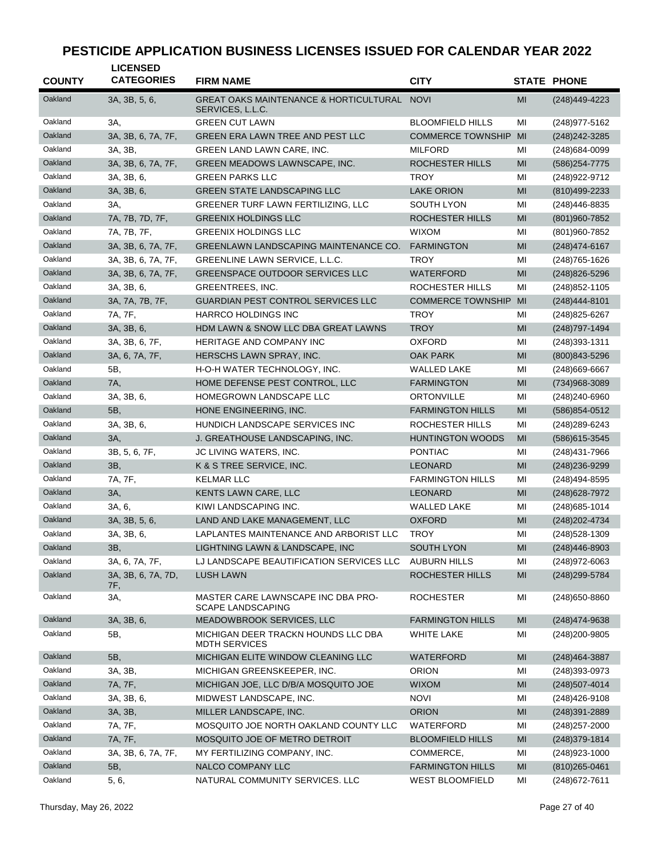| <b>COUNTY</b> | <b>LICENSED</b><br><b>CATEGORIES</b> | <b>FIRM NAME</b>                                                | <b>CITY</b>              |                | <b>STATE PHONE</b> |
|---------------|--------------------------------------|-----------------------------------------------------------------|--------------------------|----------------|--------------------|
| Oakland       | 3A, 3B, 5, 6,                        | GREAT OAKS MAINTENANCE & HORTICULTURAL NOVI<br>SERVICES, L.L.C. |                          | MI             | $(248)449-4223$    |
| Oakland       | 3A,                                  | <b>GREEN CUT LAWN</b>                                           | <b>BLOOMFIELD HILLS</b>  | MI             | (248) 977-5162     |
| Oakland       | 3A, 3B, 6, 7A, 7F,                   | GREEN ERA LAWN TREE AND PEST LLC                                | <b>COMMERCE TOWNSHIP</b> | MI             | (248) 242-3285     |
| Oakland       | 3A, 3B,                              | GREEN LAND LAWN CARE, INC.                                      | <b>MILFORD</b>           | MI             | (248) 684-0099     |
| Oakland       | 3A, 3B, 6, 7A, 7F,                   | GREEN MEADOWS LAWNSCAPE, INC.                                   | ROCHESTER HILLS          | MI             | (586) 254-7775     |
| Oakland       | 3A, 3B, 6,                           | <b>GREEN PARKS LLC</b>                                          | TROY                     | MI             | (248) 922-9712     |
| Oakland       | 3A, 3B, 6,                           | <b>GREEN STATE LANDSCAPING LLC</b>                              | <b>LAKE ORION</b>        | MI             | (810)499-2233      |
| Oakland       | 3A,                                  | GREENER TURF LAWN FERTILIZING, LLC                              | SOUTH LYON               | MI             | (248)446-8835      |
| Oakland       | 7A, 7B, 7D, 7F,                      | <b>GREENIX HOLDINGS LLC</b>                                     | ROCHESTER HILLS          | MI             | $(801)960 - 7852$  |
| Oakland       | 7A, 7B, 7F,                          | <b>GREENIX HOLDINGS LLC</b>                                     | <b>WIXOM</b>             | MI             | (801) 960 - 7852   |
| Oakland       | 3A, 3B, 6, 7A, 7F,                   | <b>GREENLAWN LANDSCAPING MAINTENANCE CO.</b>                    | <b>FARMINGTON</b>        | MI             | $(248)474-6167$    |
| Oakland       | 3A, 3B, 6, 7A, 7F,                   | GREENLINE LAWN SERVICE, L.L.C.                                  | TROY                     | MI             | (248) 765-1626     |
| Oakland       | 3A, 3B, 6, 7A, 7F,                   | <b>GREENSPACE OUTDOOR SERVICES LLC</b>                          | WATERFORD                | MI             | (248) 826-5296     |
| Oakland       | 3A, 3B, 6,                           | GREENTREES, INC.                                                | ROCHESTER HILLS          | MI             | (248) 852-1105     |
| Oakland       | 3A, 7A, 7B, 7F,                      | <b>GUARDIAN PEST CONTROL SERVICES LLC</b>                       | <b>COMMERCE TOWNSHIP</b> | MI             | $(248)444-8101$    |
| Oakland       | 7A, 7F,                              | <b>HARRCO HOLDINGS INC</b>                                      | <b>TROY</b>              | ΜI             | (248) 825-6267     |
| Oakland       | 3A, 3B, 6,                           | HDM LAWN & SNOW LLC DBA GREAT LAWNS                             | <b>TROY</b>              | MI             | (248) 797-1494     |
| Oakland       | 3A, 3B, 6, 7F,                       | HERITAGE AND COMPANY INC                                        | <b>OXFORD</b>            | MI             | (248) 393-1311     |
| Oakland       | 3A, 6, 7A, 7F,                       | HERSCHS LAWN SPRAY, INC.                                        | <b>OAK PARK</b>          | MI             | $(800)843 - 5296$  |
| Oakland       | 5B,                                  | H-O-H WATER TECHNOLOGY, INC.                                    | <b>WALLED LAKE</b>       | MI             | $(248)669-6667$    |
| Oakland       | <b>7A</b> ,                          | HOME DEFENSE PEST CONTROL, LLC                                  | FARMINGTON               | MI             | (734)968-3089      |
| Oakland       | 3A, 3B, 6,                           | HOMEGROWN LANDSCAPE LLC                                         | <b>ORTONVILLE</b>        | MI             | (248) 240-6960     |
| Oakland       | 5B,                                  | HONE ENGINEERING, INC.                                          | <b>FARMINGTON HILLS</b>  | MI             | (586) 854-0512     |
| Oakland       | 3A, 3B, 6,                           | HUNDICH LANDSCAPE SERVICES INC                                  | ROCHESTER HILLS          | MI             | (248) 289-6243     |
| Oakland       | 3A,                                  | J. GREATHOUSE LANDSCAPING, INC.                                 | <b>HUNTINGTON WOODS</b>  | MI             | $(586)615 - 3545$  |
| Oakland       | 3B, 5, 6, 7F,                        | JC LIVING WATERS, INC.                                          | <b>PONTIAC</b>           | MI             | (248) 431-7966     |
| Oakland       | 3B,                                  | K & S TREE SERVICE, INC.                                        | LEONARD                  | MI             | (248) 236-9299     |
| Oakland       | 7A, 7F,                              | <b>KELMAR LLC</b>                                               | <b>FARMINGTON HILLS</b>  | MI             | (248)494-8595      |
| Oakland       | 3A,                                  | KENTS LAWN CARE, LLC                                            | LEONARD                  | MI             | (248) 628-7972     |
| Oakland       | 3A, 6,                               | KIWI LANDSCAPING INC.                                           | <b>WALLED LAKE</b>       | MI             | (248) 685-1014     |
| Oakland       | 3A, 3B, 5, 6,                        | LAND AND LAKE MANAGEMENT, LLC                                   | OXFORD                   | MI             | (248) 202-4734     |
| Oakland       | 3A, 3B, 6,                           | LAPLANTES MAINTENANCE AND ARBORIST LLC                          | <b>TROY</b>              | MI             | (248) 528-1309     |
| Oakland       | 3B,                                  | LIGHTNING LAWN & LANDSCAPE, INC                                 | SOUTH LYON               | M <sub>l</sub> | (248) 446-8903     |
| Oakland       | 3A, 6, 7A, 7F,                       | LJ LANDSCAPE BEAUTIFICATION SERVICES LLC                        | <b>AUBURN HILLS</b>      | MI             | (248) 972-6063     |
| Oakland       | 3A, 3B, 6, 7A, 7D,                   | <b>LUSH LAWN</b>                                                | ROCHESTER HILLS          | MI             | (248) 299-5784     |
|               | 7F,                                  |                                                                 |                          |                |                    |
| Oakland       | 3A,                                  | MASTER CARE LAWNSCAPE INC DBA PRO-<br><b>SCAPE LANDSCAPING</b>  | ROCHESTER                | MI             | (248) 650-8860     |
| Oakland       | 3A, 3B, 6,                           | MEADOWBROOK SERVICES, LLC                                       | <b>FARMINGTON HILLS</b>  | MI             | (248) 474-9638     |
| Oakland       | 5B,                                  | MICHIGAN DEER TRACKN HOUNDS LLC DBA<br><b>MDTH SERVICES</b>     | WHITE LAKE               | MI             | (248) 200-9805     |
| Oakland       | 5B,                                  | MICHIGAN ELITE WINDOW CLEANING LLC                              | WATERFORD                | MI             | (248) 464-3887     |
| Oakland       | 3A, 3B,                              | MICHIGAN GREENSKEEPER, INC.                                     | <b>ORION</b>             | MI             | (248)393-0973      |
| Oakland       | 7A, 7F,                              | MICHIGAN JOE, LLC D/B/A MOSQUITO JOE                            | <b>WIXOM</b>             | MI             | (248) 507-4014     |
| Oakland       | 3A, 3B, 6,                           | MIDWEST LANDSCAPE, INC.                                         | <b>NOVI</b>              | MI             | (248) 426-9108     |
| Oakland       | 3A, 3B,                              | MILLER LANDSCAPE, INC.                                          | <b>ORION</b>             | MI             | $(248)391 - 2889$  |
| Oakland       | 7A, 7F,                              | MOSQUITO JOE NORTH OAKLAND COUNTY LLC                           | WATERFORD                | MI             | $(248)$ 257-2000   |
| Oakland       | 7A, 7F,                              | MOSQUITO JOE OF METRO DETROIT                                   | <b>BLOOMFIELD HILLS</b>  | MI             | (248) 379-1814     |
| Oakland       | 3A, 3B, 6, 7A, 7F,                   | MY FERTILIZING COMPANY, INC.                                    | COMMERCE,                | MI             | (248) 923-1000     |
| Oakland       | 5B,                                  | NALCO COMPANY LLC                                               | <b>FARMINGTON HILLS</b>  | MI             | $(810)265 - 0461$  |
| Oakland       | 5, 6,                                | NATURAL COMMUNITY SERVICES. LLC                                 | <b>WEST BLOOMFIELD</b>   | MI             | (248) 672-7611     |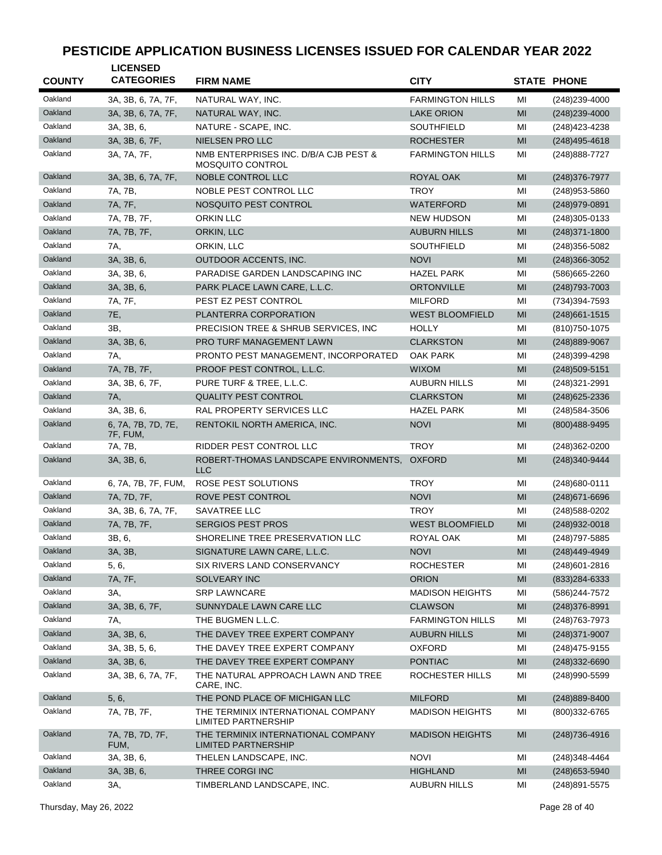| <b>COUNTY</b> | <b>LICENSED</b><br><b>CATEGORIES</b> | <b>FIRM NAME</b>                                                 | <b>CITY</b>             |                | <b>STATE PHONE</b> |
|---------------|--------------------------------------|------------------------------------------------------------------|-------------------------|----------------|--------------------|
| Oakland       | 3A, 3B, 6, 7A, 7F,                   | NATURAL WAY, INC.                                                | <b>FARMINGTON HILLS</b> | МI             | (248) 239-4000     |
| Oakland       | 3A, 3B, 6, 7A, 7F,                   | NATURAL WAY, INC.                                                | <b>LAKE ORION</b>       | MI             | $(248)$ 239-4000   |
| Oakland       | 3A, 3B, 6,                           | NATURE - SCAPE, INC.                                             | <b>SOUTHFIELD</b>       | MI             | (248) 423-4238     |
| Oakland       | 3A, 3B, 6, 7F,                       | NIELSEN PRO LLC                                                  | <b>ROCHESTER</b>        | MI             | $(248)495 - 4618$  |
| Oakland       | 3A, 7A, 7F,                          | NMB ENTERPRISES INC. D/B/A CJB PEST &<br><b>MOSQUITO CONTROL</b> | <b>FARMINGTON HILLS</b> | МI             | (248) 888-7727     |
| Oakland       | 3A, 3B, 6, 7A, 7F,                   | NOBLE CONTROL LLC                                                | ROYAL OAK               | MI             | (248) 376-7977     |
| Oakland       | 7A, 7B,                              | NOBLE PEST CONTROL LLC                                           | <b>TROY</b>             | MI             | (248) 953-5860     |
| Oakland       | 7A, 7F,                              | NOSQUITO PEST CONTROL                                            | <b>WATERFORD</b>        | MI             | (248) 979-0891     |
| Oakland       | 7A, 7B, 7F,                          | ORKIN LLC                                                        | <b>NEW HUDSON</b>       | MI             | $(248)305-0133$    |
| Oakland       | 7A, 7B, 7F,                          | ORKIN, LLC                                                       | <b>AUBURN HILLS</b>     | МI             | $(248)371 - 1800$  |
| Oakland       | 7A,                                  | ORKIN, LLC                                                       | <b>SOUTHFIELD</b>       | MI             | (248) 356-5082     |
| Oakland       | 3A, 3B, 6,                           | OUTDOOR ACCENTS, INC.                                            | <b>NOVI</b>             | MI             | $(248)366 - 3052$  |
| Oakland       | 3A, 3B, 6,                           | PARADISE GARDEN LANDSCAPING INC                                  | <b>HAZEL PARK</b>       | MI             | (586) 665-2260     |
| Oakland       | 3A, 3B, 6,                           | PARK PLACE LAWN CARE, L.L.C.                                     | <b>ORTONVILLE</b>       | MI             | (248) 793-7003     |
| Oakland       | 7A, 7F,                              | PEST EZ PEST CONTROL                                             | <b>MILFORD</b>          | MI             | (734)394-7593      |
| Oakland       | 7E,                                  | PLANTERRA CORPORATION                                            | <b>WEST BLOOMFIELD</b>  | MI             | $(248)661 - 1515$  |
| Oakland       | 3B,                                  | PRECISION TREE & SHRUB SERVICES, INC.                            | <b>HOLLY</b>            | MI             | (810) 750-1075     |
| Oakland       | 3A, 3B, 6,                           | PRO TURF MANAGEMENT LAWN                                         | <b>CLARKSTON</b>        | MI             | (248) 889-9067     |
| Oakland       | 7A,                                  | PRONTO PEST MANAGEMENT, INCORPORATED                             | <b>OAK PARK</b>         | MI             | (248)399-4298      |
| Oakland       | 7A, 7B, 7F,                          | PROOF PEST CONTROL, L.L.C.                                       | <b>WIXOM</b>            | MI             | $(248)509 - 5151$  |
| Oakland       | 3A, 3B, 6, 7F,                       | PURE TURF & TREE, L.L.C.                                         | <b>AUBURN HILLS</b>     | MI             | (248) 321-2991     |
| Oakland       | <b>7A,</b>                           | <b>QUALITY PEST CONTROL</b>                                      | <b>CLARKSTON</b>        | MI             | (248) 625-2336     |
| Oakland       | 3A, 3B, 6,                           | RAL PROPERTY SERVICES LLC                                        | <b>HAZEL PARK</b>       | MI             | (248) 584-3506     |
| Oakland       | 6, 7A, 7B, 7D, 7E,<br>7F, FUM,       | RENTOKIL NORTH AMERICA, INC.                                     | <b>NOVI</b>             | MI             | (800) 488-9495     |
| Oakland       | 7A, 7B,                              | RIDDER PEST CONTROL LLC                                          | <b>TROY</b>             | MI             | (248)362-0200      |
| Oakland       | 3A, 3B, 6,                           | ROBERT-THOMAS LANDSCAPE ENVIRONMENTS, OXFORD<br><b>LLC</b>       |                         | MI             | (248)340-9444      |
| Oakland       | 6, 7A, 7B, 7F, FUM,                  | ROSE PEST SOLUTIONS                                              | <b>TROY</b>             | MI             | (248) 680-0111     |
| Oakland       | 7A, 7D, 7F,                          | ROVE PEST CONTROL                                                | <b>NOVI</b>             | MI             | $(248)$ 671-6696   |
| Oakland       | 3A, 3B, 6, 7A, 7F,                   | SAVATREE LLC                                                     | <b>TROY</b>             | MI             | (248) 588-0202     |
| Oakland       | 7A, 7B, 7F,                          | <b>SERGIOS PEST PROS</b>                                         | <b>WEST BLOOMFIELD</b>  | MI             | $(248)932 - 0018$  |
| Oakland       | 3B, 6,                               | SHORELINE TREE PRESERVATION LLC                                  | ROYAL OAK               | MI             | (248) 797-5885     |
| Oakland       | 3A, 3B,                              | SIGNATURE LAWN CARE, L.L.C.                                      | <b>NOVI</b>             | MI             | (248)449-4949      |
| Oakland       | 5, 6,                                | SIX RIVERS LAND CONSERVANCY                                      | <b>ROCHESTER</b>        | MI             | (248) 601-2816     |
| Oakland       | 7A, 7F,                              | <b>SOLVEARY INC</b>                                              | <b>ORION</b>            | MI             | $(833)284 - 6333$  |
| Oakland       | 3A,                                  | <b>SRP LAWNCARE</b>                                              | <b>MADISON HEIGHTS</b>  | MI             | (586)244-7572      |
| Oakland       | 3A, 3B, 6, 7F,                       | SUNNYDALE LAWN CARE LLC                                          | <b>CLAWSON</b>          | MI             | (248) 376-8991     |
| Oakland       | 7A,                                  | THE BUGMEN L.L.C.                                                | <b>FARMINGTON HILLS</b> | MI             | (248) 763-7973     |
| Oakland       | 3A, 3B, 6,                           | THE DAVEY TREE EXPERT COMPANY                                    | <b>AUBURN HILLS</b>     | MI             | (248) 371-9007     |
| Oakland       | 3A, 3B, 5, 6,                        | THE DAVEY TREE EXPERT COMPANY                                    | <b>OXFORD</b>           | MI             | (248) 475-9155     |
| Oakland       | 3A, 3B, 6,                           | THE DAVEY TREE EXPERT COMPANY                                    | <b>PONTIAC</b>          | MI             | $(248)332 - 6690$  |
| Oakland       | 3A, 3B, 6, 7A, 7F,                   | THE NATURAL APPROACH LAWN AND TREE<br>CARE, INC.                 | ROCHESTER HILLS         | MI             | (248)990-5599      |
| Oakland       | 5, 6,                                | THE POND PLACE OF MICHIGAN LLC                                   | <b>MILFORD</b>          | M <sub>l</sub> | (248) 889-8400     |
| Oakland       | 7A, 7B, 7F,                          | THE TERMINIX INTERNATIONAL COMPANY<br><b>LIMITED PARTNERSHIP</b> | <b>MADISON HEIGHTS</b>  | MI             | (800)332-6765      |
| Oakland       | 7A, 7B, 7D, 7F,<br>FUM,              | THE TERMINIX INTERNATIONAL COMPANY<br><b>LIMITED PARTNERSHIP</b> | <b>MADISON HEIGHTS</b>  | MI             | $(248)736 - 4916$  |
| Oakland       | 3A, 3B, 6,                           | THELEN LANDSCAPE, INC.                                           | <b>NOVI</b>             | МI             | (248) 348-4464     |
| Oakland       | 3A, 3B, 6,                           | THREE CORGI INC                                                  | <b>HIGHLAND</b>         | MI             | $(248)$ 653-5940   |
| Oakland       | 3A,                                  | TIMBERLAND LANDSCAPE, INC.                                       | <b>AUBURN HILLS</b>     | MI             | (248) 891-5575     |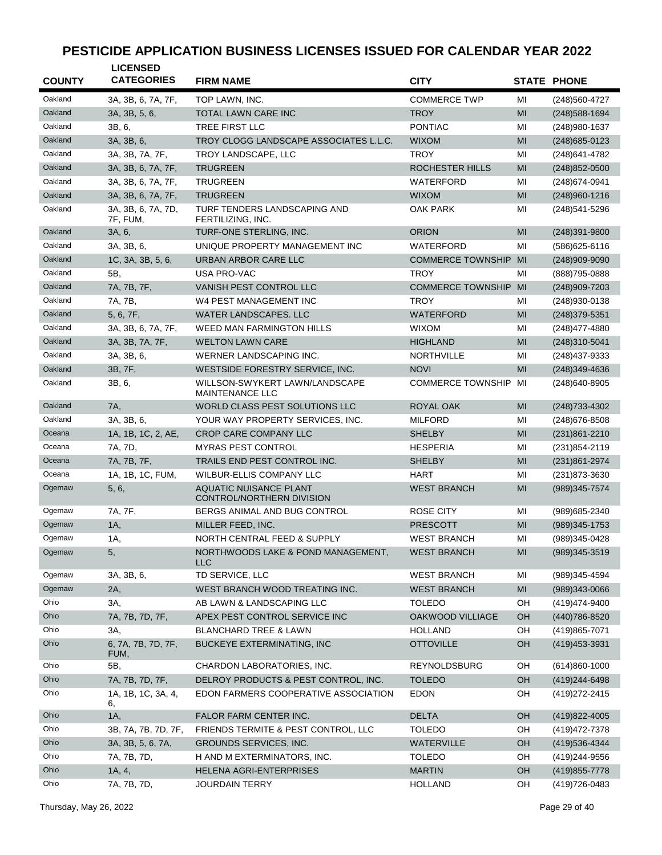| <b>COUNTY</b> | <b>LICENSED</b><br><b>CATEGORIES</b> | <b>FIRM NAME</b>                                           | <b>CITY</b>              |    | <b>STATE PHONE</b> |
|---------------|--------------------------------------|------------------------------------------------------------|--------------------------|----|--------------------|
| Oakland       | 3A, 3B, 6, 7A, 7F,                   | TOP LAWN, INC.                                             | <b>COMMERCE TWP</b>      | МI | (248) 560-4727     |
| Oakland       | 3A, 3B, 5, 6,                        | <b>TOTAL LAWN CARE INC</b>                                 | <b>TROY</b>              | MI | $(248)$ 588-1694   |
| Oakland       | 3B, 6,                               | TREE FIRST LLC                                             | <b>PONTIAC</b>           | MI | (248) 980-1637     |
| Oakland       | 3A, 3B, 6,                           | TROY CLOGG LANDSCAPE ASSOCIATES L.L.C.                     | <b>WIXOM</b>             | MI | $(248)685 - 0123$  |
| Oakland       | 3A, 3B, 7A, 7F,                      | TROY LANDSCAPE, LLC                                        | <b>TROY</b>              | MI | (248) 641-4782     |
| Oakland       | 3A, 3B, 6, 7A, 7F,                   | <b>TRUGREEN</b>                                            | ROCHESTER HILLS          | MI | $(248)852 - 0500$  |
| Oakland       | 3A, 3B, 6, 7A, 7F,                   | <b>TRUGREEN</b>                                            | WATERFORD                | MI | (248) 674-0941     |
| Oakland       | 3A, 3B, 6, 7A, 7F,                   | <b>TRUGREEN</b>                                            | <b>WIXOM</b>             | MI | (248) 960-1216     |
| Oakland       | 3A, 3B, 6, 7A, 7D,                   | TURF TENDERS LANDSCAPING AND                               | OAK PARK                 | MI | (248)541-5296      |
|               | 7F, FUM,                             | FERTILIZING, INC.                                          |                          |    |                    |
| Oakland       | 3A, 6,                               | TURF-ONE STERLING, INC.                                    | <b>ORION</b>             | MI | $(248)391 - 9800$  |
| Oakland       | 3A, 3B, 6,                           | UNIQUE PROPERTY MANAGEMENT INC                             | WATERFORD                | MI | $(586)625 - 6116$  |
| Oakland       | 1C, 3A, 3B, 5, 6,                    | URBAN ARBOR CARE LLC                                       | <b>COMMERCE TOWNSHIP</b> | MI | $(248)909-9090$    |
| Oakland       | 5B,                                  | USA PRO-VAC                                                | <b>TROY</b>              | MI | (888) 795-0888     |
| Oakland       | 7A, 7B, 7F,                          | <b>VANISH PEST CONTROL LLC</b>                             | <b>COMMERCE TOWNSHIP</b> | MI | (248) 909-7203     |
| Oakland       | 7A, 7B,                              | W4 PEST MANAGEMENT INC                                     | <b>TROY</b>              | MI | (248)930-0138      |
| Oakland       | 5, 6, 7F,                            | WATER LANDSCAPES. LLC                                      | <b>WATERFORD</b>         | MI | (248) 379-5351     |
| Oakland       | 3A, 3B, 6, 7A, 7F,                   | <b>WEED MAN FARMINGTON HILLS</b>                           | <b>WIXOM</b>             | MI | (248) 477-4880     |
| Oakland       | 3A, 3B, 7A, 7F,                      | <b>WELTON LAWN CARE</b>                                    | <b>HIGHLAND</b>          | MI | (248)310-5041      |
| Oakland       | 3A, 3B, 6,                           | WERNER LANDSCAPING INC.                                    | <b>NORTHVILLE</b>        | MI | (248)437-9333      |
| Oakland       | 3B, 7F,                              | WESTSIDE FORESTRY SERVICE, INC.                            | <b>NOVI</b>              | MI | (248) 349-4636     |
| Oakland       | 3B, 6,                               | WILLSON-SWYKERT LAWN/LANDSCAPE<br><b>MAINTENANCE LLC</b>   | <b>COMMERCE TOWNSHIP</b> | MI | (248) 640-8905     |
| Oakland       | 7A,                                  | WORLD CLASS PEST SOLUTIONS LLC                             | ROYAL OAK                | MI | (248) 733-4302     |
| Oakland       | 3A, 3B, 6,                           | YOUR WAY PROPERTY SERVICES, INC.                           | <b>MILFORD</b>           | MI | $(248)$ 676-8508   |
| Oceana        | 1A, 1B, 1C, 2, AE,                   | <b>CROP CARE COMPANY LLC</b>                               | <b>SHELBY</b>            | MI | $(231)861 - 2210$  |
| Oceana        | 7A, 7D,                              | <b>MYRAS PEST CONTROL</b>                                  | <b>HESPERIA</b>          | MI | $(231)854 - 2119$  |
| Oceana        | 7A, 7B, 7F,                          | TRAILS END PEST CONTROL INC.                               | <b>SHELBY</b>            | MI | (231)861-2974      |
| Oceana        | 1A, 1B, 1C, FUM,                     | WILBUR-ELLIS COMPANY LLC                                   | <b>HART</b>              | MI | (231) 873-3630     |
| Ogemaw        | 5, 6,                                | <b>AQUATIC NUISANCE PLANT</b><br>CONTROL/NORTHERN DIVISION | <b>WEST BRANCH</b>       | MI | (989)345-7574      |
| Ogemaw        | 7A, 7F,                              | BERGS ANIMAL AND BUG CONTROL                               | ROSE CITY                | MI | (989) 685-2340     |
| Ogemaw        | $1A$ ,                               | MILLER FEED, INC.                                          | <b>PRESCOTT</b>          | MI | $(989)345 - 1753$  |
| Ogemaw        | 1A,                                  | NORTH CENTRAL FEED & SUPPLY                                | <b>WEST BRANCH</b>       | MI | (989)345-0428      |
| Ogemaw        | 5,                                   | NORTHWOODS LAKE & POND MANAGEMENT,<br><b>LLC</b>           | <b>WEST BRANCH</b>       | MI | $(989)345 - 3519$  |
| Ogemaw        | 3A, 3B, 6,                           | TD SERVICE, LLC                                            | <b>WEST BRANCH</b>       | MI | (989)345-4594      |
| Ogemaw        | 2A,                                  | WEST BRANCH WOOD TREATING INC.                             | <b>WEST BRANCH</b>       | MI | $(989)343 - 0066$  |
| Ohio          | 3A,                                  | AB LAWN & LANDSCAPING LLC                                  | <b>TOLEDO</b>            | OH | (419) 474-9400     |
| Ohio          | 7A, 7B, 7D, 7F,                      | APEX PEST CONTROL SERVICE INC                              | OAKWOOD VILLIAGE         | OH | (440) 786-8520     |
| Ohio          | 3A,                                  | <b>BLANCHARD TREE &amp; LAWN</b>                           | <b>HOLLAND</b>           | OH | (419) 865-7071     |
| Ohio          | 6, 7A, 7B, 7D, 7F,<br>FUM,           | <b>BUCKEYE EXTERMINATING, INC</b>                          | <b>OTTOVILLE</b>         | OH | (419) 453-3931     |
| Ohio          | 5B,                                  | CHARDON LABORATORIES, INC.                                 | <b>REYNOLDSBURG</b>      | OH | $(614)860 - 1000$  |
| Ohio          | 7A, 7B, 7D, 7F,                      | DELROY PRODUCTS & PEST CONTROL, INC.                       | <b>TOLEDO</b>            | OH | (419) 244-6498     |
| Ohio          | 1A, 1B, 1C, 3A, 4,<br>6,             | EDON FARMERS COOPERATIVE ASSOCIATION                       | <b>EDON</b>              | OH | (419) 272-2415     |
| Ohio          | 1A,                                  | FALOR FARM CENTER INC.                                     | <b>DELTA</b>             | OH | (419) 822-4005     |
| Ohio          | 3B, 7A, 7B, 7D, 7F,                  | FRIENDS TERMITE & PEST CONTROL, LLC                        | <b>TOLEDO</b>            | OH | (419) 472-7378     |
| Ohio          | 3A, 3B, 5, 6, 7A,                    | GROUNDS SERVICES, INC.                                     | WATERVILLE               | OH | (419) 536-4344     |
| Ohio          | 7A, 7B, 7D,                          | H AND M EXTERMINATORS, INC.                                | <b>TOLEDO</b>            | OH | (419) 244-9556     |
| Ohio          | 1A, 4,                               | HELENA AGRI-ENTERPRISES                                    | <b>MARTIN</b>            | OH | (419) 855-7778     |
| Ohio          | 7A, 7B, 7D,                          | <b>JOURDAIN TERRY</b>                                      | <b>HOLLAND</b>           | OH | (419) 726-0483     |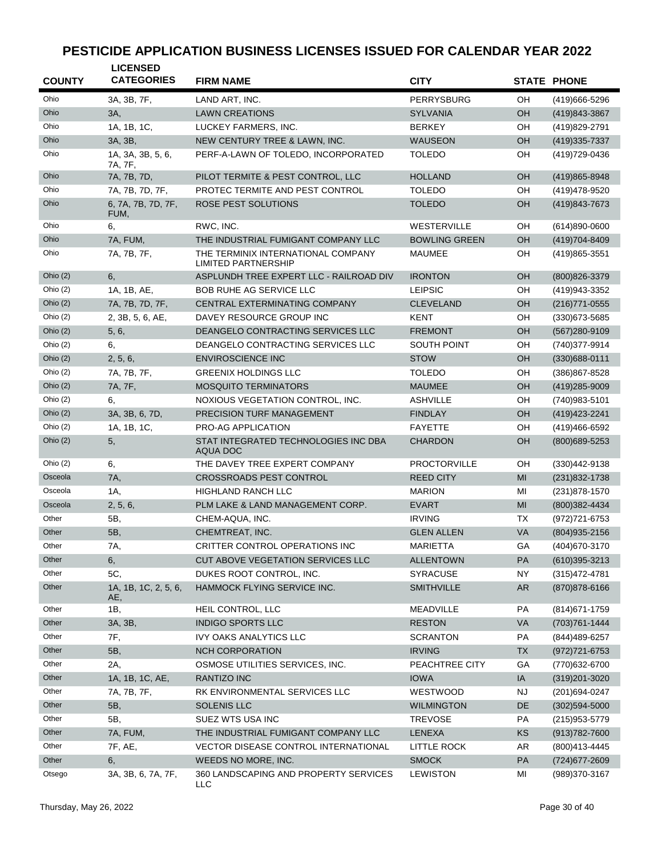| <b>COUNTY</b> | <b>LICENSED</b><br><b>CATEGORIES</b> | <b>FIRM NAME</b>                                                 | <b>CITY</b>          |           | <b>STATE PHONE</b> |
|---------------|--------------------------------------|------------------------------------------------------------------|----------------------|-----------|--------------------|
| Ohio          | 3A, 3B, 7F,                          | LAND ART, INC.                                                   | PERRYSBURG           | OH        | (419)666-5296      |
| Ohio          | 3A,                                  | <b>LAWN CREATIONS</b>                                            | <b>SYLVANIA</b>      | OН        | (419) 843-3867     |
| Ohio          | 1A, 1B, 1C,                          | LUCKEY FARMERS, INC.                                             | <b>BERKEY</b>        | OН        | (419) 829-2791     |
| Ohio          | 3A, 3B,                              | NEW CENTURY TREE & LAWN, INC.                                    | WAUSEON              | OН        | (419) 335-7337     |
| Ohio          | 1A, 3A, 3B, 5, 6,<br>7A, 7F,         | PERF-A-LAWN OF TOLEDO, INCORPORATED                              | TOLEDO               | OН        | (419) 729-0436     |
| Ohio          | 7A, 7B, 7D,                          | PILOT TERMITE & PEST CONTROL, LLC                                | <b>HOLLAND</b>       | OН        | (419) 865-8948     |
| Ohio          | 7A, 7B, 7D, 7F,                      | PROTEC TERMITE AND PEST CONTROL                                  | <b>TOLEDO</b>        | OН        | (419) 478-9520     |
| Ohio          | 6, 7A, 7B, 7D, 7F,<br>FUM,           | ROSE PEST SOLUTIONS                                              | <b>TOLEDO</b>        | OН        | (419)843-7673      |
| Ohio          | 6,                                   | RWC, INC.                                                        | WESTERVILLE          | OН        | $(614)890 - 0600$  |
| Ohio          | 7A, FUM,                             | THE INDUSTRIAL FUMIGANT COMPANY LLC                              | <b>BOWLING GREEN</b> | OН        | (419) 704-8409     |
| Ohio          | 7A, 7B, 7F,                          | THE TERMINIX INTERNATIONAL COMPANY<br><b>LIMITED PARTNERSHIP</b> | <b>MAUMEE</b>        | OН        | (419) 865-3551     |
| Ohio $(2)$    | 6.                                   | ASPLUNDH TREE EXPERT LLC - RAILROAD DIV                          | <b>IRONTON</b>       | OН        | (800) 826-3379     |
| Ohio $(2)$    | 1A, 1B, AE,                          | <b>BOB RUHE AG SERVICE LLC</b>                                   | <b>LEIPSIC</b>       | OН        | (419) 943-3352     |
| Ohio $(2)$    | 7A, 7B, 7D, 7F,                      | CENTRAL EXTERMINATING COMPANY                                    | <b>CLEVELAND</b>     | OН        | (216) 771-0555     |
| Ohio (2)      | 2, 3B, 5, 6, AE,                     | DAVEY RESOURCE GROUP INC                                         | <b>KENT</b>          | OН        | $(330)673 - 5685$  |
| Ohio $(2)$    | 5, 6,                                | DEANGELO CONTRACTING SERVICES LLC                                | <b>FREMONT</b>       | OН        | (567)280-9109      |
| Ohio (2)      | 6,                                   | DEANGELO CONTRACTING SERVICES LLC                                | <b>SOUTH POINT</b>   | OН        | (740)377-9914      |
| Ohio $(2)$    | 2, 5, 6,                             | <b>ENVIROSCIENCE INC</b>                                         | <b>STOW</b>          | OН        | $(330)688 - 0111$  |
| Ohio $(2)$    | 7A, 7B, 7F,                          | <b>GREENIX HOLDINGS LLC</b>                                      | <b>TOLEDO</b>        | OН        | (386) 867-8528     |
| Ohio $(2)$    | 7A, 7F,                              | <b>MOSQUITO TERMINATORS</b>                                      | <b>MAUMEE</b>        | OH        | (419) 285-9009     |
| Ohio $(2)$    | 6.                                   | NOXIOUS VEGETATION CONTROL, INC.                                 | <b>ASHVILLE</b>      | OН        | (740) 983-5101     |
| Ohio $(2)$    | 3A, 3B, 6, 7D,                       | PRECISION TURF MANAGEMENT                                        | <b>FINDLAY</b>       | OН        | (419) 423-2241     |
| Ohio (2)      | 1A, 1B, 1C,                          | <b>PRO-AG APPLICATION</b>                                        | <b>FAYETTE</b>       | OН        | (419)466-6592      |
| Ohio $(2)$    | 5,                                   | STAT INTEGRATED TECHNOLOGIES INC DBA<br>AQUA DOC                 | <b>CHARDON</b>       | OН        | (800) 689-5253     |
| Ohio (2)      | 6,                                   | THE DAVEY TREE EXPERT COMPANY                                    | <b>PROCTORVILLE</b>  | OН        | $(330)442-9138$    |
| Osceola       | 7A,                                  | <b>CROSSROADS PEST CONTROL</b>                                   | <b>REED CITY</b>     | MI        | (231) 832-1738     |
| Osceola       | 1A,                                  | <b>HIGHLAND RANCH LLC</b>                                        | <b>MARION</b>        | MI        | (231) 878-1570     |
| Osceola       | 2, 5, 6,                             | PLM LAKE & LAND MANAGEMENT CORP.                                 | <b>EVART</b>         | MI        | (800)382-4434      |
| Other         | 5B,                                  | CHEM-AQUA, INC.                                                  | <b>IRVING</b>        | ТX        | (972) 721-6753     |
| Other         | 5B,                                  | CHEMTREAT, INC.                                                  | <b>GLEN ALLEN</b>    | VA        | (804) 935-2156     |
| Other         | 7A,                                  | CRITTER CONTROL OPERATIONS INC                                   | MARIETTA             | GА        | (404) 670-3170     |
| Other         | 6,                                   | CUT ABOVE VEGETATION SERVICES LLC                                | <b>ALLENTOWN</b>     | PA        | $(610)395 - 3213$  |
| Other         | 5C,                                  | DUKES ROOT CONTROL, INC.                                         | <b>SYRACUSE</b>      | <b>NY</b> | (315) 472-4781     |
| Other         | 1A, 1B, 1C, 2, 5, 6,<br>AE,          | HAMMOCK FLYING SERVICE INC.                                      | <b>SMITHVILLE</b>    | AR        | (870) 878-6166     |
| Other         | 1B,                                  | HEIL CONTROL, LLC                                                | <b>MEADVILLE</b>     | PA        | (814) 671-1759     |
| Other         | 3A, 3B,                              | <b>INDIGO SPORTS LLC</b>                                         | <b>RESTON</b>        | VA        | (703) 761-1444     |
| Other         | 7F,                                  | <b>IVY OAKS ANALYTICS LLC</b>                                    | <b>SCRANTON</b>      | PA        | (844) 489-6257     |
| Other         | 5B,                                  | <b>NCH CORPORATION</b>                                           | <b>IRVING</b>        | <b>TX</b> | (972) 721-6753     |
| Other         | 2A,                                  | OSMOSE UTILITIES SERVICES, INC.                                  | PEACHTREE CITY       | GA        | (770) 632-6700     |
| Other         | 1A, 1B, 1C, AE,                      | <b>RANTIZO INC</b>                                               | <b>IOWA</b>          | $\sf IA$  | (319) 201-3020     |
| Other         | 7A, 7B, 7F,                          | RK ENVIRONMENTAL SERVICES LLC                                    | WESTWOOD             | ΝJ        | (201) 694-0247     |
| Other         | 5B,                                  | <b>SOLENIS LLC</b>                                               | <b>WILMINGTON</b>    | DE        | $(302)594 - 5000$  |
| Other         | 5B,                                  | SUEZ WTS USA INC                                                 | <b>TREVOSE</b>       | PA        | (215) 953-5779     |
| Other         | 7A, FUM,                             | THE INDUSTRIAL FUMIGANT COMPANY LLC                              | <b>LENEXA</b>        | KS        | $(913)782 - 7600$  |
| Other         | 7F, AE,                              | VECTOR DISEASE CONTROL INTERNATIONAL                             | <b>LITTLE ROCK</b>   | AR        | (800)413-4445      |
| Other         | 6,                                   | WEEDS NO MORE, INC.                                              | <b>SMOCK</b>         | PA        | (724) 677-2609     |
| Otsego        | 3A, 3B, 6, 7A, 7F,                   | 360 LANDSCAPING AND PROPERTY SERVICES<br>LLC                     | LEWISTON             | ΜI        | (989)370-3167      |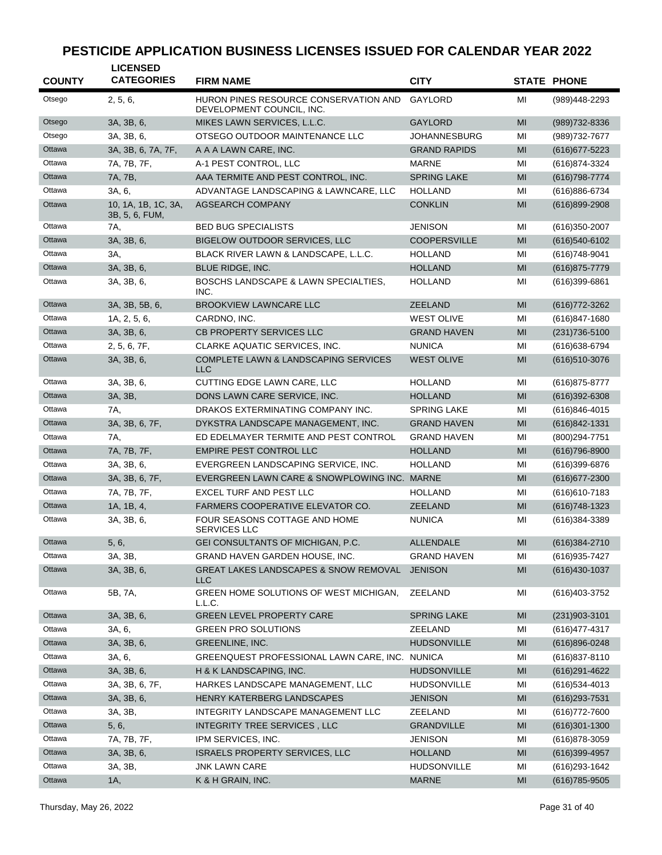| <b>COUNTY</b> | <b>LICENSED</b><br><b>CATEGORIES</b>  | <b>FIRM NAME</b>                                                   | <b>CITY</b>         |    | <b>STATE PHONE</b> |
|---------------|---------------------------------------|--------------------------------------------------------------------|---------------------|----|--------------------|
| Otsego        | 2, 5, 6,                              | HURON PINES RESOURCE CONSERVATION AND<br>DEVELOPMENT COUNCIL, INC. | GAYLORD             | MI | (989)448-2293      |
| Otsego        | 3A, 3B, 6,                            | MIKES LAWN SERVICES, L.L.C.                                        | <b>GAYLORD</b>      | MI | (989) 732-8336     |
| Otsego        | 3A, 3B, 6,                            | OTSEGO OUTDOOR MAINTENANCE LLC                                     | <b>JOHANNESBURG</b> | MI | (989) 732-7677     |
| Ottawa        | 3A, 3B, 6, 7A, 7F,                    | A A A LAWN CARE, INC.                                              | <b>GRAND RAPIDS</b> | MI | $(616)$ 677-5223   |
| Ottawa        | 7A, 7B, 7F,                           | A-1 PEST CONTROL, LLC                                              | <b>MARNE</b>        | MI | (616) 874-3324     |
| Ottawa        | 7A, 7B,                               | AAA TERMITE AND PEST CONTROL, INC.                                 | <b>SPRING LAKE</b>  | MI | $(616)798 - 7774$  |
| Ottawa        | 3A, 6,                                | ADVANTAGE LANDSCAPING & LAWNCARE, LLC                              | <b>HOLLAND</b>      | MI | (616)886-6734      |
| Ottawa        | 10, 1A, 1B, 1C, 3A,<br>3B, 5, 6, FUM, | <b>AGSEARCH COMPANY</b>                                            | <b>CONKLIN</b>      | MI | $(616)899-2908$    |
| Ottawa        | 7A,                                   | <b>BED BUG SPECIALISTS</b>                                         | JENISON             | MI | $(616)350-2007$    |
| Ottawa        | 3A, 3B, 6,                            | BIGELOW OUTDOOR SERVICES, LLC                                      | <b>COOPERSVILLE</b> | MI | $(616)540-6102$    |
| Ottawa        | 3A,                                   | BLACK RIVER LAWN & LANDSCAPE, L.L.C.                               | <b>HOLLAND</b>      | MI | $(616)748-9041$    |
| Ottawa        | 3A, 3B, 6,                            | BLUE RIDGE, INC.                                                   | <b>HOLLAND</b>      | MI | $(616)875 - 7779$  |
| Ottawa        | 3A, 3B, 6,                            | <b>BOSCHS LANDSCAPE &amp; LAWN SPECIALTIES,</b><br>INC.            | <b>HOLLAND</b>      | MI | (616)399-6861      |
| Ottawa        | 3A, 3B, 5B, 6,                        | <b>BROOKVIEW LAWNCARE LLC</b>                                      | <b>ZEELAND</b>      | MI | (616) 772-3262     |
| Ottawa        | 1A, 2, 5, 6,                          | CARDNO, INC.                                                       | <b>WEST OLIVE</b>   | MI | $(616)847 - 1680$  |
| Ottawa        | 3A, 3B, 6,                            | <b>CB PROPERTY SERVICES LLC</b>                                    | <b>GRAND HAVEN</b>  | MI | $(231)736 - 5100$  |
| Ottawa        | 2, 5, 6, 7F,                          | CLARKE AQUATIC SERVICES, INC.                                      | <b>NUNICA</b>       | MI | (616) 638-6794     |
| Ottawa        | 3A, 3B, 6,                            | <b>COMPLETE LAWN &amp; LANDSCAPING SERVICES</b><br><b>LLC</b>      | <b>WEST OLIVE</b>   | MI | $(616)510-3076$    |
| Ottawa        | 3A, 3B, 6,                            | CUTTING EDGE LAWN CARE, LLC                                        | <b>HOLLAND</b>      | MI | (616) 875-8777     |
| Ottawa        | 3A, 3B,                               | DONS LAWN CARE SERVICE, INC.                                       | <b>HOLLAND</b>      | MI | $(616)392 - 6308$  |
| Ottawa        | 7A,                                   | DRAKOS EXTERMINATING COMPANY INC.                                  | <b>SPRING LAKE</b>  | MI | $(616)846 - 4015$  |
| Ottawa        | 3A, 3B, 6, 7F,                        | DYKSTRA LANDSCAPE MANAGEMENT, INC.                                 | <b>GRAND HAVEN</b>  | MI | $(616)842 - 1331$  |
| Ottawa        | 7A,                                   | ED EDELMAYER TERMITE AND PEST CONTROL                              | <b>GRAND HAVEN</b>  | MI | (800) 294-7751     |
| Ottawa        | 7A, 7B, 7F,                           | <b>EMPIRE PEST CONTROL LLC</b>                                     | <b>HOLLAND</b>      | MI | $(616)796 - 8900$  |
| Ottawa        | 3A, 3B, 6,                            | EVERGREEN LANDSCAPING SERVICE, INC.                                | <b>HOLLAND</b>      | MI | (616)399-6876      |
| Ottawa        | 3A, 3B, 6, 7F,                        | EVERGREEN LAWN CARE & SNOWPLOWING INC. MARNE                       |                     | MI | $(616)677 - 2300$  |
| Ottawa        | 7A, 7B, 7F,                           | EXCEL TURF AND PEST LLC                                            | <b>HOLLAND</b>      | MI | $(616)610 - 7183$  |
| Ottawa        | 1A, 1B, 4,                            | <b>FARMERS COOPERATIVE ELEVATOR CO.</b>                            | <b>ZEELAND</b>      | MI | $(616)748-1323$    |
| Ottawa        | 3A, 3B, 6,                            | FOUR SEASONS COTTAGE AND HOME<br>SERVICES LLC                      | <b>NUNICA</b>       | MI | (616)384-3389      |
| Ottawa        | 5, 6,                                 | GEI CONSULTANTS OF MICHIGAN, P.C.                                  | <b>ALLENDALE</b>    | MI | (616) 384-2710     |
| Ottawa        | 3A, 3B,                               | GRAND HAVEN GARDEN HOUSE, INC.                                     | <b>GRAND HAVEN</b>  | MI | (616) 935-7427     |
| Ottawa        | 3A, 3B, 6,                            | <b>GREAT LAKES LANDSCAPES &amp; SNOW REMOVAL</b><br><b>LLC</b>     | <b>JENISON</b>      | MI | $(616)430-1037$    |
| Ottawa        | 5B, 7A,                               | GREEN HOME SOLUTIONS OF WEST MICHIGAN,<br>L.L.C.                   | ZEELAND             | MI | (616) 403-3752     |
| Ottawa        | 3A, 3B, 6,                            | <b>GREEN LEVEL PROPERTY CARE</b>                                   | <b>SPRING LAKE</b>  | MI | $(231)903 - 3101$  |
| Ottawa        | 3A, 6,                                | <b>GREEN PRO SOLUTIONS</b>                                         | ZEELAND             | MI | (616) 477-4317     |
| Ottawa        | 3A, 3B, 6,                            | GREENLINE, INC.                                                    | <b>HUDSONVILLE</b>  | MI | (616)896-0248      |
| Ottawa        | 3A, 6,                                | GREENQUEST PROFESSIONAL LAWN CARE, INC. NUNICA                     |                     | MI | (616) 837-8110     |
| Ottawa        | 3A, 3B, 6,                            | H & K LANDSCAPING, INC.                                            | <b>HUDSONVILLE</b>  | MI | $(616)291 - 4622$  |
| Ottawa        | 3A, 3B, 6, 7F,                        | HARKES LANDSCAPE MANAGEMENT, LLC                                   | <b>HUDSONVILLE</b>  | ΜI | $(616)$ 534-4013   |
| Ottawa        | 3A, 3B, 6,                            | HENRY KATERBERG LANDSCAPES                                         | <b>JENISON</b>      | MI | $(616)$ 293-7531   |
| Ottawa        | 3A, 3B,                               | INTEGRITY LANDSCAPE MANAGEMENT LLC                                 | ZEELAND             | MI | (616) 772-7600     |
| Ottawa        | 5, 6,                                 | INTEGRITY TREE SERVICES, LLC                                       | <b>GRANDVILLE</b>   | MI | $(616)301 - 1300$  |
| Ottawa        | 7A, 7B, 7F,                           | IPM SERVICES, INC.                                                 | JENISON             | MI | $(616)878-3059$    |
| Ottawa        | 3A, 3B, 6,                            | <b>ISRAELS PROPERTY SERVICES, LLC</b>                              | <b>HOLLAND</b>      | MI | $(616)399-4957$    |
| Ottawa        | 3A, 3B,                               | <b>JNK LAWN CARE</b>                                               | HUDSONVILLE         | MI | (616) 293-1642     |
| Ottawa        | 1A,                                   | K & H GRAIN, INC.                                                  | <b>MARNE</b>        | MI | $(616)785 - 9505$  |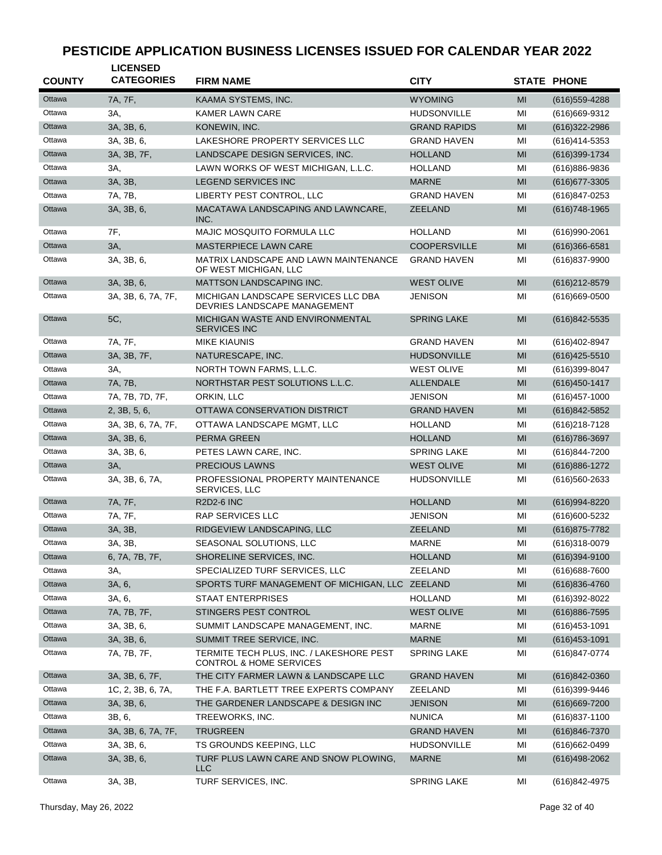| <b>COUNTY</b> | <b>LICENSED</b><br><b>CATEGORIES</b> | <b>FIRM NAME</b>                                                               | <b>CITY</b>         |    | <b>STATE PHONE</b> |
|---------------|--------------------------------------|--------------------------------------------------------------------------------|---------------------|----|--------------------|
| Ottawa        | 7A, 7F,                              | KAAMA SYSTEMS, INC.                                                            | <b>WYOMING</b>      | MI | $(616)$ 559-4288   |
| Ottawa        | 3A,                                  | <b>KAMER LAWN CARE</b>                                                         | <b>HUDSONVILLE</b>  | MI | (616) 669-9312     |
| Ottawa        | 3A, 3B, 6,                           | KONEWIN, INC.                                                                  | <b>GRAND RAPIDS</b> | MI | $(616)322 - 2986$  |
| Ottawa        | 3A, 3B, 6,                           | LAKESHORE PROPERTY SERVICES LLC                                                | <b>GRAND HAVEN</b>  | MI | (616)414-5353      |
| Ottawa        | 3A, 3B, 7F,                          | LANDSCAPE DESIGN SERVICES, INC.                                                | <b>HOLLAND</b>      | MI | (616)399-1734      |
| Ottawa        | 3A,                                  | LAWN WORKS OF WEST MICHIGAN, L.L.C.                                            | <b>HOLLAND</b>      | MI | (616)886-9836      |
| Ottawa        | 3A, 3B,                              | <b>LEGEND SERVICES INC</b>                                                     | <b>MARNE</b>        | MI | (616) 677-3305     |
| Ottawa        | 7A, 7B,                              | LIBERTY PEST CONTROL, LLC                                                      | <b>GRAND HAVEN</b>  | MI | (616)847-0253      |
| Ottawa        | 3A, 3B, 6,                           | MACATAWA LANDSCAPING AND LAWNCARE,<br>INC.                                     | <b>ZEELAND</b>      | MI | $(616)748-1965$    |
| Ottawa        | 7F,                                  | MAJIC MOSQUITO FORMULA LLC                                                     | <b>HOLLAND</b>      | MI | $(616)990-2061$    |
| Ottawa        | 3A,                                  | <b>MASTERPIECE LAWN CARE</b>                                                   | <b>COOPERSVILLE</b> | MI | $(616)366 - 6581$  |
| Ottawa        | 3A, 3B, 6,                           | MATRIX LANDSCAPE AND LAWN MAINTENANCE<br>OF WEST MICHIGAN, LLC                 | <b>GRAND HAVEN</b>  | MI | (616)837-9900      |
| Ottawa        | 3A, 3B, 6,                           | <b>MATTSON LANDSCAPING INC.</b>                                                | <b>WEST OLIVE</b>   | MI | (616) 212-8579     |
| Ottawa        | 3A, 3B, 6, 7A, 7F,                   | MICHIGAN LANDSCAPE SERVICES LLC DBA<br>DEVRIES LANDSCAPE MANAGEMENT            | <b>JENISON</b>      | MI | $(616)669-0500$    |
| Ottawa        | 5C,                                  | MICHIGAN WASTE AND ENVIRONMENTAL<br><b>SERVICES INC</b>                        | <b>SPRING LAKE</b>  | MI | (616)842-5535      |
| Ottawa        | 7A, 7F,                              | <b>MIKE KIAUNIS</b>                                                            | <b>GRAND HAVEN</b>  | MI | (616) 402-8947     |
| Ottawa        | 3A, 3B, 7F,                          | NATURESCAPE, INC.                                                              | <b>HUDSONVILLE</b>  | MI | $(616)425 - 5510$  |
| Ottawa        | 3A,                                  | NORTH TOWN FARMS, L.L.C.                                                       | <b>WEST OLIVE</b>   | MI | $(616)399-8047$    |
| Ottawa        | 7A, 7B,                              | NORTHSTAR PEST SOLUTIONS L.L.C.                                                | <b>ALLENDALE</b>    | MI | $(616)450 - 1417$  |
| Ottawa        | 7A, 7B, 7D, 7F,                      | ORKIN, LLC                                                                     | <b>JENISON</b>      | MI | (616)457-1000      |
| Ottawa        | 2, 3B, 5, 6,                         | OTTAWA CONSERVATION DISTRICT                                                   | <b>GRAND HAVEN</b>  | MI | (616) 842-5852     |
| Ottawa        | 3A, 3B, 6, 7A, 7F,                   | OTTAWA LANDSCAPE MGMT, LLC                                                     | <b>HOLLAND</b>      | MI | (616) 218 - 7128   |
| Ottawa        | 3A, 3B, 6,                           | PERMA GREEN                                                                    | <b>HOLLAND</b>      | MI | $(616)786 - 3697$  |
| Ottawa        | 3A, 3B, 6,                           | PETES LAWN CARE, INC.                                                          | <b>SPRING LAKE</b>  | MI | (616)844-7200      |
| Ottawa        | 3A,                                  | <b>PRECIOUS LAWNS</b>                                                          | <b>WEST OLIVE</b>   | MI | (616) 886-1272     |
| Ottawa        | 3A, 3B, 6, 7A,                       | PROFESSIONAL PROPERTY MAINTENANCE<br>SERVICES, LLC                             | <b>HUDSONVILLE</b>  | MI | (616)560-2633      |
| Ottawa        | 7A, 7F,                              | <b>R2D2-6 INC</b>                                                              | <b>HOLLAND</b>      | MI | (616) 994-8220     |
| Ottawa        | 7A, 7F,                              | <b>RAP SERVICES LLC</b>                                                        | <b>JENISON</b>      | MI | (616)600-5232      |
| Ottawa        | 3A, 3B,                              | RIDGEVIEW LANDSCAPING, LLC                                                     | <b>ZEELAND</b>      | MI | (616) 875-7782     |
| Ottawa        | 3A, 3B,                              | SEASONAL SOLUTIONS, LLC                                                        | <b>MARNE</b>        | MI | (616)318-0079      |
| Ottawa        | 6, 7A, 7B, 7F,                       | SHORELINE SERVICES, INC.                                                       | <b>HOLLAND</b>      | MI | $(616)394 - 9100$  |
| Ottawa        | 3A,                                  | SPECIALIZED TURF SERVICES, LLC                                                 | ZEELAND             | MI | (616) 688-7600     |
| Ottawa        | 3A, 6,                               | SPORTS TURF MANAGEMENT OF MICHIGAN, LLC ZEELAND                                |                     | MI | $(616)836 - 4760$  |
| Ottawa        | 3A, 6,                               | STAAT ENTERPRISES                                                              | <b>HOLLAND</b>      | MI | (616)392-8022      |
| Ottawa        | 7A, 7B, 7F,                          | STINGERS PEST CONTROL                                                          | <b>WEST OLIVE</b>   | MI | $(616)886 - 7595$  |
| Ottawa        | 3A, 3B, 6,                           | SUMMIT LANDSCAPE MANAGEMENT, INC.                                              | MARNE               | ΜI | $(616)453 - 1091$  |
| Ottawa        | 3A, 3B, 6,                           | SUMMIT TREE SERVICE, INC.                                                      | <b>MARNE</b>        | MI | $(616)453 - 1091$  |
| Ottawa        | 7A, 7B, 7F,                          | TERMITE TECH PLUS, INC. / LAKESHORE PEST<br><b>CONTROL &amp; HOME SERVICES</b> | <b>SPRING LAKE</b>  | ΜI | (616)847-0774      |
| Ottawa        | 3A, 3B, 6, 7F,                       | THE CITY FARMER LAWN & LANDSCAPE LLC                                           | <b>GRAND HAVEN</b>  | MI | $(616)842-0360$    |
| Ottawa        | 1C, 2, 3B, 6, 7A,                    | THE F.A. BARTLETT TREE EXPERTS COMPANY                                         | ZEELAND             | ΜI | (616)399-9446      |
| Ottawa        | 3A, 3B, 6,                           | THE GARDENER LANDSCAPE & DESIGN INC                                            | <b>JENISON</b>      | MI | $(616)669-7200$    |
| Ottawa        | 3B, 6,                               | TREEWORKS, INC.                                                                | <b>NUNICA</b>       | ΜI | (616) 837-1100     |
| Ottawa        | 3A, 3B, 6, 7A, 7F,                   | <b>TRUGREEN</b>                                                                | <b>GRAND HAVEN</b>  | MI | (616)846-7370      |
| Ottawa        | 3A, 3B, 6,                           | TS GROUNDS KEEPING, LLC                                                        | HUDSONVILLE         | MI | $(616)662 - 0499$  |
| Ottawa        | 3A, 3B, 6,                           | TURF PLUS LAWN CARE AND SNOW PLOWING,<br><b>LLC</b>                            | <b>MARNE</b>        | MI | $(616)498-2062$    |
| Ottawa        | 3A, 3B,                              | TURF SERVICES, INC.                                                            | <b>SPRING LAKE</b>  | ΜI | (616)842-4975      |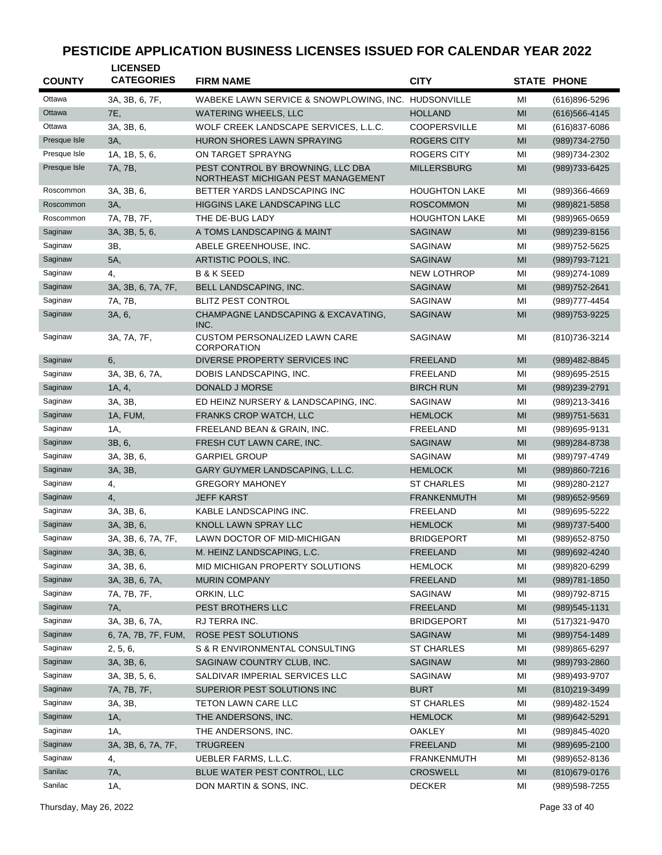| <b>COUNTY</b> | <b>LICENSED</b><br><b>CATEGORIES</b> | <b>FIRM NAME</b>                                                        | <b>CITY</b>          |               | <b>STATE PHONE</b> |
|---------------|--------------------------------------|-------------------------------------------------------------------------|----------------------|---------------|--------------------|
| Ottawa        | 3A, 3B, 6, 7F,                       | WABEKE LAWN SERVICE & SNOWPLOWING, INC. HUDSONVILLE                     |                      | MI            | (616)896-5296      |
| Ottawa        | <b>7E.</b>                           | <b>WATERING WHEELS, LLC</b>                                             | <b>HOLLAND</b>       | MI            | $(616)566 - 4145$  |
| Ottawa        | 3A. 3B. 6.                           | WOLF CREEK LANDSCAPE SERVICES, L.L.C.                                   | <b>COOPERSVILLE</b>  | MI            | $(616)837 - 6086$  |
| Presque Isle  | 3A,                                  | <b>HURON SHORES LAWN SPRAYING</b>                                       | <b>ROGERS CITY</b>   | MI            | (989) 734-2750     |
| Presque Isle  | 1A, 1B, 5, 6,                        | ON TARGET SPRAYNG                                                       | <b>ROGERS CITY</b>   | MI            | (989) 734-2302     |
| Presque Isle  | 7A, 7B,                              | PEST CONTROL BY BROWNING, LLC DBA<br>NORTHEAST MICHIGAN PEST MANAGEMENT | <b>MILLERSBURG</b>   | MI            | (989) 733-6425     |
| Roscommon     | 3A, 3B, 6,                           | BETTER YARDS LANDSCAPING INC                                            | <b>HOUGHTON LAKE</b> | MI            | (989)366-4669      |
| Roscommon     | 3A,                                  | <b>HIGGINS LAKE LANDSCAPING LLC</b>                                     | <b>ROSCOMMON</b>     | MI            | (989) 821-5858     |
| Roscommon     | 7A, 7B, 7F,                          | THE DE-BUG LADY                                                         | <b>HOUGHTON LAKE</b> | MI            | (989)965-0659      |
| Saginaw       | 3A, 3B, 5, 6,                        | A TOMS LANDSCAPING & MAINT                                              | <b>SAGINAW</b>       | MI            | (989)239-8156      |
| Saginaw       | 3B,                                  | ABELE GREENHOUSE, INC.                                                  | <b>SAGINAW</b>       | MI            | (989) 752-5625     |
| Saginaw       | 5A,                                  | ARTISTIC POOLS, INC.                                                    | <b>SAGINAW</b>       | MI            | (989) 793-7121     |
| Saginaw       | 4,                                   | <b>B &amp; K SEED</b>                                                   | <b>NEW LOTHROP</b>   | MI            | (989) 274-1089     |
| Saginaw       | 3A, 3B, 6, 7A, 7F,                   | BELL LANDSCAPING, INC.                                                  | <b>SAGINAW</b>       | MI            | (989) 752-2641     |
| Saginaw       | 7A, 7B,                              | <b>BLITZ PEST CONTROL</b>                                               | <b>SAGINAW</b>       | MI            | (989) 777-4454     |
| Saginaw       | 3A, 6,                               | CHAMPAGNE LANDSCAPING & EXCAVATING,<br>INC.                             | <b>SAGINAW</b>       | MI            | (989) 753-9225     |
| Saginaw       | 3A, 7A, 7F,                          | <b>CUSTOM PERSONALIZED LAWN CARE</b><br><b>CORPORATION</b>              | SAGINAW              | MI            | (810) 736-3214     |
| Saginaw       | 6,                                   | DIVERSE PROPERTY SERVICES INC                                           | <b>FREELAND</b>      | MI            | (989) 482-8845     |
| Saginaw       | 3A, 3B, 6, 7A,                       | DOBIS LANDSCAPING, INC.                                                 | <b>FREELAND</b>      | MI            | (989) 695-2515     |
| Saginaw       | 1A, 4,                               | DONALD J MORSE                                                          | <b>BIRCH RUN</b>     | MI            | (989) 239-2791     |
| Saginaw       | 3A, 3B,                              | ED HEINZ NURSERY & LANDSCAPING, INC.                                    | <b>SAGINAW</b>       | MI            | (989)213-3416      |
| Saginaw       | 1A, FUM,                             | <b>FRANKS CROP WATCH, LLC</b>                                           | <b>HEMLOCK</b>       | MI            | $(989)751 - 5631$  |
| Saginaw       | 1A,                                  | FREELAND BEAN & GRAIN, INC.                                             | <b>FREELAND</b>      | MI            | (989) 695-9131     |
| Saginaw       | 3B, 6,                               | FRESH CUT LAWN CARE, INC.                                               | <b>SAGINAW</b>       | MI            | (989) 284-8738     |
| Saginaw       | 3A, 3B, 6,                           | <b>GARPIEL GROUP</b>                                                    | SAGINAW              | MI            | (989)797-4749      |
| Saginaw       | 3A, 3B,                              | GARY GUYMER LANDSCAPING, L.L.C.                                         | <b>HEMLOCK</b>       | MI            | (989)860-7216      |
| Saginaw       | 4,                                   | <b>GREGORY MAHONEY</b>                                                  | <b>ST CHARLES</b>    | MI            | (989) 280-2127     |
| Saginaw       | 4,                                   | <b>JEFF KARST</b>                                                       | <b>FRANKENMUTH</b>   | MI            | $(989)652 - 9569$  |
| Saginaw       | 3A, 3B, 6,                           | KABLE LANDSCAPING INC.                                                  | FREELAND             | MI            | (989) 695-5222     |
| Saginaw       | 3A, 3B, 6,                           | KNOLL LAWN SPRAY LLC                                                    | <b>HEMLOCK</b>       | MI            | (989) 737-5400     |
| Saginaw       | 3A, 3B, 6, 7A, 7F,                   | LAWN DOCTOR OF MID-MICHIGAN                                             | <b>BRIDGEPORT</b>    | MI            | (989)652-8750      |
| Saginaw       | 3A, 3B, 6,                           | M. HEINZ LANDSCAPING, L.C.                                              | <b>FREELAND</b>      | MI            | (989) 692-4240     |
| Saginaw       | 3A, 3B, 6,                           | MID MICHIGAN PROPERTY SOLUTIONS                                         | <b>HEMLOCK</b>       | MI            | (989)820-6299      |
| Saginaw       | 3A, 3B, 6, 7A,                       | <b>MURIN COMPANY</b>                                                    | <b>FREELAND</b>      | MI            | $(989)781 - 1850$  |
| Saginaw       | 7A, 7B, 7F,                          | ORKIN, LLC                                                              | SAGINAW              | MI            | (989) 792-8715     |
| Saginaw       | 7A,                                  | PEST BROTHERS LLC                                                       | FREELAND             | $\mathsf{MI}$ | $(989)$ 545-1131   |
| Saginaw       | 3A, 3B, 6, 7A,                       | RJ TERRA INC.                                                           | <b>BRIDGEPORT</b>    | MI            | (517) 321-9470     |
| Saginaw       | 6, 7A, 7B, 7F, FUM,                  | <b>ROSE PEST SOLUTIONS</b>                                              | <b>SAGINAW</b>       | MI            | $(989)754 - 1489$  |
| Saginaw       | 2, 5, 6,                             | S & R ENVIRONMENTAL CONSULTING                                          | <b>ST CHARLES</b>    | MI            | (989)865-6297      |
| Saginaw       | 3A, 3B, 6,                           | SAGINAW COUNTRY CLUB, INC.                                              | SAGINAW              | MI            | (989) 793-2860     |
| Saginaw       | 3A, 3B, 5, 6,                        | SALDIVAR IMPERIAL SERVICES LLC                                          | SAGINAW              | MI            | (989)493-9707      |
| Saginaw       | 7A, 7B, 7F,                          | SUPERIOR PEST SOLUTIONS INC                                             | <b>BURT</b>          | MI            | (810) 219-3499     |
| Saginaw       | 3A, 3B,                              | TETON LAWN CARE LLC                                                     | <b>ST CHARLES</b>    | MI            | (989)482-1524      |
| Saginaw       | 1A,                                  | THE ANDERSONS, INC.                                                     | <b>HEMLOCK</b>       | $\mathsf{MI}$ | (989) 642-5291     |
| Saginaw       | 1A,                                  | THE ANDERSONS, INC.                                                     | <b>OAKLEY</b>        | MI            | (989)845-4020      |
| Saginaw       | 3A, 3B, 6, 7A, 7F,                   | <b>TRUGREEN</b>                                                         | <b>FREELAND</b>      | MI            | (989) 695-2100     |
| Saginaw       | 4,                                   | UEBLER FARMS, L.L.C.                                                    | <b>FRANKENMUTH</b>   | MI            | (989) 652-8136     |
| Sanilac       | 7A,                                  | BLUE WATER PEST CONTROL, LLC                                            | <b>CROSWELL</b>      | MI            | (810) 679-0176     |
| Sanilac       | 1A,                                  | DON MARTIN & SONS, INC.                                                 | <b>DECKER</b>        | MI            | (989) 598-7255     |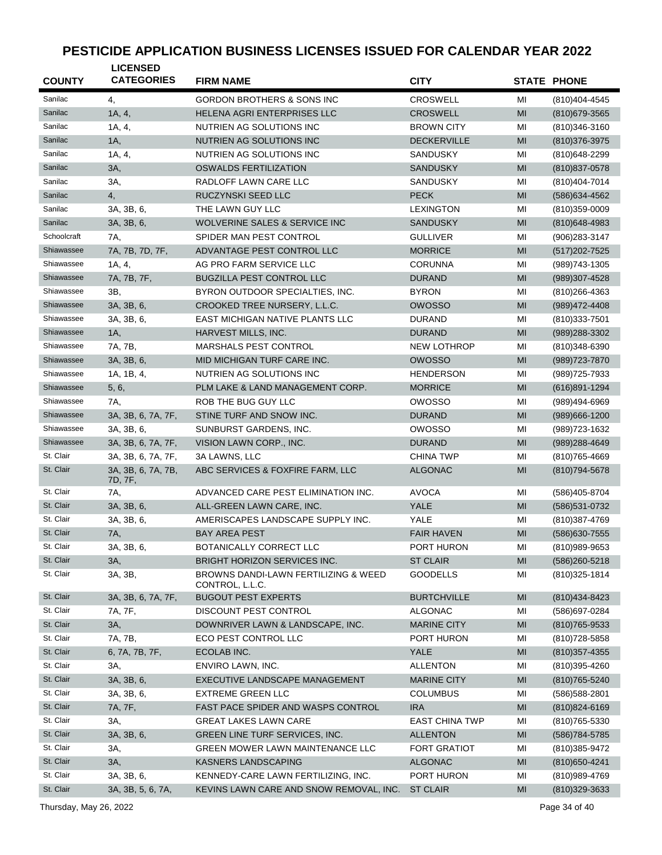| <b>COUNTY</b> | <b>LICENSED</b><br><b>CATEGORIES</b> | <b>FIRM NAME</b>                                         | <b>CITY</b>                        |          | <b>STATE PHONE</b> |
|---------------|--------------------------------------|----------------------------------------------------------|------------------------------------|----------|--------------------|
| Sanilac       |                                      | <b>GORDON BROTHERS &amp; SONS INC</b>                    | <b>CROSWELL</b>                    |          |                    |
| Sanilac       | 4,<br>1A, 4,                         | HELENA AGRI ENTERPRISES LLC                              | <b>CROSWELL</b>                    | MI<br>MI | (810) 404-4545     |
| Sanilac       | 1A, 4,                               | NUTRIEN AG SOLUTIONS INC                                 | <b>BROWN CITY</b>                  | MI       | (810) 679-3565     |
| Sanilac       | 1A,                                  |                                                          | <b>DECKERVILLE</b>                 |          | (810) 346-3160     |
| Sanilac       |                                      | NUTRIEN AG SOLUTIONS INC                                 |                                    | MI       | (810) 376-3975     |
| Sanilac       | 1A, 4,<br>3A,                        | NUTRIEN AG SOLUTIONS INC<br><b>OSWALDS FERTILIZATION</b> | <b>SANDUSKY</b><br><b>SANDUSKY</b> | MI<br>MI | (810) 648-2299     |
| Sanilac       |                                      |                                                          |                                    |          | $(810)837 - 0578$  |
| Sanilac       | 3A,<br>4,                            | RADLOFF LAWN CARE LLC<br>RUCZYNSKI SEED LLC              | <b>SANDUSKY</b><br><b>PECK</b>     | MI<br>MI | (810)404-7014      |
| Sanilac       | 3A, 3B, 6,                           | THE LAWN GUY LLC                                         | <b>LEXINGTON</b>                   |          | (586) 634-4562     |
| Sanilac       |                                      | <b>WOLVERINE SALES &amp; SERVICE INC</b>                 |                                    | MI       | $(810)359 - 0009$  |
| Schoolcraft   | 3A, 3B, 6,                           |                                                          | <b>SANDUSKY</b>                    | MI       | $(810)648 - 4983$  |
| Shiawassee    | 7A,                                  | SPIDER MAN PEST CONTROL                                  | <b>GULLIVER</b>                    | MI       | $(906)283 - 3147$  |
| Shiawassee    | 7A, 7B, 7D, 7F,                      | ADVANTAGE PEST CONTROL LLC                               | <b>MORRICE</b>                     | MI       | (517) 202-7525     |
| Shiawassee    | 1A, 4,                               | AG PRO FARM SERVICE LLC                                  | <b>CORUNNA</b>                     | MI       | (989) 743-1305     |
|               | 7A, 7B, 7F,                          | <b>BUGZILLA PEST CONTROL LLC</b>                         | <b>DURAND</b>                      | MI       | (989)307-4528      |
| Shiawassee    | 3B,                                  | BYRON OUTDOOR SPECIALTIES, INC.                          | <b>BYRON</b>                       | MI       | $(810)266 - 4363$  |
| Shiawassee    | 3A, 3B, 6,                           | CROOKED TREE NURSERY, L.L.C.                             | <b>OWOSSO</b>                      | MI       | (989) 472-4408     |
| Shiawassee    | 3A, 3B, 6,                           | EAST MICHIGAN NATIVE PLANTS LLC                          | <b>DURAND</b>                      | MI       | $(810)333 - 7501$  |
| Shiawassee    | $1A$ ,                               | HARVEST MILLS, INC.                                      | <b>DURAND</b>                      | MI       | (989) 288-3302     |
| Shiawassee    | 7A, 7B,                              | <b>MARSHALS PEST CONTROL</b>                             | <b>NEW LOTHROP</b>                 | MI       | (810)348-6390      |
| Shiawassee    | 3A, 3B, 6,                           | MID MICHIGAN TURF CARE INC.                              | <b>OWOSSO</b>                      | MI       | (989) 723-7870     |
| Shiawassee    | 1A, 1B, 4,                           | NUTRIEN AG SOLUTIONS INC                                 | <b>HENDERSON</b>                   | MI       | (989) 725-7933     |
| Shiawassee    | 5, 6,                                | PLM LAKE & LAND MANAGEMENT CORP.                         | <b>MORRICE</b>                     | MI       | $(616)891 - 1294$  |
| Shiawassee    | 7A.                                  | ROB THE BUG GUY LLC                                      | <b>OWOSSO</b>                      | MI       | (989)494-6969      |
| Shiawassee    | 3A, 3B, 6, 7A, 7F,                   | STINE TURF AND SNOW INC.                                 | <b>DURAND</b>                      | MI       | $(989)666 - 1200$  |
| Shiawassee    | 3A, 3B, 6,                           | SUNBURST GARDENS, INC.                                   | <b>OWOSSO</b>                      | MI       | (989) 723-1632     |
| Shiawassee    | 3A, 3B, 6, 7A, 7F,                   | VISION LAWN CORP., INC.                                  | <b>DURAND</b>                      | MI       | (989) 288-4649     |
| St. Clair     | 3A, 3B, 6, 7A, 7F,                   | 3A LAWNS, LLC                                            | <b>CHINA TWP</b>                   | MI       | (810) 765-4669     |
| St. Clair     | 3A, 3B, 6, 7A, 7B,<br>7D, 7F,        | ABC SERVICES & FOXFIRE FARM, LLC                         | <b>ALGONAC</b>                     | MI       | (810) 794-5678     |
| St. Clair     | 7A,                                  | ADVANCED CARE PEST ELIMINATION INC.                      | <b>AVOCA</b>                       | MI       | (586)405-8704      |
| St. Clair     | 3A, 3B, 6,                           | ALL-GREEN LAWN CARE, INC.                                | <b>YALE</b>                        | MI       | (586) 531-0732     |
| St. Clair     | 3A, 3B, 6,                           | AMERISCAPES LANDSCAPE SUPPLY INC.                        | YALE                               | MI       | (810)387-4769      |
| St. Clair     | 7A,                                  | <b>BAY AREA PEST</b>                                     | <b>FAIR HAVEN</b>                  | MI       | (586) 630-7555     |
| St. Clair     | 3A, 3B, 6,                           | BOTANICALLY CORRECT LLC                                  | PORT HURON                         | MI       | (810)989-9653      |
| St. Clair     | 3A,                                  | <b>BRIGHT HORIZON SERVICES INC.</b>                      | <b>ST CLAIR</b>                    | MI       | (586) 260-5218     |
| St. Clair     | 3A, 3B,                              | BROWNS DANDI-LAWN FERTILIZING & WEED<br>CONTROL, L.L.C.  | <b>GOODELLS</b>                    | MI       | (810) 325-1814     |
| St. Clair     | 3A, 3B, 6, 7A, 7F,                   | <b>BUGOUT PEST EXPERTS</b>                               | <b>BURTCHVILLE</b>                 | MI       | (810) 434-8423     |
| St. Clair     | 7A, 7F,                              | DISCOUNT PEST CONTROL                                    | <b>ALGONAC</b>                     | МI       | (586) 697-0284     |
| St. Clair     | 3A,                                  | DOWNRIVER LAWN & LANDSCAPE, INC.                         | <b>MARINE CITY</b>                 | MI       | $(810)765 - 9533$  |
| St. Clair     | 7A, 7B,                              | ECO PEST CONTROL LLC                                     | PORT HURON                         | MI       | (810) 728-5858     |
| St. Clair     | 6, 7A, 7B, 7F,                       | ECOLAB INC.                                              | YALE                               | MI       | $(810)357 - 4355$  |
| St. Clair     | 3A,                                  | ENVIRO LAWN, INC.                                        | <b>ALLENTON</b>                    | MI       | (810)395-4260      |
| St. Clair     | 3A, 3B, 6,                           | EXECUTIVE LANDSCAPE MANAGEMENT                           | <b>MARINE CITY</b>                 | MI       | (810) 765-5240     |
| St. Clair     | 3A, 3B, 6,                           | <b>EXTREME GREEN LLC</b>                                 | <b>COLUMBUS</b>                    | MI       | (586) 588-2801     |
| St. Clair     | 7A, 7F,                              | FAST PACE SPIDER AND WASPS CONTROL                       | <b>IRA</b>                         | MI       | (810) 824-6169     |
| St. Clair     | ЗΑ,                                  | GREAT LAKES LAWN CARE                                    | <b>EAST CHINA TWP</b>              | MI       | (810) 765-5330     |
| St. Clair     | 3A, 3B, 6,                           | GREEN LINE TURF SERVICES, INC.                           | <b>ALLENTON</b>                    | MI       | (586) 784-5785     |
| St. Clair     | 3A,                                  | GREEN MOWER LAWN MAINTENANCE LLC                         | <b>FORT GRATIOT</b>                | MI       | (810)385-9472      |
| St. Clair     | 3A,                                  | KASNERS LANDSCAPING                                      | <b>ALGONAC</b>                     | MI       | (810) 650-4241     |
| St. Clair     | 3A, 3B, 6,                           | KENNEDY-CARE LAWN FERTILIZING, INC.                      | PORT HURON                         | MI       | (810) 989-4769     |
| St. Clair     | 3A, 3B, 5, 6, 7A,                    | KEVINS LAWN CARE AND SNOW REMOVAL, INC.                  | <b>ST CLAIR</b>                    | MI       | (810)329-3633      |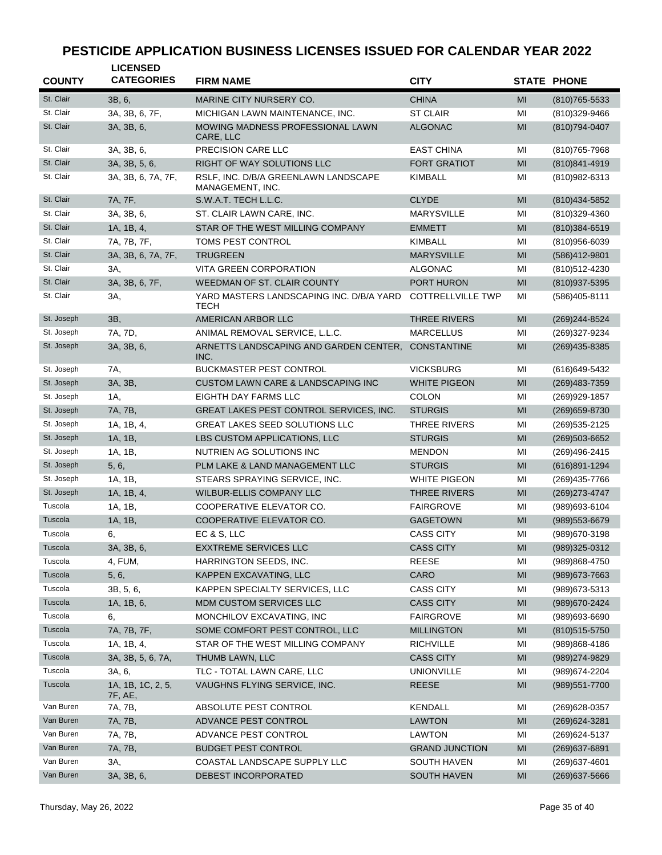| <b>COUNTY</b> | <b>LICENSED</b><br><b>CATEGORIES</b> | <b>FIRM NAME</b>                                         | <b>CITY</b>              |                | <b>STATE PHONE</b>                 |
|---------------|--------------------------------------|----------------------------------------------------------|--------------------------|----------------|------------------------------------|
| St. Clair     | 3B, 6,                               | MARINE CITY NURSERY CO.                                  | <b>CHINA</b>             | MI             |                                    |
| St. Clair     | 3A, 3B, 6, 7F,                       | MICHIGAN LAWN MAINTENANCE, INC.                          | <b>ST CLAIR</b>          | MI             | $(810)765 - 5533$<br>(810)329-9466 |
| St. Clair     | 3A, 3B, 6,                           | MOWING MADNESS PROFESSIONAL LAWN<br>CARE, LLC            | <b>ALGONAC</b>           | MI             | (810) 794-0407                     |
| St. Clair     | 3A, 3B, 6,                           | PRECISION CARE LLC                                       | <b>EAST CHINA</b>        | ΜI             | (810) 765-7968                     |
| St. Clair     | 3A, 3B, 5, 6,                        | RIGHT OF WAY SOLUTIONS LLC                               | <b>FORT GRATIOT</b>      | MI             | (810) 841-4919                     |
| St. Clair     | 3A, 3B, 6, 7A, 7F,                   | RSLF, INC. D/B/A GREENLAWN LANDSCAPE<br>MANAGEMENT, INC. | <b>KIMBALL</b>           | MI             | (810) 982-6313                     |
| St. Clair     | 7A, 7F,                              | S.W.A.T. TECH L.L.C.                                     | <b>CLYDE</b>             | MI             | (810) 434-5852                     |
| St. Clair     | 3A, 3B, 6,                           | ST. CLAIR LAWN CARE, INC.                                | <b>MARYSVILLE</b>        | МI             | (810)329-4360                      |
| St. Clair     | 1A, 1B, 4,                           | STAR OF THE WEST MILLING COMPANY                         | <b>EMMETT</b>            | MI             | $(810)384 - 6519$                  |
| St. Clair     | 7A, 7B, 7F,                          | TOMS PEST CONTROL                                        | <b>KIMBALL</b>           | MI             | (810)956-6039                      |
| St. Clair     | 3A, 3B, 6, 7A, 7F,                   | <b>TRUGREEN</b>                                          | <b>MARYSVILLE</b>        | MI             | (586)412-9801                      |
| St. Clair     | 3A,                                  | VITA GREEN CORPORATION                                   | <b>ALGONAC</b>           | MI             | (810)512-4230                      |
| St. Clair     | 3A, 3B, 6, 7F,                       | <b>WEEDMAN OF ST. CLAIR COUNTY</b>                       | <b>PORT HURON</b>        | MI             | (810)937-5395                      |
| St. Clair     | 3A,                                  | YARD MASTERS LANDSCAPING INC. D/B/A YARD<br><b>TECH</b>  | <b>COTTRELLVILLE TWP</b> | MI             | (586)405-8111                      |
| St. Joseph    | 3B,                                  | AMERICAN ARBOR LLC                                       | <b>THREE RIVERS</b>      | MI             | (269) 244-8524                     |
| St. Joseph    | 7A, 7D,                              | ANIMAL REMOVAL SERVICE, L.L.C.                           | <b>MARCELLUS</b>         | MI             | (269)327-9234                      |
| St. Joseph    | 3A, 3B, 6,                           | ARNETTS LANDSCAPING AND GARDEN CENTER,<br>INC.           | <b>CONSTANTINE</b>       | MI             | (269)435-8385                      |
| St. Joseph    | 7A,                                  | <b>BUCKMASTER PEST CONTROL</b>                           | <b>VICKSBURG</b>         | MI             | (616) 649-5432                     |
| St. Joseph    | 3A, 3B,                              | CUSTOM LAWN CARE & LANDSCAPING INC                       | <b>WHITE PIGEON</b>      | MI             | $(269)483 - 7359$                  |
| St. Joseph    | 1A,                                  | EIGHTH DAY FARMS LLC                                     | <b>COLON</b>             | MI             | (269)929-1857                      |
| St. Joseph    | 7A, 7B,                              | GREAT LAKES PEST CONTROL SERVICES, INC.                  | <b>STURGIS</b>           | MI             | (269) 659-8730                     |
| St. Joseph    | 1A, 1B, 4,                           | <b>GREAT LAKES SEED SOLUTIONS LLC</b>                    | <b>THREE RIVERS</b>      | MI             | (269) 535-2125                     |
| St. Joseph    | 1A, 1B,                              | LBS CUSTOM APPLICATIONS, LLC                             | <b>STURGIS</b>           | MI             | $(269)503 - 6652$                  |
| St. Joseph    | 1A, 1B,                              | NUTRIEN AG SOLUTIONS INC                                 | <b>MENDON</b>            | MI             | (269)496-2415                      |
| St. Joseph    | 5, 6,                                | PLM LAKE & LAND MANAGEMENT LLC                           | <b>STURGIS</b>           | MI             | (616)891-1294                      |
| St. Joseph    | 1A, 1B,                              | STEARS SPRAYING SERVICE, INC.                            | <b>WHITE PIGEON</b>      | MI             | (269)435-7766                      |
| St. Joseph    | 1A, 1B, 4,                           | WILBUR-ELLIS COMPANY LLC                                 | <b>THREE RIVERS</b>      | MI             | (269) 273-4747                     |
| Tuscola       | 1A, 1B,                              | COOPERATIVE ELEVATOR CO.                                 | <b>FAIRGROVE</b>         | MI             | (989)693-6104                      |
| Tuscola       | 1A, 1B,                              | COOPERATIVE ELEVATOR CO.                                 | <b>GAGETOWN</b>          | MI             | (989) 553-6679                     |
| Tuscola       | 6,                                   | EC & S, LLC                                              | <b>CASS CITY</b>         | MI             | (989) 670-3198                     |
| Tuscola       | 3A, 3B, 6,                           | <b>EXXTREME SERVICES LLC</b>                             | <b>CASS CITY</b>         | M <sub>l</sub> | (989)325-0312                      |
| Tuscola       | 4, FUM,                              | HARRINGTON SEEDS, INC.                                   | <b>REESE</b>             | MI             | (989)868-4750                      |
| Tuscola       | 5, 6,                                | KAPPEN EXCAVATING, LLC                                   | CARO                     | M <sub>l</sub> | (989) 673-7663                     |
| Tuscola       | 3B, 5, 6,                            | KAPPEN SPECIALTY SERVICES, LLC                           | <b>CASS CITY</b>         | ΜI             | (989) 673-5313                     |
| Tuscola       | 1A, 1B, 6,                           | MDM CUSTOM SERVICES LLC                                  | <b>CASS CITY</b>         | MI             | (989) 670-2424                     |
| Tuscola       | 6,                                   | MONCHILOV EXCAVATING, INC                                | <b>FAIRGROVE</b>         | ΜI             | (989)693-6690                      |
| Tuscola       | 7A, 7B, 7F,                          | SOME COMFORT PEST CONTROL, LLC                           | <b>MILLINGTON</b>        | MI             | $(810)515 - 5750$                  |
| Tuscola       | 1A, 1B, 4,                           | STAR OF THE WEST MILLING COMPANY                         | <b>RICHVILLE</b>         | MI             | (989)868-4186                      |
| Tuscola       | 3A, 3B, 5, 6, 7A,                    | THUMB LAWN, LLC                                          | <b>CASS CITY</b>         | MI             | (989) 274-9829                     |
| Tuscola       | 3A, 6,                               | TLC - TOTAL LAWN CARE, LLC                               | <b>UNIONVILLE</b>        | ΜI             | (989) 674-2204                     |
| Tuscola       | 1A, 1B, 1C, 2, 5,<br>7F, AE,         | VAUGHNS FLYING SERVICE, INC.                             | <b>REESE</b>             | MI             | (989) 551-7700                     |
| Van Buren     | 7A, 7B,                              | ABSOLUTE PEST CONTROL                                    | <b>KENDALL</b>           | ΜI             | (269) 628-0357                     |
| Van Buren     | 7A, 7B,                              | ADVANCE PEST CONTROL                                     | <b>LAWTON</b>            | MI             | (269) 624-3281                     |
| Van Buren     | 7A, 7B,                              | ADVANCE PEST CONTROL                                     | <b>LAWTON</b>            | MI             | (269) 624-5137                     |
| Van Buren     | 7A, 7B,                              | <b>BUDGET PEST CONTROL</b>                               | <b>GRAND JUNCTION</b>    | MI             | $(269)$ 637-6891                   |
| Van Buren     | 3A,                                  | COASTAL LANDSCAPE SUPPLY LLC                             | <b>SOUTH HAVEN</b>       | ΜI             | (269) 637-4601                     |
| Van Buren     | 3A, 3B, 6,                           | DEBEST INCORPORATED                                      | SOUTH HAVEN              | MI             | (269) 637-5666                     |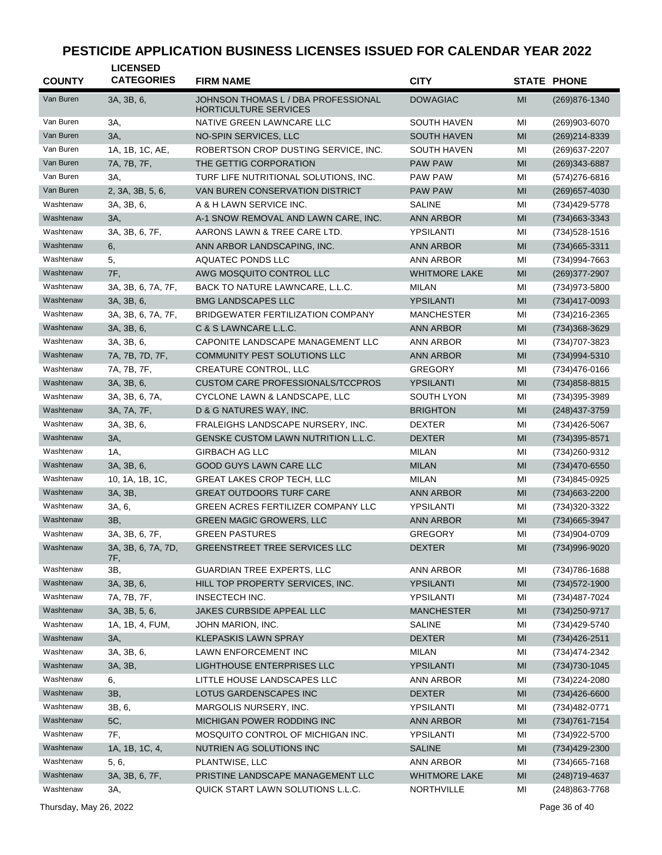| <b>COUNTY</b> | <b>LICENSED</b><br><b>CATEGORIES</b> | <b>FIRM NAME</b>                                                    | <b>CITY</b>          |                | <b>STATE PHONE</b> |
|---------------|--------------------------------------|---------------------------------------------------------------------|----------------------|----------------|--------------------|
| Van Buren     | 3A, 3B, 6,                           | JOHNSON THOMAS L / DBA PROFESSIONAL<br><b>HORTICULTURE SERVICES</b> | <b>DOWAGIAC</b>      | MI             | (269) 876-1340     |
| Van Buren     | 3A,                                  | NATIVE GREEN LAWNCARE LLC                                           | SOUTH HAVEN          | MI             | (269)903-6070      |
| Van Buren     | 3A,                                  | NO-SPIN SERVICES, LLC                                               | <b>SOUTH HAVEN</b>   | MI             | (269)214-8339      |
| Van Buren     | 1A, 1B, 1C, AE,                      | ROBERTSON CROP DUSTING SERVICE, INC.                                | <b>SOUTH HAVEN</b>   | MI             | (269) 637-2207     |
| Van Buren     | 7A, 7B, 7F,                          | THE GETTIG CORPORATION                                              | <b>PAW PAW</b>       | MI             | (269) 343-6887     |
| Van Buren     | ЗΑ,                                  | TURF LIFE NUTRITIONAL SOLUTIONS, INC.                               | <b>PAW PAW</b>       | MI             | (574) 276-6816     |
| Van Buren     | 2, 3A, 3B, 5, 6,                     | VAN BUREN CONSERVATION DISTRICT                                     | <b>PAW PAW</b>       | MI             | (269) 657-4030     |
| Washtenaw     | 3A, 3B, 6,                           | A & H LAWN SERVICE INC.                                             | <b>SALINE</b>        | MI             | (734)429-5778      |
| Washtenaw     | 3A,                                  | A-1 SNOW REMOVAL AND LAWN CARE, INC.                                | <b>ANN ARBOR</b>     | MI             | (734) 663 - 3343   |
| Washtenaw     | 3A, 3B, 6, 7F,                       | AARONS LAWN & TREE CARE LTD.                                        | YPSILANTI            | MI             | (734) 528-1516     |
| Washtenaw     | 6,                                   | ANN ARBOR LANDSCAPING, INC.                                         | <b>ANN ARBOR</b>     | MI             | (734) 665-3311     |
| Washtenaw     | 5,                                   | AQUATEC PONDS LLC                                                   | <b>ANN ARBOR</b>     | MI             | (734)994-7663      |
| Washtenaw     | 7F,                                  | AWG MOSQUITO CONTROL LLC                                            | <b>WHITMORE LAKE</b> | MI             | (269) 377-2907     |
| Washtenaw     | 3A, 3B, 6, 7A, 7F,                   | BACK TO NATURE LAWNCARE, L.L.C.                                     | <b>MILAN</b>         | MI             | (734) 973-5800     |
| Washtenaw     | 3A, 3B, 6,                           | <b>BMG LANDSCAPES LLC</b>                                           | YPSILANTI            | MI             | $(734)417 - 0093$  |
| Washtenaw     | 3A, 3B, 6, 7A, 7F,                   | BRIDGEWATER FERTILIZATION COMPANY                                   | <b>MANCHESTER</b>    | MI             | (734) 216-2365     |
| Washtenaw     | 3A, 3B, 6,                           | C & S LAWNCARE L.L.C.                                               | <b>ANN ARBOR</b>     | MI             | (734) 368-3629     |
| Washtenaw     | 3A, 3B, 6,                           | CAPONITE LANDSCAPE MANAGEMENT LLC                                   | <b>ANN ARBOR</b>     | MI             | (734) 707-3823     |
| Washtenaw     | 7A, 7B, 7D, 7F,                      | COMMUNITY PEST SOLUTIONS LLC                                        | <b>ANN ARBOR</b>     | MI             | (734)994-5310      |
| Washtenaw     | 7A, 7B, 7F,                          | <b>CREATURE CONTROL, LLC</b>                                        | GREGORY              | ΜI             | (734)476-0166      |
| Washtenaw     | 3A, 3B, 6,                           | <b>CUSTOM CARE PROFESSIONALS/TCCPROS</b>                            | YPSILANTI            | MI             | $(734)858 - 8815$  |
| Washtenaw     | 3A, 3B, 6, 7A,                       | CYCLONE LAWN & LANDSCAPE, LLC                                       | <b>SOUTH LYON</b>    | MI             | (734)395-3989      |
| Washtenaw     | 3A, 7A, 7F,                          | D & G NATURES WAY, INC.                                             | <b>BRIGHTON</b>      | MI             | $(248)437 - 3759$  |
| Washtenaw     | 3A, 3B, 6,                           | FRALEIGHS LANDSCAPE NURSERY, INC.                                   | <b>DEXTER</b>        | MI             | (734)426-5067      |
| Washtenaw     | 3A,                                  | GENSKE CUSTOM LAWN NUTRITION L.L.C.                                 | <b>DEXTER</b>        | MI             | $(734)395 - 8571$  |
| Washtenaw     | 1A,                                  | <b>GIRBACH AG LLC</b>                                               | <b>MILAN</b>         | MI             | (734) 260-9312     |
| Washtenaw     | 3A, 3B, 6,                           | <b>GOOD GUYS LAWN CARE LLC</b>                                      | <b>MILAN</b>         | MI             | (734)470-6550      |
| Washtenaw     | 10, 1A, 1B, 1C,                      | <b>GREAT LAKES CROP TECH, LLC</b>                                   | MILAN                | MI             | (734)845-0925      |
| Washtenaw     | 3A, 3B,                              | <b>GREAT OUTDOORS TURF CARE</b>                                     | <b>ANN ARBOR</b>     | MI             | (734) 663-2200     |
| Washtenaw     | 3A, 6,                               | <b>GREEN ACRES FERTILIZER COMPANY LLC</b>                           | YPSILANTI            | MI             | (734) 320-3322     |
| Washtenaw     | 3B,                                  | <b>GREEN MAGIC GROWERS, LLC</b>                                     | <b>ANN ARBOR</b>     | MI             | (734) 665-3947     |
| Washtenaw     | 3A, 3B, 6, 7F,                       | <b>GREEN PASTURES</b>                                               | <b>GREGORY</b>       | MI             | (734)904-0709      |
| Washtenaw     | 3A, 3B, 6, 7A, 7D,<br>7F,            | GREENSTREET TREE SERVICES LLC                                       | <b>DEXTER</b>        | M <sub>l</sub> | (734)996-9020      |
| Washtenaw     | 3B,                                  | <b>GUARDIAN TREE EXPERTS, LLC</b>                                   | <b>ANN ARBOR</b>     | ΜI             | (734) 786-1688     |
| Washtenaw     | 3A, 3B, 6,                           | HILL TOP PROPERTY SERVICES, INC.                                    | YPSILANTI            | M <sub>l</sub> | (734) 572-1900     |
| Washtenaw     | 7A, 7B, 7F,                          | INSECTECH INC.                                                      | YPSILANTI            | MI             | (734) 487-7024     |
| Washtenaw     | 3A, 3B, 5, 6,                        | JAKES CURBSIDE APPEAL LLC                                           | <b>MANCHESTER</b>    | M <sub>l</sub> | (734) 250-9717     |
| Washtenaw     | 1A, 1B, 4, FUM,                      | JOHN MARION, INC.                                                   | SALINE               | MI             | (734)429-5740      |
| Washtenaw     | 3A,                                  | <b>KLEPASKIS LAWN SPRAY</b>                                         | <b>DEXTER</b>        | MI             | (734) 426-2511     |
| Washtenaw     | 3A, 3B, 6,                           | LAWN ENFORCEMENT INC                                                | <b>MILAN</b>         | MI             | (734) 474-2342     |
| Washtenaw     | 3A, 3B,                              | LIGHTHOUSE ENTERPRISES LLC                                          | YPSILANTI            | M <sub>l</sub> | (734) 730-1045     |
| Washtenaw     | 6,                                   | LITTLE HOUSE LANDSCAPES LLC                                         | <b>ANN ARBOR</b>     | MI             | (734) 224-2080     |
| Washtenaw     | 3B,                                  | LOTUS GARDENSCAPES INC                                              | <b>DEXTER</b>        | MI             | (734) 426-6600     |
| Washtenaw     | 3B, 6,                               | MARGOLIS NURSERY, INC.                                              | YPSILANTI            | MI             | (734)482-0771      |
| Washtenaw     | 5C,                                  | MICHIGAN POWER RODDING INC                                          | <b>ANN ARBOR</b>     | MI             | (734) 761-7154     |
| Washtenaw     | 7F,                                  | MOSQUITO CONTROL OF MICHIGAN INC.                                   | YPSILANTI            | MI             | (734) 922-5700     |
| Washtenaw     | 1A, 1B, 1C, 4,                       | NUTRIEN AG SOLUTIONS INC                                            | <b>SALINE</b>        | MI             | (734) 429-2300     |
| Washtenaw     | 5, 6,                                | PLANTWISE, LLC                                                      | <b>ANN ARBOR</b>     | MI             | (734) 665-7168     |
| Washtenaw     | 3A, 3B, 6, 7F,                       | PRISTINE LANDSCAPE MANAGEMENT LLC                                   | <b>WHITMORE LAKE</b> | M <sub>l</sub> | (248) 719-4637     |
| Washtenaw     | ЗΑ,                                  | QUICK START LAWN SOLUTIONS L.L.C.                                   | NORTHVILLE           | MI             | (248) 863-7768     |

Thursday, May 26, 2022 Page 36 of 40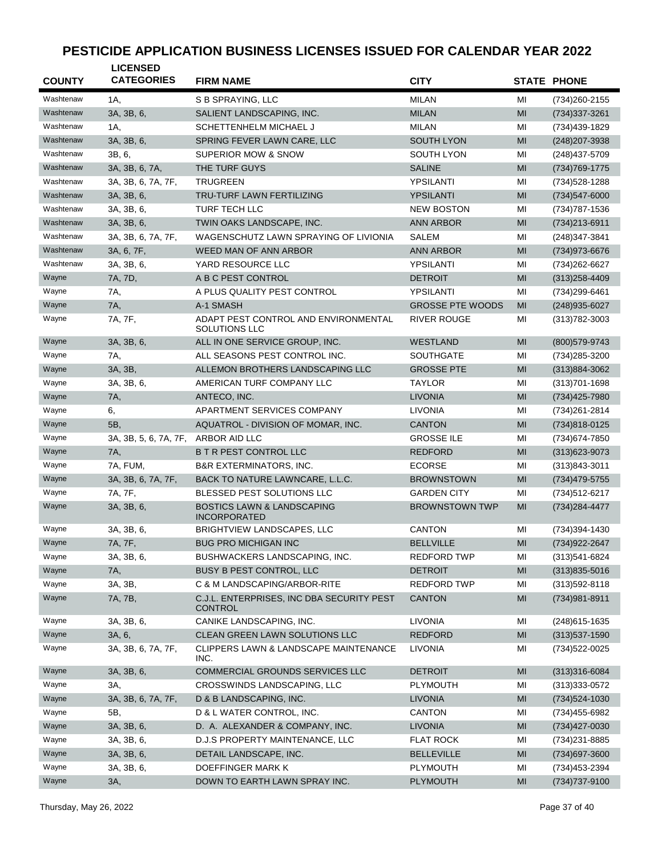| <b>COUNTY</b> | <b>LICENSED</b><br><b>CATEGORIES</b> | <b>FIRM NAME</b>                                             | <b>CITY</b>             |    | <b>STATE PHONE</b> |
|---------------|--------------------------------------|--------------------------------------------------------------|-------------------------|----|--------------------|
| Washtenaw     | 1A,                                  | S B SPRAYING, LLC                                            | <b>MILAN</b>            | MI | (734) 260-2155     |
| Washtenaw     | 3A, 3B, 6,                           | SALIENT LANDSCAPING, INC.                                    | <b>MILAN</b>            | MI | (734) 337-3261     |
| Washtenaw     | 1A,                                  | SCHETTENHELM MICHAEL J                                       | <b>MILAN</b>            | MI | (734)439-1829      |
| Washtenaw     | 3A, 3B, 6,                           | SPRING FEVER LAWN CARE, LLC                                  | <b>SOUTH LYON</b>       | MI | (248) 207-3938     |
| Washtenaw     | 3B, 6,                               | <b>SUPERIOR MOW &amp; SNOW</b>                               | <b>SOUTH LYON</b>       | MI | (248) 437-5709     |
| Washtenaw     | 3A, 3B, 6, 7A,                       | THE TURF GUYS                                                | <b>SALINE</b>           | MI | (734) 769-1775     |
| Washtenaw     | 3A, 3B, 6, 7A, 7F,                   | <b>TRUGREEN</b>                                              | YPSILANTI               | MI | (734) 528-1288     |
| Washtenaw     | 3A, 3B, 6,                           | <b>TRU-TURF LAWN FERTILIZING</b>                             | <b>YPSILANTI</b>        | MI | $(734)547 - 6000$  |
| Washtenaw     | 3A, 3B, 6,                           | <b>TURF TECH LLC</b>                                         | <b>NEW BOSTON</b>       | MI | (734) 787-1536     |
| Washtenaw     | 3A, 3B, 6,                           | TWIN OAKS LANDSCAPE, INC.                                    | <b>ANN ARBOR</b>        | MI | $(734)213 - 6911$  |
| Washtenaw     | 3A, 3B, 6, 7A, 7F,                   | WAGENSCHUTZ LAWN SPRAYING OF LIVIONIA                        | <b>SALEM</b>            | MI | (248) 347-3841     |
| Washtenaw     | 3A, 6, 7F,                           | WEED MAN OF ANN ARBOR                                        | <b>ANN ARBOR</b>        | MI | (734) 973-6676     |
| Washtenaw     | 3A, 3B, 6,                           | YARD RESOURCE LLC                                            | YPSILANTI               | MI | (734) 262-6627     |
| Wayne         | 7A, 7D,                              | A B C PEST CONTROL                                           | <b>DETROIT</b>          | MI | $(313)258 - 4409$  |
| Wayne         | 7A,                                  | A PLUS QUALITY PEST CONTROL                                  | YPSILANTI               | MI | (734) 299-6461     |
| Wayne         | 7A,                                  | A-1 SMASH                                                    | <b>GROSSE PTE WOODS</b> | MI | (248) 935-6027     |
| Wayne         | 7A, 7F,                              | ADAPT PEST CONTROL AND ENVIRONMENTAL<br>SOLUTIONS LLC        | <b>RIVER ROUGE</b>      | MI | (313) 782-3003     |
| Wayne         | 3A, 3B, 6,                           | ALL IN ONE SERVICE GROUP, INC.                               | <b>WESTLAND</b>         | MI | (800) 579-9743     |
| Wayne         | 7A,                                  | ALL SEASONS PEST CONTROL INC.                                | <b>SOUTHGATE</b>        | MI | (734) 285-3200     |
| Wayne         | 3A, 3B,                              | ALLEMON BROTHERS LANDSCAPING LLC                             | <b>GROSSE PTE</b>       | MI | $(313)884 - 3062$  |
| Wayne         | 3A, 3B, 6,                           | AMERICAN TURF COMPANY LLC                                    | <b>TAYLOR</b>           | MI | $(313)701 - 1698$  |
| Wayne         | 7A,                                  | ANTECO, INC.                                                 | <b>LIVONIA</b>          | MI | (734) 425-7980     |
| Wayne         | 6,                                   | APARTMENT SERVICES COMPANY                                   | LIVONIA                 | MI | (734) 261-2814     |
| Wayne         | 5B,                                  | AQUATROL - DIVISION OF MOMAR, INC.                           | <b>CANTON</b>           | MI | (734)818-0125      |
| Wayne         | 3A, 3B, 5, 6, 7A, 7F,                | ARBOR AID LLC                                                | <b>GROSSE ILE</b>       | MI | (734) 674-7850     |
| Wayne         | 7A,                                  | <b>B T R PEST CONTROL LLC</b>                                | <b>REDFORD</b>          | MI | $(313)623 - 9073$  |
| Wayne         | 7A, FUM,                             | <b>B&amp;R EXTERMINATORS, INC.</b>                           | <b>ECORSE</b>           | MI | $(313)843 - 3011$  |
| Wayne         | 3A, 3B, 6, 7A, 7F,                   | BACK TO NATURE LAWNCARE, L.L.C.                              | <b>BROWNSTOWN</b>       | MI | (734) 479-5755     |
| Wayne         | 7A, 7F,                              | BLESSED PEST SOLUTIONS LLC                                   | <b>GARDEN CITY</b>      | MI | (734) 512-6217     |
| Wayne         | 3A, 3B, 6,                           | <b>BOSTICS LAWN &amp; LANDSCAPING</b><br><b>INCORPORATED</b> | <b>BROWNSTOWN TWP</b>   | MI | (734) 284-4477     |
| Wayne         | 3A, 3B, 6,                           | BRIGHTVIEW LANDSCAPES, LLC                                   | <b>CANTON</b>           | MI | (734)394-1430      |
| Wayne         | 7A, 7F,                              | <b>BUG PRO MICHIGAN INC</b>                                  | <b>BELLVILLE</b>        | MI | (734) 922-2647     |
| Wayne         | 3A, 3B, 6,                           | BUSHWACKERS LANDSCAPING, INC.                                | REDFORD TWP             | ΜI | (313) 541-6824     |
| Wayne         | 7A,                                  | BUSY B PEST CONTROL, LLC                                     | <b>DETROIT</b>          | MI | $(313)835 - 5016$  |
| Wayne         | 3A, 3B,                              | C & M LANDSCAPING/ARBOR-RITE                                 | <b>REDFORD TWP</b>      | MI | $(313)592 - 8118$  |
| Wayne         | 7A, 7B,                              | C.J.L. ENTERPRISES, INC DBA SECURITY PEST<br>CONTROL         | <b>CANTON</b>           | MI | (734) 981-8911     |
| Wayne         | 3A, 3B, 6,                           | CANIKE LANDSCAPING, INC.                                     | <b>LIVONIA</b>          | МI | (248) 615-1635     |
| Wayne         | 3A, 6,                               | CLEAN GREEN LAWN SOLUTIONS LLC                               | <b>REDFORD</b>          | MI | $(313)537 - 1590$  |
| Wayne         | 3A, 3B, 6, 7A, 7F,                   | <b>CLIPPERS LAWN &amp; LANDSCAPE MAINTENANCE</b><br>INC.     | LIVONIA                 | ΜI | (734) 522-0025     |
| Wayne         | 3A, 3B, 6,                           | COMMERCIAL GROUNDS SERVICES LLC                              | <b>DETROIT</b>          | MI | $(313)316-6084$    |
| Wayne         | 3A,                                  | CROSSWINDS LANDSCAPING, LLC                                  | PLYMOUTH                | MI | $(313)333-0572$    |
| Wayne         | 3A, 3B, 6, 7A, 7F,                   | D & B LANDSCAPING, INC.                                      | <b>LIVONIA</b>          | MI | $(734)524 - 1030$  |
| Wayne         | 5B,                                  | D & L WATER CONTROL, INC.                                    | <b>CANTON</b>           | ΜI | (734)455-6982      |
| Wayne         | 3A, 3B, 6,                           | D. A. ALEXANDER & COMPANY, INC.                              | <b>LIVONIA</b>          | MI | $(734)427 - 0030$  |
| Wayne         | 3A, 3B, 6,                           | D.J.S PROPERTY MAINTENANCE, LLC                              | <b>FLAT ROCK</b>        | MI | (734) 231-8885     |
| Wayne         | 3A, 3B, 6,                           | DETAIL LANDSCAPE, INC.                                       | <b>BELLEVILLE</b>       | MI | (734) 697-3600     |
| Wayne         | 3A, 3B, 6,                           | DOEFFINGER MARK K                                            | <b>PLYMOUTH</b>         | ΜI | (734) 453-2394     |
| Wayne         | 3A,                                  | DOWN TO EARTH LAWN SPRAY INC.                                | <b>PLYMOUTH</b>         | MI | (734) 737-9100     |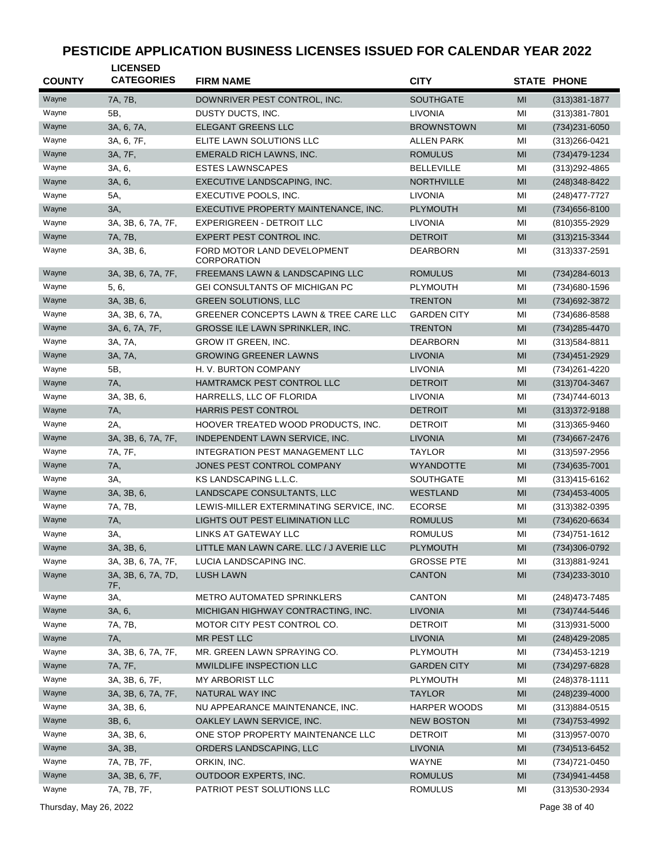| <b>COUNTY</b> | <b>LICENSED</b><br><b>CATEGORIES</b> | <b>FIRM NAME</b>                                             | <b>CITY</b>         |          | <b>STATE PHONE</b>               |
|---------------|--------------------------------------|--------------------------------------------------------------|---------------------|----------|----------------------------------|
| Wayne         | 7A, 7B,                              | DOWNRIVER PEST CONTROL, INC.                                 | <b>SOUTHGATE</b>    | MI       | $(313)381 - 1877$                |
| Wayne         | 5B,                                  | DUSTY DUCTS, INC.                                            | <b>LIVONIA</b>      | MI       | (313)381-7801                    |
| Wayne         | 3A, 6, 7A,                           | <b>ELEGANT GREENS LLC</b>                                    | <b>BROWNSTOWN</b>   | MI       | (734) 231-6050                   |
| Wayne         | 3A, 6, 7F,                           | ELITE LAWN SOLUTIONS LLC                                     | <b>ALLEN PARK</b>   | MI       | (313) 266-0421                   |
| Wayne         | 3A, 7F,                              | EMERALD RICH LAWNS, INC.                                     | <b>ROMULUS</b>      | MI       | (734) 479-1234                   |
| Wayne         | 3A, 6,                               | <b>ESTES LAWNSCAPES</b>                                      | <b>BELLEVILLE</b>   | MI       | (313) 292-4865                   |
| Wayne         | 3A, 6,                               | EXECUTIVE LANDSCAPING, INC.                                  | <b>NORTHVILLE</b>   | MI       |                                  |
| Wayne         | 5A,                                  | EXECUTIVE POOLS, INC.                                        | LIVONIA             | MI       | (248) 348-8422<br>(248) 477-7727 |
| Wayne         | 3A,                                  | EXECUTIVE PROPERTY MAINTENANCE, INC.                         | <b>PLYMOUTH</b>     | MI       |                                  |
| Wayne         |                                      |                                                              |                     |          | (734) 656-8100                   |
|               | 3A, 3B, 6, 7A, 7F,                   | <b>EXPERIGREEN - DETROIT LLC</b><br>EXPERT PEST CONTROL INC. | <b>LIVONIA</b>      | MI<br>MI | (810) 355-2929                   |
| Wayne         | 7A, 7B,                              |                                                              | <b>DETROIT</b>      |          | $(313)215-3344$                  |
| Wayne         | 3A, 3B, 6,                           | FORD MOTOR LAND DEVELOPMENT<br><b>CORPORATION</b>            | <b>DEARBORN</b>     | MI       | (313) 337-2591                   |
| Wayne         | 3A, 3B, 6, 7A, 7F,                   | FREEMANS LAWN & LANDSCAPING LLC                              | <b>ROMULUS</b>      | MI       | (734) 284-6013                   |
| Wayne         | 5, 6,                                | <b>GEI CONSULTANTS OF MICHIGAN PC</b>                        | PLYMOUTH            | MI       | (734) 680-1596                   |
| Wayne         | 3A, 3B, 6,                           | <b>GREEN SOLUTIONS, LLC</b>                                  | <b>TRENTON</b>      | MI       | (734) 692-3872                   |
| Wayne         | 3A, 3B, 6, 7A,                       | GREENER CONCEPTS LAWN & TREE CARE LLC                        | <b>GARDEN CITY</b>  | MI       | (734) 686-8588                   |
| Wayne         | 3A, 6, 7A, 7F,                       | GROSSE ILE LAWN SPRINKLER, INC.                              | <b>TRENTON</b>      | MI       | (734) 285-4470                   |
| Wayne         | 3A, 7A,                              | GROW IT GREEN, INC.                                          | <b>DEARBORN</b>     | MI       | (313) 584-8811                   |
| Wayne         | 3A, 7A,                              | <b>GROWING GREENER LAWNS</b>                                 | <b>LIVONIA</b>      | MI       | (734) 451-2929                   |
| Wayne         | 5B,                                  | H. V. BURTON COMPANY                                         | <b>LIVONIA</b>      | MI       | (734) 261-4220                   |
| Wayne         | <b>7A</b> ,                          | HAMTRAMCK PEST CONTROL LLC                                   | <b>DETROIT</b>      | MI       | $(313)704 - 3467$                |
| Wayne         | 3A, 3B, 6,                           | HARRELLS, LLC OF FLORIDA                                     | <b>LIVONIA</b>      | MI       | (734) 744-6013                   |
| Wayne         | 7A,                                  | <b>HARRIS PEST CONTROL</b>                                   | <b>DETROIT</b>      | MI       | $(313)372-9188$                  |
| Wayne         | 2A,                                  | HOOVER TREATED WOOD PRODUCTS, INC.                           | <b>DETROIT</b>      | MI       | (313) 365-9460                   |
| Wayne         | 3A, 3B, 6, 7A, 7F,                   | INDEPENDENT LAWN SERVICE, INC.                               | <b>LIVONIA</b>      | MI       | (734) 667-2476                   |
| Wayne         | 7A, 7F,                              | INTEGRATION PEST MANAGEMENT LLC                              | <b>TAYLOR</b>       | MI       | $(313)597 - 2956$                |
| Wayne         | 7A,                                  | JONES PEST CONTROL COMPANY                                   | <b>WYANDOTTE</b>    | MI       | (734) 635-7001                   |
| Wayne         | 3A,                                  | KS LANDSCAPING L.L.C.                                        | <b>SOUTHGATE</b>    | MI       | $(313)415 - 6162$                |
| Wayne         | 3A, 3B, 6,                           | LANDSCAPE CONSULTANTS, LLC                                   | <b>WESTLAND</b>     | MI       | $(734)453 - 4005$                |
| Wayne         | 7A, 7B,                              | LEWIS-MILLER EXTERMINATING SERVICE, INC.                     | <b>ECORSE</b>       | MI       | $(313)382-0395$                  |
| Wayne         | 7A,                                  | LIGHTS OUT PEST ELIMINATION LLC                              | <b>ROMULUS</b>      | MI       | (734) 620-6634                   |
| Wayne         | 3A,                                  | <b>LINKS AT GATEWAY LLC</b>                                  | <b>ROMULUS</b>      | MI       | (734) 751-1612                   |
| Wayne         | 3A, 3B, 6,                           | LITTLE MAN LAWN CARE. LLC / J AVERIE LLC                     | PLYMOUTH            | MI       | (734)306-0792                    |
| Wayne         | 3A, 3B, 6, 7A, 7F,                   | LUCIA LANDSCAPING INC.                                       | <b>GROSSE PTE</b>   | MI       | (313)881-9241                    |
| Wayne         | 3A, 3B, 6, 7A, 7D,<br>7F,            | <b>LUSH LAWN</b>                                             | <b>CANTON</b>       | MI       | $(734)233 - 3010$                |
| Wayne         | 3A,                                  | <b>METRO AUTOMATED SPRINKLERS</b>                            | <b>CANTON</b>       | MI       | (248) 473-7485                   |
| Wayne         | 3A, 6,                               | MICHIGAN HIGHWAY CONTRACTING, INC.                           | <b>LIVONIA</b>      | MI       | (734) 744-5446                   |
| Wayne         | 7A, 7B,                              | MOTOR CITY PEST CONTROL CO.                                  | <b>DETROIT</b>      | MI       | $(313)931 - 5000$                |
| Wayne         | 7A,                                  | MR PEST LLC                                                  | <b>LIVONIA</b>      | MI       | (248) 429-2085                   |
| Wayne         | 3A, 3B, 6, 7A, 7F,                   | MR. GREEN LAWN SPRAYING CO.                                  | PLYMOUTH            | MI       | (734) 453-1219                   |
| Wayne         | 7A, 7F,                              | MWILDLIFE INSPECTION LLC                                     | <b>GARDEN CITY</b>  | MI       | (734) 297-6828                   |
| Wayne         | 3A, 3B, 6, 7F,                       | MY ARBORIST LLC                                              | PLYMOUTH            | MI       | (248) 378-1111                   |
| Wayne         | 3A, 3B, 6, 7A, 7F,                   | NATURAL WAY INC                                              | <b>TAYLOR</b>       | MI       | $(248)$ 239-4000                 |
| Wayne         | 3A, 3B, 6,                           | NU APPEARANCE MAINTENANCE, INC.                              | <b>HARPER WOODS</b> | MI       | (313)884-0515                    |
| Wayne         | 3B, 6,                               | OAKLEY LAWN SERVICE, INC.                                    | <b>NEW BOSTON</b>   | MI       | (734) 753-4992                   |
| Wayne         | 3A, 3B, 6,                           | ONE STOP PROPERTY MAINTENANCE LLC                            | <b>DETROIT</b>      | MI       | (313) 957-0070                   |
| Wayne         | 3A, 3B,                              | ORDERS LANDSCAPING, LLC                                      | <b>LIVONIA</b>      | MI       | (734) 513-6452                   |
| Wayne         | 7A, 7B, 7F,                          | ORKIN, INC.                                                  | WAYNE               | MI       | (734) 721-0450                   |
| Wayne         | 3A, 3B, 6, 7F,                       | OUTDOOR EXPERTS, INC.                                        | <b>ROMULUS</b>      | MI       | (734) 941-4458                   |
| Wayne         | 7A, 7B, 7F,                          | PATRIOT PEST SOLUTIONS LLC                                   | <b>ROMULUS</b>      | MI       | (313) 530-2934                   |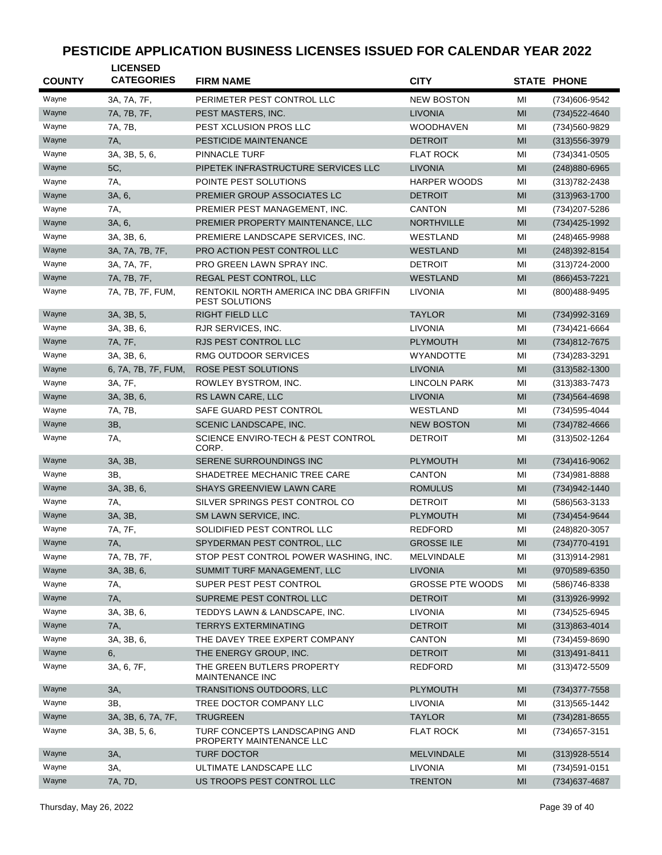| <b>COUNTY</b> | <b>LICENSED</b><br><b>CATEGORIES</b> | <b>FIRM NAME</b>                                                | <b>CITY</b>             |    | <b>STATE PHONE</b> |
|---------------|--------------------------------------|-----------------------------------------------------------------|-------------------------|----|--------------------|
| Wayne         | 3A, 7A, 7F,                          | PERIMETER PEST CONTROL LLC                                      | <b>NEW BOSTON</b>       | MI | (734)606-9542      |
| Wayne         | 7A, 7B, 7F,                          | PEST MASTERS, INC.                                              | <b>LIVONIA</b>          | MI | (734) 522-4640     |
| Wayne         | 7A. 7B.                              | PEST XCLUSION PROS LLC                                          | <b>WOODHAVEN</b>        | MI | (734) 560-9829     |
| Wayne         | 7A,                                  | PESTICIDE MAINTENANCE                                           | <b>DETROIT</b>          | MI | (313) 556-3979     |
| Wayne         | 3A, 3B, 5, 6,                        | <b>PINNACLE TURF</b>                                            | <b>FLAT ROCK</b>        | MI | (734) 341-0505     |
| Wayne         | 5C,                                  | PIPETEK INFRASTRUCTURE SERVICES LLC                             | <b>LIVONIA</b>          | MI | (248) 880-6965     |
| Wayne         | 7A,                                  | POINTE PEST SOLUTIONS                                           | <b>HARPER WOODS</b>     | MI | (313) 782-2438     |
| Wayne         | 3A, 6,                               | PREMIER GROUP ASSOCIATES LC                                     | <b>DETROIT</b>          | MI | $(313)963 - 1700$  |
| Wayne         | 7A,                                  | PREMIER PEST MANAGEMENT, INC.                                   | <b>CANTON</b>           | MI | (734) 207-5286     |
| Wayne         | 3A, 6,                               | PREMIER PROPERTY MAINTENANCE, LLC                               | <b>NORTHVILLE</b>       | MI | (734) 425-1992     |
| Wayne         | 3A, 3B, 6,                           | PREMIERE LANDSCAPE SERVICES, INC.                               | WESTLAND                | MI | (248)465-9988      |
| Wayne         | 3A, 7A, 7B, 7F,                      | PRO ACTION PEST CONTROL LLC                                     | <b>WESTLAND</b>         | MI | (248) 392-8154     |
| Wayne         | 3A, 7A, 7F,                          | PRO GREEN LAWN SPRAY INC.                                       | <b>DETROIT</b>          | MI | (313) 724-2000     |
| Wayne         | 7A, 7B, 7F,                          | REGAL PEST CONTROL, LLC                                         | <b>WESTLAND</b>         | MI | (866) 453-7221     |
| Wayne         | 7A, 7B, 7F, FUM,                     | RENTOKIL NORTH AMERICA INC DBA GRIFFIN<br><b>PEST SOLUTIONS</b> | <b>LIVONIA</b>          | MI | (800)488-9495      |
| Wayne         | 3A, 3B, 5,                           | <b>RIGHT FIELD LLC</b>                                          | <b>TAYLOR</b>           | MI | (734) 992-3169     |
| Wayne         | 3A, 3B, 6,                           | RJR SERVICES, INC.                                              | <b>LIVONIA</b>          | MI | (734)421-6664      |
| Wayne         | 7A, 7F,                              | RJS PEST CONTROL LLC                                            | <b>PLYMOUTH</b>         | MI | (734)812-7675      |
| Wayne         | 3A. 3B. 6.                           | RMG OUTDOOR SERVICES                                            | <b>WYANDOTTE</b>        | MI | (734) 283-3291     |
| Wayne         | 6, 7A, 7B, 7F, FUM,                  | <b>ROSE PEST SOLUTIONS</b>                                      | <b>LIVONIA</b>          | MI | $(313)582 - 1300$  |
| Wayne         | 3A, 7F,                              | ROWLEY BYSTROM, INC.                                            | <b>LINCOLN PARK</b>     | MI | (313) 383-7473     |
| Wayne         | 3A, 3B, 6,                           | RS LAWN CARE, LLC                                               | <b>LIVONIA</b>          | MI | (734) 564-4698     |
| Wayne         | 7A, 7B,                              | SAFE GUARD PEST CONTROL                                         | WESTLAND                | MI | (734) 595-4044     |
| Wayne         | 3B,                                  | SCENIC LANDSCAPE, INC.                                          | <b>NEW BOSTON</b>       | MI | (734) 782-4666     |
| Wayne         | 7A,                                  | SCIENCE ENVIRO-TECH & PEST CONTROL<br>CORP.                     | <b>DETROIT</b>          | MI | $(313)502 - 1264$  |
| Wayne         | 3A, 3B,                              | SERENE SURROUNDINGS INC                                         | <b>PLYMOUTH</b>         | MI | (734)416-9062      |
| Wayne         | ЗΒ.                                  | SHADETREE MECHANIC TREE CARE                                    | <b>CANTON</b>           | MI | (734) 981-8888     |
| Wayne         | 3A, 3B, 6,                           | <b>SHAYS GREENVIEW LAWN CARE</b>                                | <b>ROMULUS</b>          | MI | (734) 942-1440     |
| Wayne         | 7A,                                  | SILVER SPRINGS PEST CONTROL CO                                  | <b>DETROIT</b>          | MI | (586) 563-3133     |
| Wayne         | 3A, 3B,                              | SM LAWN SERVICE, INC.                                           | <b>PLYMOUTH</b>         | MI | (734) 454-9644     |
| Wayne         | 7A, 7F,                              | SOLIDIFIED PEST CONTROL LLC                                     | <b>REDFORD</b>          | MI | (248) 820-3057     |
| Wayne         | 7A,                                  | SPYDERMAN PEST CONTROL, LLC                                     | <b>GROSSE ILE</b>       | MI | (734) 770-4191     |
| Wayne         | 7A, 7B, 7F,                          | STOP PEST CONTROL POWER WASHING, INC.                           | MELVINDALE              | MI | (313)914-2981      |
| Wayne         | 3A, 3B, 6,                           | SUMMIT TURF MANAGEMENT, LLC                                     | <b>LIVONIA</b>          | MI | (970) 589-6350     |
| Wayne         | 7A,                                  | SUPER PEST PEST CONTROL                                         | <b>GROSSE PTE WOODS</b> | MI | (586) 746-8338     |
| Wayne         | 7A,                                  | SUPREME PEST CONTROL LLC                                        | <b>DETROIT</b>          | MI | (313)926-9992      |
| Wayne         | 3A, 3B, 6,                           | TEDDYS LAWN & LANDSCAPE, INC.                                   | <b>LIVONIA</b>          | MI | (734) 525-6945     |
| Wayne         | 7A,                                  | <b>TERRYS EXTERMINATING</b>                                     | <b>DETROIT</b>          | MI | $(313)863 - 4014$  |
| Wayne         | 3A, 3B, 6,                           | THE DAVEY TREE EXPERT COMPANY                                   | CANTON                  | MI | (734)459-8690      |
| Wayne         | 6,                                   | THE ENERGY GROUP, INC.                                          | <b>DETROIT</b>          | MI | $(313)491 - 8411$  |
| Wayne         | 3A, 6, 7F,                           | THE GREEN BUTLERS PROPERTY<br>MAINTENANCE INC                   | REDFORD                 | MI | (313) 472-5509     |
| Wayne         | 3A,                                  | TRANSITIONS OUTDOORS, LLC                                       | <b>PLYMOUTH</b>         | MI | $(734)377 - 7558$  |
| Wayne         | 3B,                                  | TREE DOCTOR COMPANY LLC                                         | <b>LIVONIA</b>          | MI | (313) 565-1442     |
| Wayne         | 3A, 3B, 6, 7A, 7F,                   | <b>TRUGREEN</b>                                                 | <b>TAYLOR</b>           | MI | (734) 281-8655     |
| Wayne         | 3A, 3B, 5, 6,                        | TURF CONCEPTS LANDSCAPING AND<br>PROPERTY MAINTENANCE LLC       | <b>FLAT ROCK</b>        | MI | (734) 657-3151     |
| Wayne         | 3A,                                  | <b>TURF DOCTOR</b>                                              | <b>MELVINDALE</b>       | MI | $(313)928 - 5514$  |
| Wayne         | 3A,                                  | ULTIMATE LANDSCAPE LLC                                          | LIVONIA                 | MI | (734) 591-0151     |
| Wayne         | 7A, 7D,                              | US TROOPS PEST CONTROL LLC                                      | <b>TRENTON</b>          | MI | (734) 637-4687     |